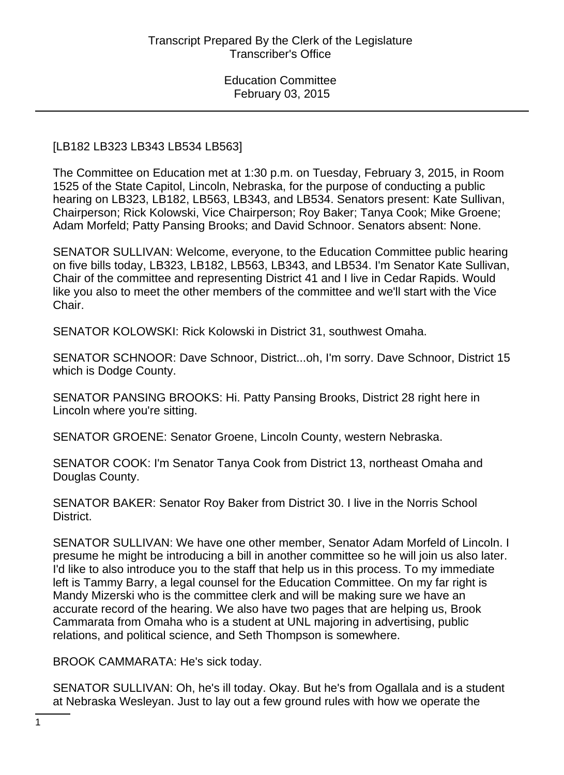#### [LB182 LB323 LB343 LB534 LB563]

The Committee on Education met at 1:30 p.m. on Tuesday, February 3, 2015, in Room 1525 of the State Capitol, Lincoln, Nebraska, for the purpose of conducting a public hearing on LB323, LB182, LB563, LB343, and LB534. Senators present: Kate Sullivan, Chairperson; Rick Kolowski, Vice Chairperson; Roy Baker; Tanya Cook; Mike Groene; Adam Morfeld; Patty Pansing Brooks; and David Schnoor. Senators absent: None.

SENATOR SULLIVAN: Welcome, everyone, to the Education Committee public hearing on five bills today, LB323, LB182, LB563, LB343, and LB534. I'm Senator Kate Sullivan, Chair of the committee and representing District 41 and I live in Cedar Rapids. Would like you also to meet the other members of the committee and we'll start with the Vice Chair.

SENATOR KOLOWSKI: Rick Kolowski in District 31, southwest Omaha.

SENATOR SCHNOOR: Dave Schnoor, District...oh, I'm sorry. Dave Schnoor, District 15 which is Dodge County.

SENATOR PANSING BROOKS: Hi. Patty Pansing Brooks, District 28 right here in Lincoln where you're sitting.

SENATOR GROENE: Senator Groene, Lincoln County, western Nebraska.

SENATOR COOK: I'm Senator Tanya Cook from District 13, northeast Omaha and Douglas County.

SENATOR BAKER: Senator Roy Baker from District 30. I live in the Norris School District.

SENATOR SULLIVAN: We have one other member, Senator Adam Morfeld of Lincoln. I presume he might be introducing a bill in another committee so he will join us also later. I'd like to also introduce you to the staff that help us in this process. To my immediate left is Tammy Barry, a legal counsel for the Education Committee. On my far right is Mandy Mizerski who is the committee clerk and will be making sure we have an accurate record of the hearing. We also have two pages that are helping us, Brook Cammarata from Omaha who is a student at UNL majoring in advertising, public relations, and political science, and Seth Thompson is somewhere.

BROOK CAMMARATA: He's sick today.

SENATOR SULLIVAN: Oh, he's ill today. Okay. But he's from Ogallala and is a student at Nebraska Wesleyan. Just to lay out a few ground rules with how we operate the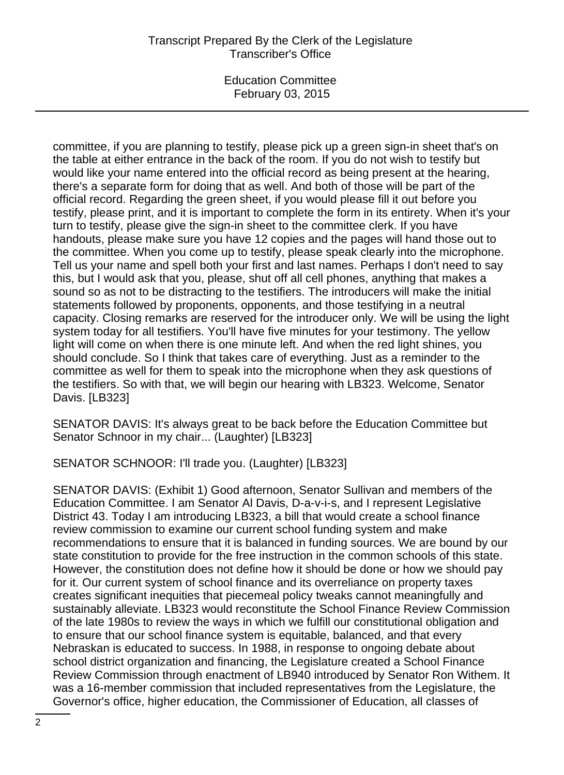# Transcript Prepared By the Clerk of the Legislature Transcriber's Office

Education Committee February 03, 2015

committee, if you are planning to testify, please pick up a green sign-in sheet that's on the table at either entrance in the back of the room. If you do not wish to testify but would like your name entered into the official record as being present at the hearing, there's a separate form for doing that as well. And both of those will be part of the official record. Regarding the green sheet, if you would please fill it out before you testify, please print, and it is important to complete the form in its entirety. When it's your turn to testify, please give the sign-in sheet to the committee clerk. If you have handouts, please make sure you have 12 copies and the pages will hand those out to the committee. When you come up to testify, please speak clearly into the microphone. Tell us your name and spell both your first and last names. Perhaps I don't need to say this, but I would ask that you, please, shut off all cell phones, anything that makes a sound so as not to be distracting to the testifiers. The introducers will make the initial statements followed by proponents, opponents, and those testifying in a neutral capacity. Closing remarks are reserved for the introducer only. We will be using the light system today for all testifiers. You'll have five minutes for your testimony. The yellow light will come on when there is one minute left. And when the red light shines, you should conclude. So I think that takes care of everything. Just as a reminder to the committee as well for them to speak into the microphone when they ask questions of the testifiers. So with that, we will begin our hearing with LB323. Welcome, Senator Davis. [LB323]

SENATOR DAVIS: It's always great to be back before the Education Committee but Senator Schnoor in my chair... (Laughter) [LB323]

SENATOR SCHNOOR: I'll trade you. (Laughter) [LB323]

SENATOR DAVIS: (Exhibit 1) Good afternoon, Senator Sullivan and members of the Education Committee. I am Senator Al Davis, D-a-v-i-s, and I represent Legislative District 43. Today I am introducing LB323, a bill that would create a school finance review commission to examine our current school funding system and make recommendations to ensure that it is balanced in funding sources. We are bound by our state constitution to provide for the free instruction in the common schools of this state. However, the constitution does not define how it should be done or how we should pay for it. Our current system of school finance and its overreliance on property taxes creates significant inequities that piecemeal policy tweaks cannot meaningfully and sustainably alleviate. LB323 would reconstitute the School Finance Review Commission of the late 1980s to review the ways in which we fulfill our constitutional obligation and to ensure that our school finance system is equitable, balanced, and that every Nebraskan is educated to success. In 1988, in response to ongoing debate about school district organization and financing, the Legislature created a School Finance Review Commission through enactment of LB940 introduced by Senator Ron Withem. It was a 16-member commission that included representatives from the Legislature, the Governor's office, higher education, the Commissioner of Education, all classes of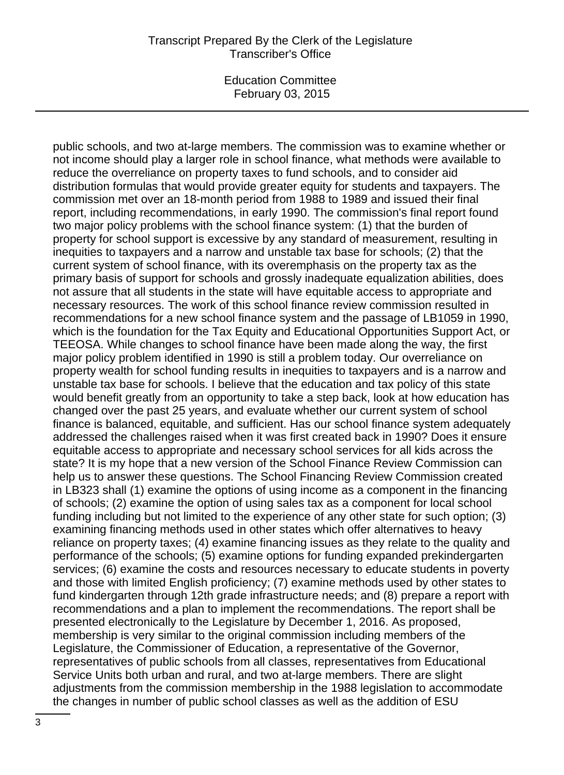public schools, and two at-large members. The commission was to examine whether or not income should play a larger role in school finance, what methods were available to reduce the overreliance on property taxes to fund schools, and to consider aid distribution formulas that would provide greater equity for students and taxpayers. The commission met over an 18-month period from 1988 to 1989 and issued their final report, including recommendations, in early 1990. The commission's final report found two major policy problems with the school finance system: (1) that the burden of property for school support is excessive by any standard of measurement, resulting in inequities to taxpayers and a narrow and unstable tax base for schools; (2) that the current system of school finance, with its overemphasis on the property tax as the primary basis of support for schools and grossly inadequate equalization abilities, does not assure that all students in the state will have equitable access to appropriate and necessary resources. The work of this school finance review commission resulted in recommendations for a new school finance system and the passage of LB1059 in 1990, which is the foundation for the Tax Equity and Educational Opportunities Support Act, or TEEOSA. While changes to school finance have been made along the way, the first major policy problem identified in 1990 is still a problem today. Our overreliance on property wealth for school funding results in inequities to taxpayers and is a narrow and unstable tax base for schools. I believe that the education and tax policy of this state would benefit greatly from an opportunity to take a step back, look at how education has changed over the past 25 years, and evaluate whether our current system of school finance is balanced, equitable, and sufficient. Has our school finance system adequately addressed the challenges raised when it was first created back in 1990? Does it ensure equitable access to appropriate and necessary school services for all kids across the state? It is my hope that a new version of the School Finance Review Commission can help us to answer these questions. The School Financing Review Commission created in LB323 shall (1) examine the options of using income as a component in the financing of schools; (2) examine the option of using sales tax as a component for local school funding including but not limited to the experience of any other state for such option; (3) examining financing methods used in other states which offer alternatives to heavy reliance on property taxes; (4) examine financing issues as they relate to the quality and performance of the schools; (5) examine options for funding expanded prekindergarten services; (6) examine the costs and resources necessary to educate students in poverty and those with limited English proficiency; (7) examine methods used by other states to fund kindergarten through 12th grade infrastructure needs; and (8) prepare a report with recommendations and a plan to implement the recommendations. The report shall be presented electronically to the Legislature by December 1, 2016. As proposed, membership is very similar to the original commission including members of the Legislature, the Commissioner of Education, a representative of the Governor, representatives of public schools from all classes, representatives from Educational Service Units both urban and rural, and two at-large members. There are slight adjustments from the commission membership in the 1988 legislation to accommodate the changes in number of public school classes as well as the addition of ESU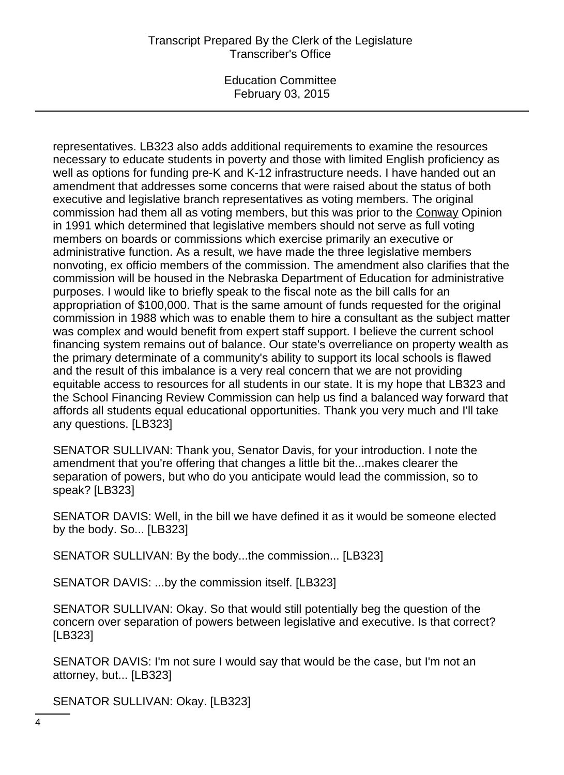# Transcript Prepared By the Clerk of the Legislature Transcriber's Office

Education Committee February 03, 2015

representatives. LB323 also adds additional requirements to examine the resources necessary to educate students in poverty and those with limited English proficiency as well as options for funding pre-K and K-12 infrastructure needs. I have handed out an amendment that addresses some concerns that were raised about the status of both executive and legislative branch representatives as voting members. The original commission had them all as voting members, but this was prior to the Conway Opinion in 1991 which determined that legislative members should not serve as full voting members on boards or commissions which exercise primarily an executive or administrative function. As a result, we have made the three legislative members nonvoting, ex officio members of the commission. The amendment also clarifies that the commission will be housed in the Nebraska Department of Education for administrative purposes. I would like to briefly speak to the fiscal note as the bill calls for an appropriation of \$100,000. That is the same amount of funds requested for the original commission in 1988 which was to enable them to hire a consultant as the subject matter was complex and would benefit from expert staff support. I believe the current school financing system remains out of balance. Our state's overreliance on property wealth as the primary determinate of a community's ability to support its local schools is flawed and the result of this imbalance is a very real concern that we are not providing equitable access to resources for all students in our state. It is my hope that LB323 and the School Financing Review Commission can help us find a balanced way forward that affords all students equal educational opportunities. Thank you very much and I'll take any questions. [LB323]

SENATOR SULLIVAN: Thank you, Senator Davis, for your introduction. I note the amendment that you're offering that changes a little bit the...makes clearer the separation of powers, but who do you anticipate would lead the commission, so to speak? [LB323]

SENATOR DAVIS: Well, in the bill we have defined it as it would be someone elected by the body. So... [LB323]

SENATOR SULLIVAN: By the body...the commission... [LB323]

SENATOR DAVIS: ...by the commission itself. [LB323]

SENATOR SULLIVAN: Okay. So that would still potentially beg the question of the concern over separation of powers between legislative and executive. Is that correct? [LB323]

SENATOR DAVIS: I'm not sure I would say that would be the case, but I'm not an attorney, but... [LB323]

SENATOR SULLIVAN: Okay. [LB323]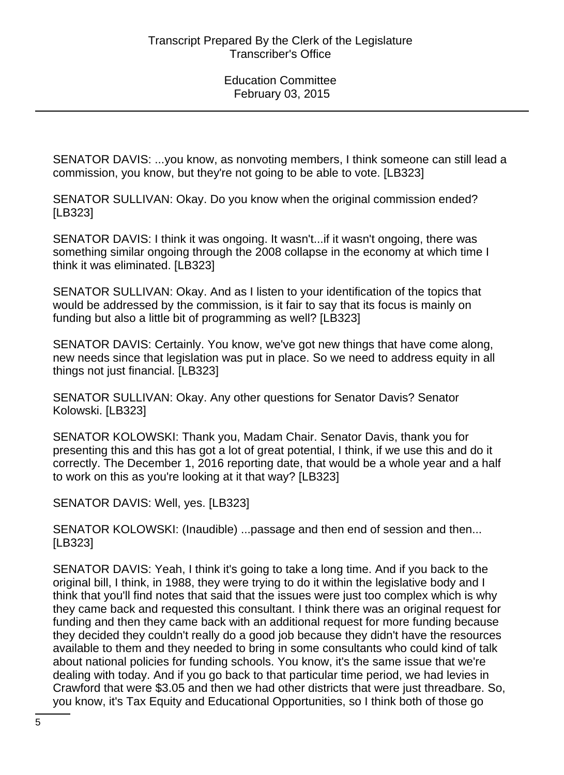SENATOR DAVIS: ...you know, as nonvoting members, I think someone can still lead a commission, you know, but they're not going to be able to vote. [LB323]

SENATOR SULLIVAN: Okay. Do you know when the original commission ended? [LB323]

SENATOR DAVIS: I think it was ongoing. It wasn't...if it wasn't ongoing, there was something similar ongoing through the 2008 collapse in the economy at which time I think it was eliminated. [LB323]

SENATOR SULLIVAN: Okay. And as I listen to your identification of the topics that would be addressed by the commission, is it fair to say that its focus is mainly on funding but also a little bit of programming as well? [LB323]

SENATOR DAVIS: Certainly. You know, we've got new things that have come along, new needs since that legislation was put in place. So we need to address equity in all things not just financial. [LB323]

SENATOR SULLIVAN: Okay. Any other questions for Senator Davis? Senator Kolowski. [LB323]

SENATOR KOLOWSKI: Thank you, Madam Chair. Senator Davis, thank you for presenting this and this has got a lot of great potential, I think, if we use this and do it correctly. The December 1, 2016 reporting date, that would be a whole year and a half to work on this as you're looking at it that way? [LB323]

SENATOR DAVIS: Well, yes. [LB323]

SENATOR KOLOWSKI: (Inaudible) ...passage and then end of session and then... [LB323]

SENATOR DAVIS: Yeah, I think it's going to take a long time. And if you back to the original bill, I think, in 1988, they were trying to do it within the legislative body and I think that you'll find notes that said that the issues were just too complex which is why they came back and requested this consultant. I think there was an original request for funding and then they came back with an additional request for more funding because they decided they couldn't really do a good job because they didn't have the resources available to them and they needed to bring in some consultants who could kind of talk about national policies for funding schools. You know, it's the same issue that we're dealing with today. And if you go back to that particular time period, we had levies in Crawford that were \$3.05 and then we had other districts that were just threadbare. So, you know, it's Tax Equity and Educational Opportunities, so I think both of those go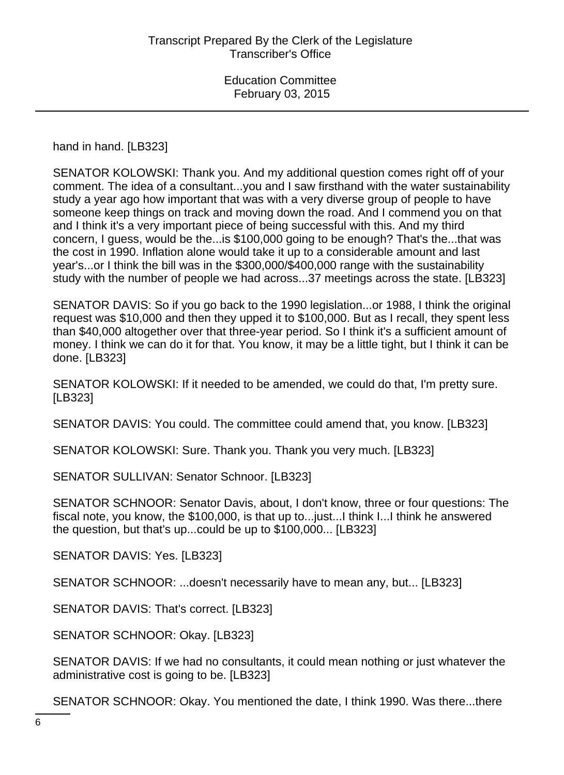hand in hand. [LB323]

SENATOR KOLOWSKI: Thank you. And my additional question comes right off of your comment. The idea of a consultant...you and I saw firsthand with the water sustainability study a year ago how important that was with a very diverse group of people to have someone keep things on track and moving down the road. And I commend you on that and I think it's a very important piece of being successful with this. And my third concern, I guess, would be the...is \$100,000 going to be enough? That's the...that was the cost in 1990. Inflation alone would take it up to a considerable amount and last year's...or I think the bill was in the \$300,000/\$400,000 range with the sustainability study with the number of people we had across...37 meetings across the state. [LB323]

SENATOR DAVIS: So if you go back to the 1990 legislation...or 1988, I think the original request was \$10,000 and then they upped it to \$100,000. But as I recall, they spent less than \$40,000 altogether over that three-year period. So I think it's a sufficient amount of money. I think we can do it for that. You know, it may be a little tight, but I think it can be done. [LB323]

SENATOR KOLOWSKI: If it needed to be amended, we could do that, I'm pretty sure. [LB323]

SENATOR DAVIS: You could. The committee could amend that, you know. [LB323]

SENATOR KOLOWSKI: Sure. Thank you. Thank you very much. [LB323]

SENATOR SULLIVAN: Senator Schnoor. [LB323]

SENATOR SCHNOOR: Senator Davis, about, I don't know, three or four questions: The fiscal note, you know, the \$100,000, is that up to...just...I think I...I think he answered the question, but that's up...could be up to \$100,000... [LB323]

SENATOR DAVIS: Yes. [LB323]

SENATOR SCHNOOR: ...doesn't necessarily have to mean any, but... [LB323]

SENATOR DAVIS: That's correct. [LB323]

SENATOR SCHNOOR: Okay. [LB323]

SENATOR DAVIS: If we had no consultants, it could mean nothing or just whatever the administrative cost is going to be. [LB323]

SENATOR SCHNOOR: Okay. You mentioned the date, I think 1990. Was there...there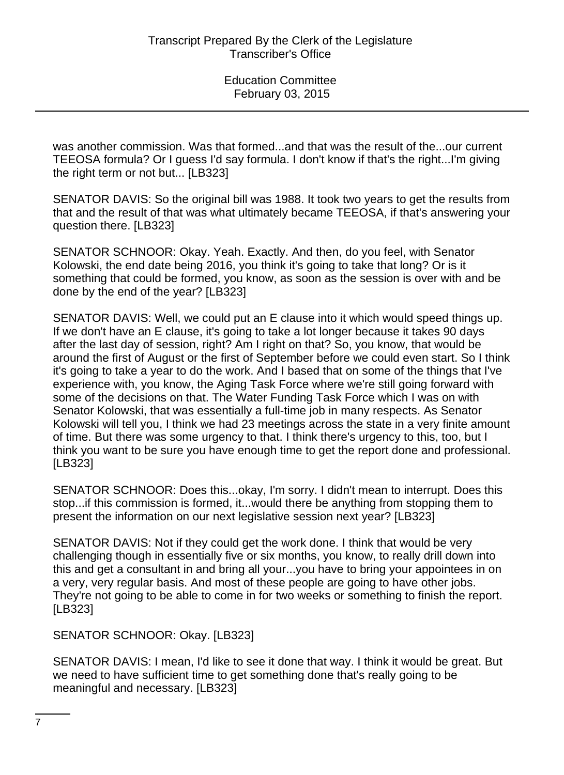was another commission. Was that formed...and that was the result of the...our current TEEOSA formula? Or I guess I'd say formula. I don't know if that's the right...I'm giving the right term or not but... [LB323]

SENATOR DAVIS: So the original bill was 1988. It took two years to get the results from that and the result of that was what ultimately became TEEOSA, if that's answering your question there. [LB323]

SENATOR SCHNOOR: Okay. Yeah. Exactly. And then, do you feel, with Senator Kolowski, the end date being 2016, you think it's going to take that long? Or is it something that could be formed, you know, as soon as the session is over with and be done by the end of the year? [LB323]

SENATOR DAVIS: Well, we could put an E clause into it which would speed things up. If we don't have an E clause, it's going to take a lot longer because it takes 90 days after the last day of session, right? Am I right on that? So, you know, that would be around the first of August or the first of September before we could even start. So I think it's going to take a year to do the work. And I based that on some of the things that I've experience with, you know, the Aging Task Force where we're still going forward with some of the decisions on that. The Water Funding Task Force which I was on with Senator Kolowski, that was essentially a full-time job in many respects. As Senator Kolowski will tell you, I think we had 23 meetings across the state in a very finite amount of time. But there was some urgency to that. I think there's urgency to this, too, but I think you want to be sure you have enough time to get the report done and professional. [LB323]

SENATOR SCHNOOR: Does this...okay, I'm sorry. I didn't mean to interrupt. Does this stop...if this commission is formed, it...would there be anything from stopping them to present the information on our next legislative session next year? [LB323]

SENATOR DAVIS: Not if they could get the work done. I think that would be very challenging though in essentially five or six months, you know, to really drill down into this and get a consultant in and bring all your...you have to bring your appointees in on a very, very regular basis. And most of these people are going to have other jobs. They're not going to be able to come in for two weeks or something to finish the report. [LB323]

SENATOR SCHNOOR: Okay. [LB323]

SENATOR DAVIS: I mean, I'd like to see it done that way. I think it would be great. But we need to have sufficient time to get something done that's really going to be meaningful and necessary. [LB323]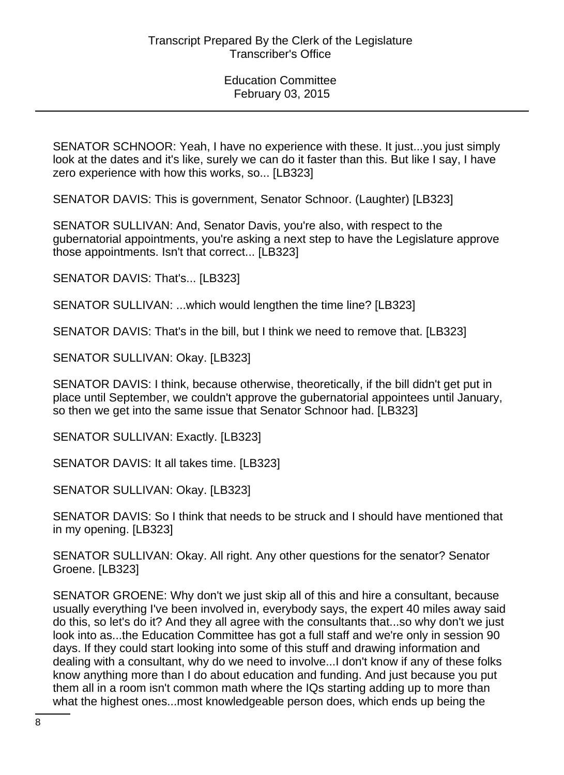SENATOR SCHNOOR: Yeah, I have no experience with these. It just...you just simply look at the dates and it's like, surely we can do it faster than this. But like I say, I have zero experience with how this works, so... [LB323]

SENATOR DAVIS: This is government, Senator Schnoor. (Laughter) [LB323]

SENATOR SULLIVAN: And, Senator Davis, you're also, with respect to the gubernatorial appointments, you're asking a next step to have the Legislature approve those appointments. Isn't that correct... [LB323]

SENATOR DAVIS: That's... [LB323]

SENATOR SULLIVAN: ...which would lengthen the time line? [LB323]

SENATOR DAVIS: That's in the bill, but I think we need to remove that. [LB323]

SENATOR SULLIVAN: Okay. [LB323]

SENATOR DAVIS: I think, because otherwise, theoretically, if the bill didn't get put in place until September, we couldn't approve the gubernatorial appointees until January, so then we get into the same issue that Senator Schnoor had. [LB323]

SENATOR SULLIVAN: Exactly. [LB323]

SENATOR DAVIS: It all takes time. [LB323]

SENATOR SULLIVAN: Okay. [LB323]

SENATOR DAVIS: So I think that needs to be struck and I should have mentioned that in my opening. [LB323]

SENATOR SULLIVAN: Okay. All right. Any other questions for the senator? Senator Groene. [LB323]

SENATOR GROENE: Why don't we just skip all of this and hire a consultant, because usually everything I've been involved in, everybody says, the expert 40 miles away said do this, so let's do it? And they all agree with the consultants that...so why don't we just look into as...the Education Committee has got a full staff and we're only in session 90 days. If they could start looking into some of this stuff and drawing information and dealing with a consultant, why do we need to involve...I don't know if any of these folks know anything more than I do about education and funding. And just because you put them all in a room isn't common math where the IQs starting adding up to more than what the highest ones...most knowledgeable person does, which ends up being the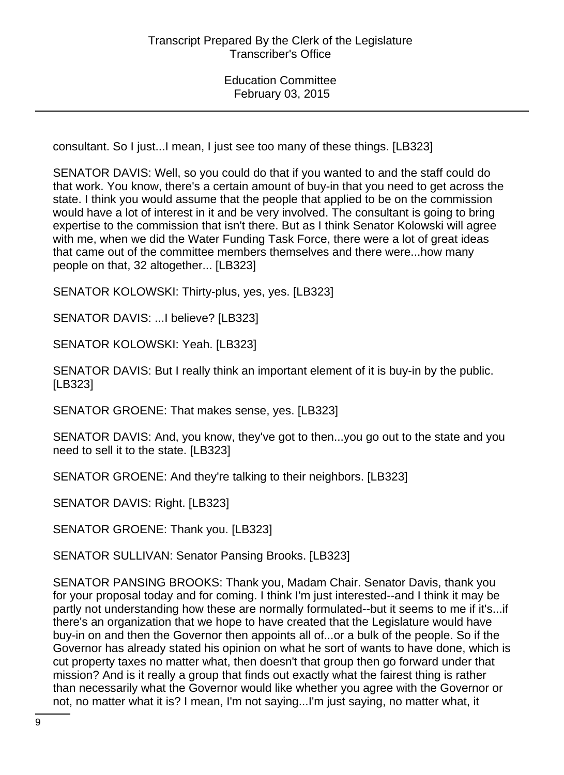consultant. So I just...I mean, I just see too many of these things. [LB323]

SENATOR DAVIS: Well, so you could do that if you wanted to and the staff could do that work. You know, there's a certain amount of buy-in that you need to get across the state. I think you would assume that the people that applied to be on the commission would have a lot of interest in it and be very involved. The consultant is going to bring expertise to the commission that isn't there. But as I think Senator Kolowski will agree with me, when we did the Water Funding Task Force, there were a lot of great ideas that came out of the committee members themselves and there were...how many people on that, 32 altogether... [LB323]

SENATOR KOLOWSKI: Thirty-plus, yes, yes. [LB323]

SENATOR DAVIS: ...I believe? [LB323]

SENATOR KOLOWSKI: Yeah. [LB323]

SENATOR DAVIS: But I really think an important element of it is buy-in by the public. [LB323]

SENATOR GROENE: That makes sense, yes. [LB323]

SENATOR DAVIS: And, you know, they've got to then...you go out to the state and you need to sell it to the state. [LB323]

SENATOR GROENE: And they're talking to their neighbors. [LB323]

SENATOR DAVIS: Right. [LB323]

SENATOR GROENE: Thank you. [LB323]

SENATOR SULLIVAN: Senator Pansing Brooks. [LB323]

SENATOR PANSING BROOKS: Thank you, Madam Chair. Senator Davis, thank you for your proposal today and for coming. I think I'm just interested--and I think it may be partly not understanding how these are normally formulated--but it seems to me if it's...if there's an organization that we hope to have created that the Legislature would have buy-in on and then the Governor then appoints all of...or a bulk of the people. So if the Governor has already stated his opinion on what he sort of wants to have done, which is cut property taxes no matter what, then doesn't that group then go forward under that mission? And is it really a group that finds out exactly what the fairest thing is rather than necessarily what the Governor would like whether you agree with the Governor or not, no matter what it is? I mean, I'm not saying...I'm just saying, no matter what, it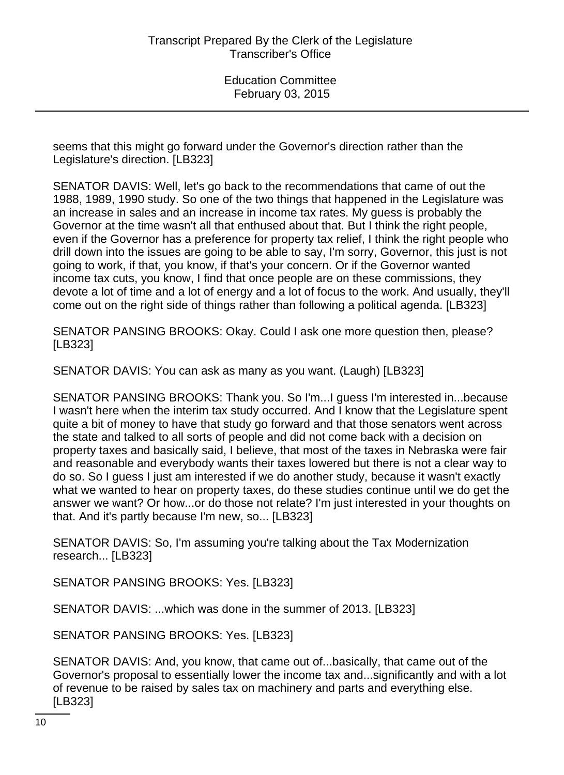seems that this might go forward under the Governor's direction rather than the Legislature's direction. [LB323]

SENATOR DAVIS: Well, let's go back to the recommendations that came of out the 1988, 1989, 1990 study. So one of the two things that happened in the Legislature was an increase in sales and an increase in income tax rates. My guess is probably the Governor at the time wasn't all that enthused about that. But I think the right people, even if the Governor has a preference for property tax relief, I think the right people who drill down into the issues are going to be able to say, I'm sorry, Governor, this just is not going to work, if that, you know, if that's your concern. Or if the Governor wanted income tax cuts, you know, I find that once people are on these commissions, they devote a lot of time and a lot of energy and a lot of focus to the work. And usually, they'll come out on the right side of things rather than following a political agenda. [LB323]

SENATOR PANSING BROOKS: Okay. Could I ask one more question then, please? [LB323]

SENATOR DAVIS: You can ask as many as you want. (Laugh) [LB323]

SENATOR PANSING BROOKS: Thank you. So I'm...I guess I'm interested in...because I wasn't here when the interim tax study occurred. And I know that the Legislature spent quite a bit of money to have that study go forward and that those senators went across the state and talked to all sorts of people and did not come back with a decision on property taxes and basically said, I believe, that most of the taxes in Nebraska were fair and reasonable and everybody wants their taxes lowered but there is not a clear way to do so. So I guess I just am interested if we do another study, because it wasn't exactly what we wanted to hear on property taxes, do these studies continue until we do get the answer we want? Or how...or do those not relate? I'm just interested in your thoughts on that. And it's partly because I'm new, so... [LB323]

SENATOR DAVIS: So, I'm assuming you're talking about the Tax Modernization research... [LB323]

SENATOR PANSING BROOKS: Yes. [LB323]

SENATOR DAVIS: ...which was done in the summer of 2013. [LB323]

SENATOR PANSING BROOKS: Yes. [LB323]

SENATOR DAVIS: And, you know, that came out of...basically, that came out of the Governor's proposal to essentially lower the income tax and...significantly and with a lot of revenue to be raised by sales tax on machinery and parts and everything else. [LB323]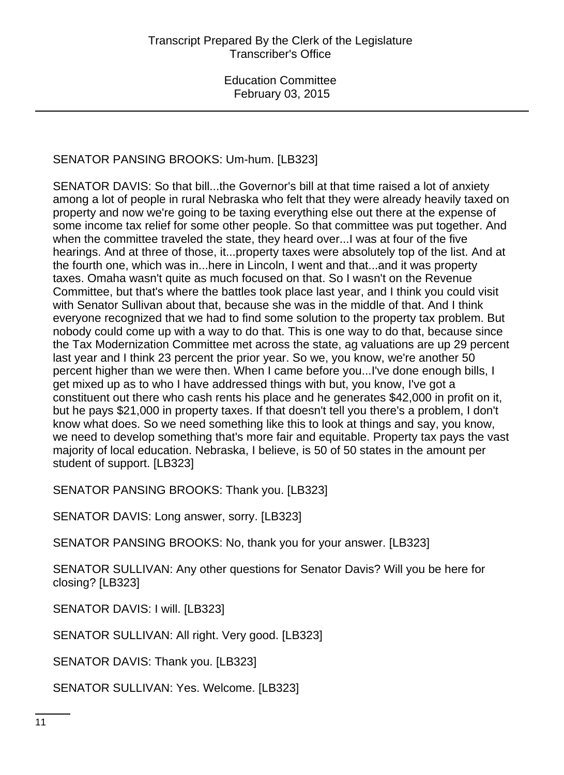# SENATOR PANSING BROOKS: Um-hum. [LB323]

SENATOR DAVIS: So that bill...the Governor's bill at that time raised a lot of anxiety among a lot of people in rural Nebraska who felt that they were already heavily taxed on property and now we're going to be taxing everything else out there at the expense of some income tax relief for some other people. So that committee was put together. And when the committee traveled the state, they heard over...I was at four of the five hearings. And at three of those, it...property taxes were absolutely top of the list. And at the fourth one, which was in...here in Lincoln, I went and that...and it was property taxes. Omaha wasn't quite as much focused on that. So I wasn't on the Revenue Committee, but that's where the battles took place last year, and I think you could visit with Senator Sullivan about that, because she was in the middle of that. And I think everyone recognized that we had to find some solution to the property tax problem. But nobody could come up with a way to do that. This is one way to do that, because since the Tax Modernization Committee met across the state, ag valuations are up 29 percent last year and I think 23 percent the prior year. So we, you know, we're another 50 percent higher than we were then. When I came before you...I've done enough bills, I get mixed up as to who I have addressed things with but, you know, I've got a constituent out there who cash rents his place and he generates \$42,000 in profit on it, but he pays \$21,000 in property taxes. If that doesn't tell you there's a problem, I don't know what does. So we need something like this to look at things and say, you know, we need to develop something that's more fair and equitable. Property tax pays the vast majority of local education. Nebraska, I believe, is 50 of 50 states in the amount per student of support. [LB323]

SENATOR PANSING BROOKS: Thank you. [LB323]

SENATOR DAVIS: Long answer, sorry. [LB323]

SENATOR PANSING BROOKS: No, thank you for your answer. [LB323]

SENATOR SULLIVAN: Any other questions for Senator Davis? Will you be here for closing? [LB323]

SENATOR DAVIS: I will. [LB323]

SENATOR SULLIVAN: All right. Very good. [LB323]

SENATOR DAVIS: Thank you. [LB323]

SENATOR SULLIVAN: Yes. Welcome. [LB323]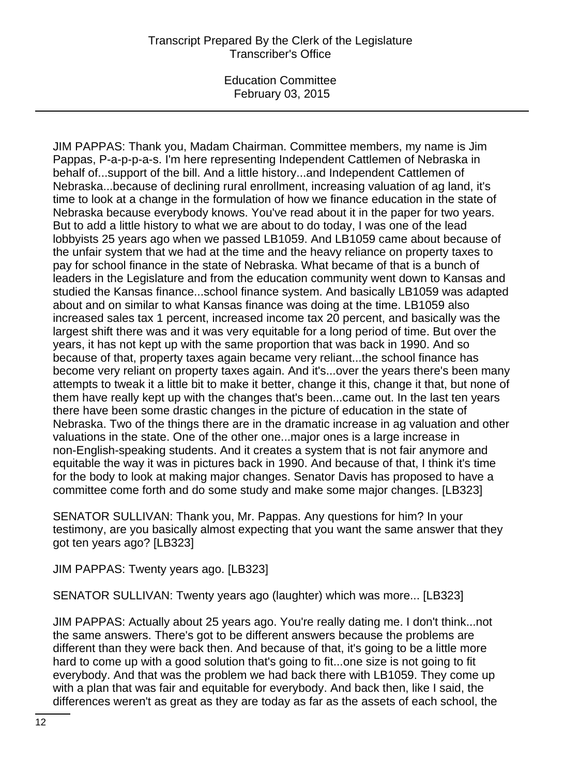JIM PAPPAS: Thank you, Madam Chairman. Committee members, my name is Jim Pappas, P-a-p-p-a-s. I'm here representing Independent Cattlemen of Nebraska in behalf of...support of the bill. And a little history...and Independent Cattlemen of Nebraska...because of declining rural enrollment, increasing valuation of ag land, it's time to look at a change in the formulation of how we finance education in the state of Nebraska because everybody knows. You've read about it in the paper for two years. But to add a little history to what we are about to do today, I was one of the lead lobbyists 25 years ago when we passed LB1059. And LB1059 came about because of the unfair system that we had at the time and the heavy reliance on property taxes to pay for school finance in the state of Nebraska. What became of that is a bunch of leaders in the Legislature and from the education community went down to Kansas and studied the Kansas finance...school finance system. And basically LB1059 was adapted about and on similar to what Kansas finance was doing at the time. LB1059 also increased sales tax 1 percent, increased income tax 20 percent, and basically was the largest shift there was and it was very equitable for a long period of time. But over the years, it has not kept up with the same proportion that was back in 1990. And so because of that, property taxes again became very reliant...the school finance has become very reliant on property taxes again. And it's...over the years there's been many attempts to tweak it a little bit to make it better, change it this, change it that, but none of them have really kept up with the changes that's been...came out. In the last ten years there have been some drastic changes in the picture of education in the state of Nebraska. Two of the things there are in the dramatic increase in ag valuation and other valuations in the state. One of the other one...major ones is a large increase in non-English-speaking students. And it creates a system that is not fair anymore and equitable the way it was in pictures back in 1990. And because of that, I think it's time for the body to look at making major changes. Senator Davis has proposed to have a committee come forth and do some study and make some major changes. [LB323]

SENATOR SULLIVAN: Thank you, Mr. Pappas. Any questions for him? In your testimony, are you basically almost expecting that you want the same answer that they got ten years ago? [LB323]

JIM PAPPAS: Twenty years ago. [LB323]

SENATOR SULLIVAN: Twenty years ago (laughter) which was more... [LB323]

JIM PAPPAS: Actually about 25 years ago. You're really dating me. I don't think...not the same answers. There's got to be different answers because the problems are different than they were back then. And because of that, it's going to be a little more hard to come up with a good solution that's going to fit...one size is not going to fit everybody. And that was the problem we had back there with LB1059. They come up with a plan that was fair and equitable for everybody. And back then, like I said, the differences weren't as great as they are today as far as the assets of each school, the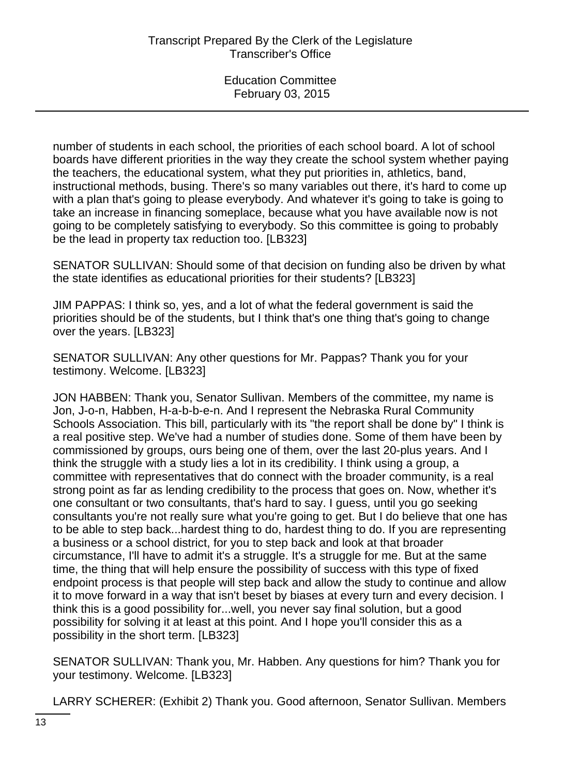number of students in each school, the priorities of each school board. A lot of school boards have different priorities in the way they create the school system whether paying the teachers, the educational system, what they put priorities in, athletics, band, instructional methods, busing. There's so many variables out there, it's hard to come up with a plan that's going to please everybody. And whatever it's going to take is going to take an increase in financing someplace, because what you have available now is not going to be completely satisfying to everybody. So this committee is going to probably be the lead in property tax reduction too. [LB323]

SENATOR SULLIVAN: Should some of that decision on funding also be driven by what the state identifies as educational priorities for their students? [LB323]

JIM PAPPAS: I think so, yes, and a lot of what the federal government is said the priorities should be of the students, but I think that's one thing that's going to change over the years. [LB323]

SENATOR SULLIVAN: Any other questions for Mr. Pappas? Thank you for your testimony. Welcome. [LB323]

JON HABBEN: Thank you, Senator Sullivan. Members of the committee, my name is Jon, J-o-n, Habben, H-a-b-b-e-n. And I represent the Nebraska Rural Community Schools Association. This bill, particularly with its "the report shall be done by" I think is a real positive step. We've had a number of studies done. Some of them have been by commissioned by groups, ours being one of them, over the last 20-plus years. And I think the struggle with a study lies a lot in its credibility. I think using a group, a committee with representatives that do connect with the broader community, is a real strong point as far as lending credibility to the process that goes on. Now, whether it's one consultant or two consultants, that's hard to say. I guess, until you go seeking consultants you're not really sure what you're going to get. But I do believe that one has to be able to step back...hardest thing to do, hardest thing to do. If you are representing a business or a school district, for you to step back and look at that broader circumstance, I'll have to admit it's a struggle. It's a struggle for me. But at the same time, the thing that will help ensure the possibility of success with this type of fixed endpoint process is that people will step back and allow the study to continue and allow it to move forward in a way that isn't beset by biases at every turn and every decision. I think this is a good possibility for...well, you never say final solution, but a good possibility for solving it at least at this point. And I hope you'll consider this as a possibility in the short term. [LB323]

SENATOR SULLIVAN: Thank you, Mr. Habben. Any questions for him? Thank you for your testimony. Welcome. [LB323]

LARRY SCHERER: (Exhibit 2) Thank you. Good afternoon, Senator Sullivan. Members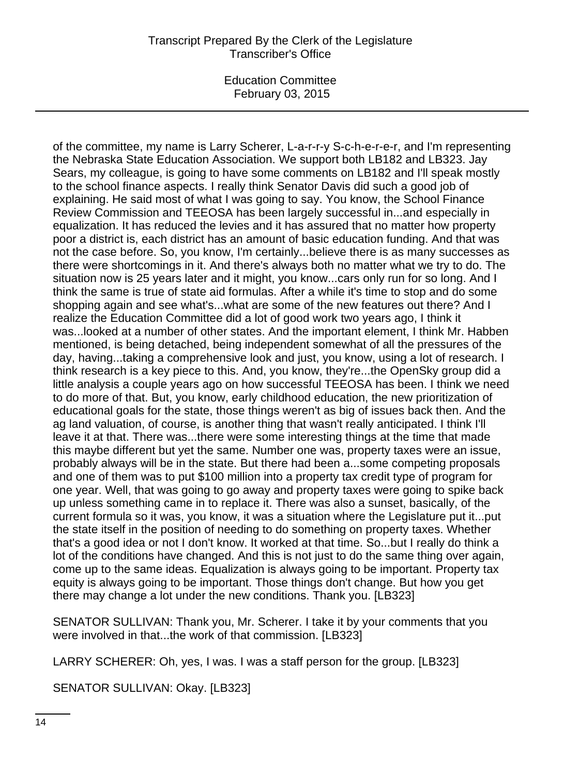of the committee, my name is Larry Scherer, L-a-r-r-y S-c-h-e-r-e-r, and I'm representing the Nebraska State Education Association. We support both LB182 and LB323. Jay Sears, my colleague, is going to have some comments on LB182 and I'll speak mostly to the school finance aspects. I really think Senator Davis did such a good job of explaining. He said most of what I was going to say. You know, the School Finance Review Commission and TEEOSA has been largely successful in...and especially in equalization. It has reduced the levies and it has assured that no matter how property poor a district is, each district has an amount of basic education funding. And that was not the case before. So, you know, I'm certainly...believe there is as many successes as there were shortcomings in it. And there's always both no matter what we try to do. The situation now is 25 years later and it might, you know...cars only run for so long. And I think the same is true of state aid formulas. After a while it's time to stop and do some shopping again and see what's...what are some of the new features out there? And I realize the Education Committee did a lot of good work two years ago, I think it was...looked at a number of other states. And the important element, I think Mr. Habben mentioned, is being detached, being independent somewhat of all the pressures of the day, having...taking a comprehensive look and just, you know, using a lot of research. I think research is a key piece to this. And, you know, they're...the OpenSky group did a little analysis a couple years ago on how successful TEEOSA has been. I think we need to do more of that. But, you know, early childhood education, the new prioritization of educational goals for the state, those things weren't as big of issues back then. And the ag land valuation, of course, is another thing that wasn't really anticipated. I think I'll leave it at that. There was...there were some interesting things at the time that made this maybe different but yet the same. Number one was, property taxes were an issue, probably always will be in the state. But there had been a...some competing proposals and one of them was to put \$100 million into a property tax credit type of program for one year. Well, that was going to go away and property taxes were going to spike back up unless something came in to replace it. There was also a sunset, basically, of the current formula so it was, you know, it was a situation where the Legislature put it...put the state itself in the position of needing to do something on property taxes. Whether that's a good idea or not I don't know. It worked at that time. So...but I really do think a lot of the conditions have changed. And this is not just to do the same thing over again, come up to the same ideas. Equalization is always going to be important. Property tax equity is always going to be important. Those things don't change. But how you get there may change a lot under the new conditions. Thank you. [LB323]

SENATOR SULLIVAN: Thank you, Mr. Scherer. I take it by your comments that you were involved in that...the work of that commission. [LB323]

LARRY SCHERER: Oh, yes, I was. I was a staff person for the group. [LB323]

SENATOR SULLIVAN: Okay. [LB323]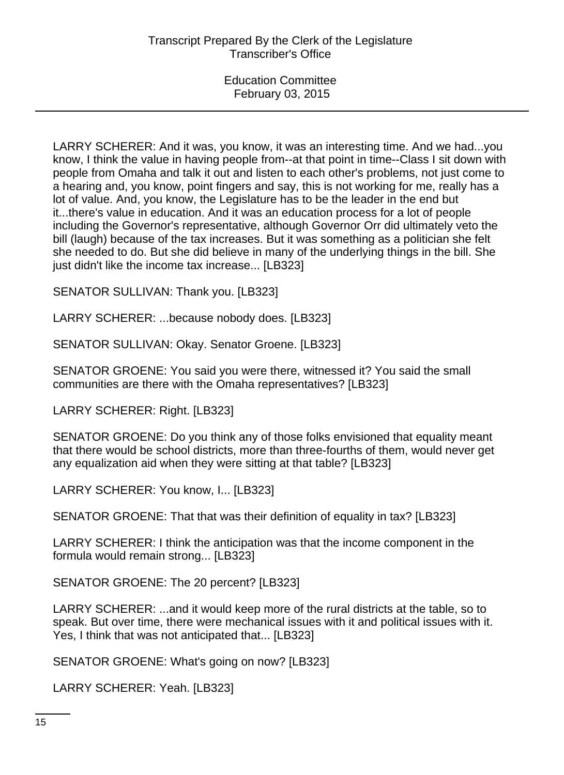LARRY SCHERER: And it was, you know, it was an interesting time. And we had...you know, I think the value in having people from--at that point in time--Class I sit down with people from Omaha and talk it out and listen to each other's problems, not just come to a hearing and, you know, point fingers and say, this is not working for me, really has a lot of value. And, you know, the Legislature has to be the leader in the end but it...there's value in education. And it was an education process for a lot of people including the Governor's representative, although Governor Orr did ultimately veto the bill (laugh) because of the tax increases. But it was something as a politician she felt she needed to do. But she did believe in many of the underlying things in the bill. She just didn't like the income tax increase... [LB323]

SENATOR SULLIVAN: Thank you. [LB323]

LARRY SCHERER: ...because nobody does. [LB323]

SENATOR SULLIVAN: Okay. Senator Groene. [LB323]

SENATOR GROENE: You said you were there, witnessed it? You said the small communities are there with the Omaha representatives? [LB323]

LARRY SCHERER: Right. [LB323]

SENATOR GROENE: Do you think any of those folks envisioned that equality meant that there would be school districts, more than three-fourths of them, would never get any equalization aid when they were sitting at that table? [LB323]

LARRY SCHERER: You know, I... [LB323]

SENATOR GROENE: That that was their definition of equality in tax? [LB323]

LARRY SCHERER: I think the anticipation was that the income component in the formula would remain strong... [LB323]

SENATOR GROENE: The 20 percent? [LB323]

LARRY SCHERER: ...and it would keep more of the rural districts at the table, so to speak. But over time, there were mechanical issues with it and political issues with it. Yes, I think that was not anticipated that... [LB323]

SENATOR GROENE: What's going on now? [LB323]

LARRY SCHERER: Yeah. [LB323]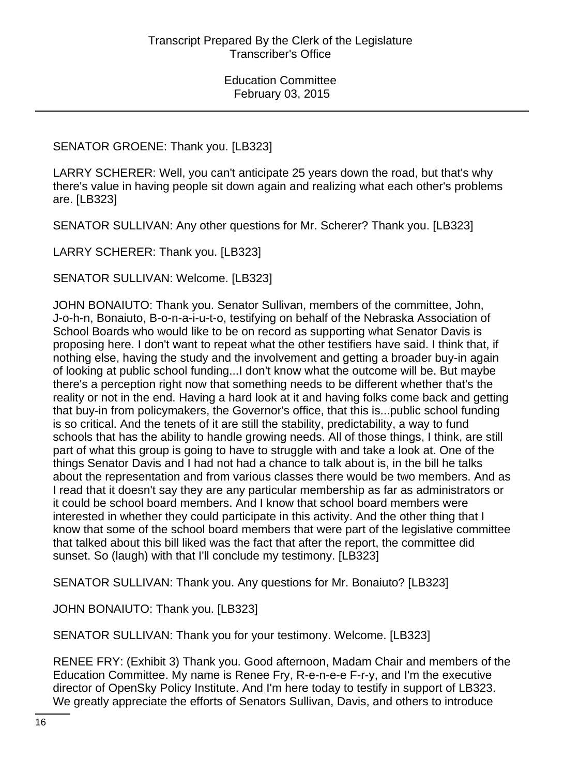# SENATOR GROENE: Thank you. [LB323]

LARRY SCHERER: Well, you can't anticipate 25 years down the road, but that's why there's value in having people sit down again and realizing what each other's problems are. [LB323]

SENATOR SULLIVAN: Any other questions for Mr. Scherer? Thank you. [LB323]

LARRY SCHERER: Thank you. [LB323]

SENATOR SULLIVAN: Welcome. [LB323]

JOHN BONAIUTO: Thank you. Senator Sullivan, members of the committee, John, J-o-h-n, Bonaiuto, B-o-n-a-i-u-t-o, testifying on behalf of the Nebraska Association of School Boards who would like to be on record as supporting what Senator Davis is proposing here. I don't want to repeat what the other testifiers have said. I think that, if nothing else, having the study and the involvement and getting a broader buy-in again of looking at public school funding...I don't know what the outcome will be. But maybe there's a perception right now that something needs to be different whether that's the reality or not in the end. Having a hard look at it and having folks come back and getting that buy-in from policymakers, the Governor's office, that this is...public school funding is so critical. And the tenets of it are still the stability, predictability, a way to fund schools that has the ability to handle growing needs. All of those things, I think, are still part of what this group is going to have to struggle with and take a look at. One of the things Senator Davis and I had not had a chance to talk about is, in the bill he talks about the representation and from various classes there would be two members. And as I read that it doesn't say they are any particular membership as far as administrators or it could be school board members. And I know that school board members were interested in whether they could participate in this activity. And the other thing that I know that some of the school board members that were part of the legislative committee that talked about this bill liked was the fact that after the report, the committee did sunset. So (laugh) with that I'll conclude my testimony. [LB323]

SENATOR SULLIVAN: Thank you. Any questions for Mr. Bonaiuto? [LB323]

JOHN BONAIUTO: Thank you. [LB323]

SENATOR SULLIVAN: Thank you for your testimony. Welcome. [LB323]

RENEE FRY: (Exhibit 3) Thank you. Good afternoon, Madam Chair and members of the Education Committee. My name is Renee Fry, R-e-n-e-e F-r-y, and I'm the executive director of OpenSky Policy Institute. And I'm here today to testify in support of LB323. We greatly appreciate the efforts of Senators Sullivan, Davis, and others to introduce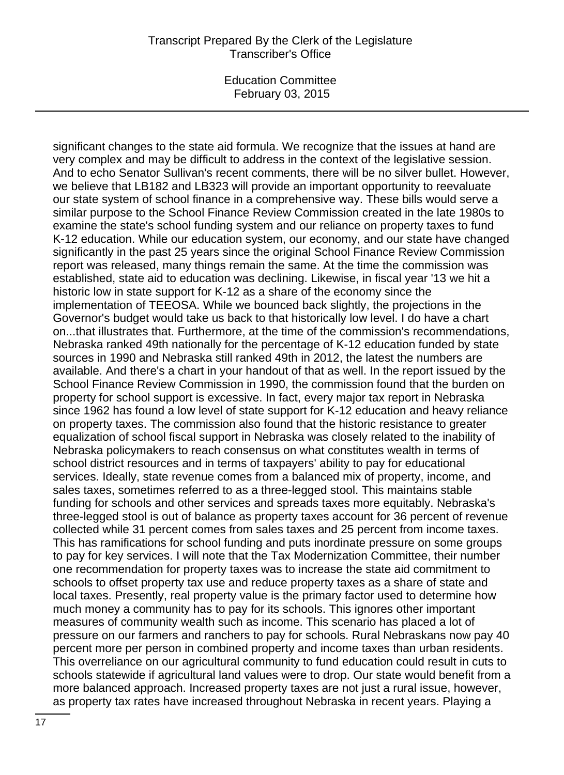#### Transcript Prepared By the Clerk of the Legislature Transcriber's Office

Education Committee February 03, 2015

significant changes to the state aid formula. We recognize that the issues at hand are very complex and may be difficult to address in the context of the legislative session. And to echo Senator Sullivan's recent comments, there will be no silver bullet. However, we believe that LB182 and LB323 will provide an important opportunity to reevaluate our state system of school finance in a comprehensive way. These bills would serve a similar purpose to the School Finance Review Commission created in the late 1980s to examine the state's school funding system and our reliance on property taxes to fund K-12 education. While our education system, our economy, and our state have changed significantly in the past 25 years since the original School Finance Review Commission report was released, many things remain the same. At the time the commission was established, state aid to education was declining. Likewise, in fiscal year '13 we hit a historic low in state support for K-12 as a share of the economy since the implementation of TEEOSA. While we bounced back slightly, the projections in the Governor's budget would take us back to that historically low level. I do have a chart on...that illustrates that. Furthermore, at the time of the commission's recommendations, Nebraska ranked 49th nationally for the percentage of K-12 education funded by state sources in 1990 and Nebraska still ranked 49th in 2012, the latest the numbers are available. And there's a chart in your handout of that as well. In the report issued by the School Finance Review Commission in 1990, the commission found that the burden on property for school support is excessive. In fact, every major tax report in Nebraska since 1962 has found a low level of state support for K-12 education and heavy reliance on property taxes. The commission also found that the historic resistance to greater equalization of school fiscal support in Nebraska was closely related to the inability of Nebraska policymakers to reach consensus on what constitutes wealth in terms of school district resources and in terms of taxpayers' ability to pay for educational services. Ideally, state revenue comes from a balanced mix of property, income, and sales taxes, sometimes referred to as a three-legged stool. This maintains stable funding for schools and other services and spreads taxes more equitably. Nebraska's three-legged stool is out of balance as property taxes account for 36 percent of revenue collected while 31 percent comes from sales taxes and 25 percent from income taxes. This has ramifications for school funding and puts inordinate pressure on some groups to pay for key services. I will note that the Tax Modernization Committee, their number one recommendation for property taxes was to increase the state aid commitment to schools to offset property tax use and reduce property taxes as a share of state and local taxes. Presently, real property value is the primary factor used to determine how much money a community has to pay for its schools. This ignores other important measures of community wealth such as income. This scenario has placed a lot of pressure on our farmers and ranchers to pay for schools. Rural Nebraskans now pay 40 percent more per person in combined property and income taxes than urban residents. This overreliance on our agricultural community to fund education could result in cuts to schools statewide if agricultural land values were to drop. Our state would benefit from a more balanced approach. Increased property taxes are not just a rural issue, however, as property tax rates have increased throughout Nebraska in recent years. Playing a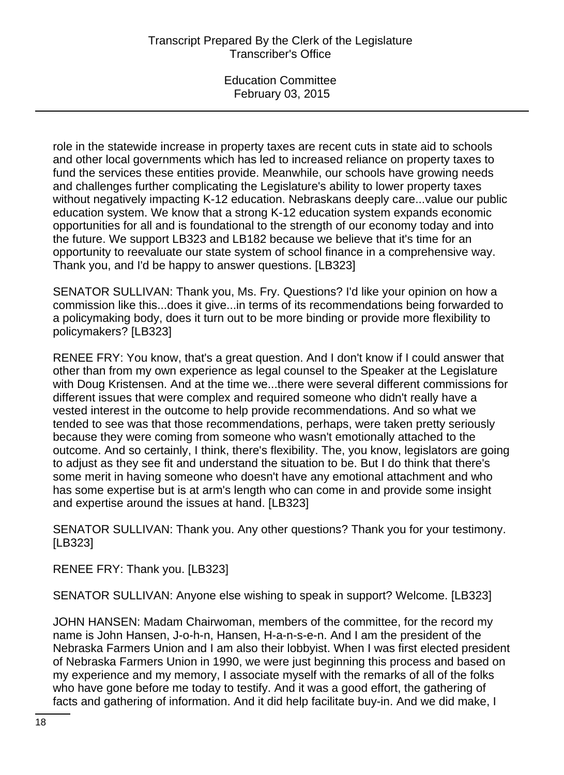role in the statewide increase in property taxes are recent cuts in state aid to schools and other local governments which has led to increased reliance on property taxes to fund the services these entities provide. Meanwhile, our schools have growing needs and challenges further complicating the Legislature's ability to lower property taxes without negatively impacting K-12 education. Nebraskans deeply care...value our public education system. We know that a strong K-12 education system expands economic opportunities for all and is foundational to the strength of our economy today and into the future. We support LB323 and LB182 because we believe that it's time for an opportunity to reevaluate our state system of school finance in a comprehensive way. Thank you, and I'd be happy to answer questions. [LB323]

SENATOR SULLIVAN: Thank you, Ms. Fry. Questions? I'd like your opinion on how a commission like this...does it give...in terms of its recommendations being forwarded to a policymaking body, does it turn out to be more binding or provide more flexibility to policymakers? [LB323]

RENEE FRY: You know, that's a great question. And I don't know if I could answer that other than from my own experience as legal counsel to the Speaker at the Legislature with Doug Kristensen. And at the time we...there were several different commissions for different issues that were complex and required someone who didn't really have a vested interest in the outcome to help provide recommendations. And so what we tended to see was that those recommendations, perhaps, were taken pretty seriously because they were coming from someone who wasn't emotionally attached to the outcome. And so certainly, I think, there's flexibility. The, you know, legislators are going to adjust as they see fit and understand the situation to be. But I do think that there's some merit in having someone who doesn't have any emotional attachment and who has some expertise but is at arm's length who can come in and provide some insight and expertise around the issues at hand. [LB323]

SENATOR SULLIVAN: Thank you. Any other questions? Thank you for your testimony. [LB323]

RENEE FRY: Thank you. [LB323]

SENATOR SULLIVAN: Anyone else wishing to speak in support? Welcome. [LB323]

JOHN HANSEN: Madam Chairwoman, members of the committee, for the record my name is John Hansen, J-o-h-n, Hansen, H-a-n-s-e-n. And I am the president of the Nebraska Farmers Union and I am also their lobbyist. When I was first elected president of Nebraska Farmers Union in 1990, we were just beginning this process and based on my experience and my memory, I associate myself with the remarks of all of the folks who have gone before me today to testify. And it was a good effort, the gathering of facts and gathering of information. And it did help facilitate buy-in. And we did make, I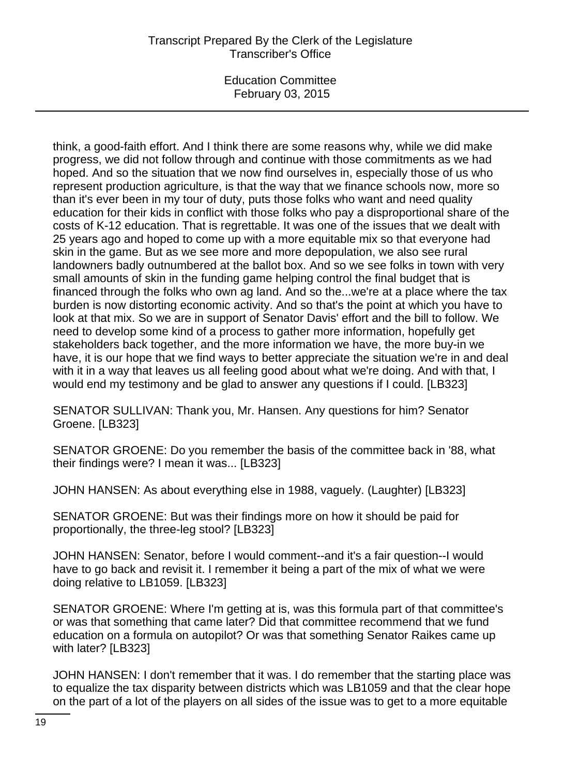# Transcript Prepared By the Clerk of the Legislature Transcriber's Office

Education Committee February 03, 2015

think, a good-faith effort. And I think there are some reasons why, while we did make progress, we did not follow through and continue with those commitments as we had hoped. And so the situation that we now find ourselves in, especially those of us who represent production agriculture, is that the way that we finance schools now, more so than it's ever been in my tour of duty, puts those folks who want and need quality education for their kids in conflict with those folks who pay a disproportional share of the costs of K-12 education. That is regrettable. It was one of the issues that we dealt with 25 years ago and hoped to come up with a more equitable mix so that everyone had skin in the game. But as we see more and more depopulation, we also see rural landowners badly outnumbered at the ballot box. And so we see folks in town with very small amounts of skin in the funding game helping control the final budget that is financed through the folks who own ag land. And so the...we're at a place where the tax burden is now distorting economic activity. And so that's the point at which you have to look at that mix. So we are in support of Senator Davis' effort and the bill to follow. We need to develop some kind of a process to gather more information, hopefully get stakeholders back together, and the more information we have, the more buy-in we have, it is our hope that we find ways to better appreciate the situation we're in and deal with it in a way that leaves us all feeling good about what we're doing. And with that, I would end my testimony and be glad to answer any questions if I could. [LB323]

SENATOR SULLIVAN: Thank you, Mr. Hansen. Any questions for him? Senator Groene. [LB323]

SENATOR GROENE: Do you remember the basis of the committee back in '88, what their findings were? I mean it was... [LB323]

JOHN HANSEN: As about everything else in 1988, vaguely. (Laughter) [LB323]

SENATOR GROENE: But was their findings more on how it should be paid for proportionally, the three-leg stool? [LB323]

JOHN HANSEN: Senator, before I would comment--and it's a fair question--I would have to go back and revisit it. I remember it being a part of the mix of what we were doing relative to LB1059. [LB323]

SENATOR GROENE: Where I'm getting at is, was this formula part of that committee's or was that something that came later? Did that committee recommend that we fund education on a formula on autopilot? Or was that something Senator Raikes came up with later? [LB323]

JOHN HANSEN: I don't remember that it was. I do remember that the starting place was to equalize the tax disparity between districts which was LB1059 and that the clear hope on the part of a lot of the players on all sides of the issue was to get to a more equitable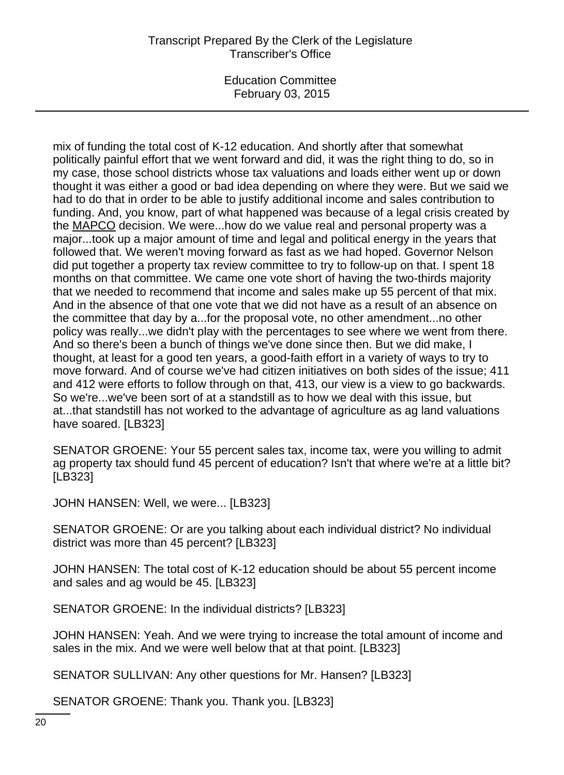# Transcript Prepared By the Clerk of the Legislature Transcriber's Office

Education Committee February 03, 2015

mix of funding the total cost of K-12 education. And shortly after that somewhat politically painful effort that we went forward and did, it was the right thing to do, so in my case, those school districts whose tax valuations and loads either went up or down thought it was either a good or bad idea depending on where they were. But we said we had to do that in order to be able to justify additional income and sales contribution to funding. And, you know, part of what happened was because of a legal crisis created by the MAPCO decision. We were...how do we value real and personal property was a major...took up a major amount of time and legal and political energy in the years that followed that. We weren't moving forward as fast as we had hoped. Governor Nelson did put together a property tax review committee to try to follow-up on that. I spent 18 months on that committee. We came one vote short of having the two-thirds majority that we needed to recommend that income and sales make up 55 percent of that mix. And in the absence of that one vote that we did not have as a result of an absence on the committee that day by a...for the proposal vote, no other amendment...no other policy was really...we didn't play with the percentages to see where we went from there. And so there's been a bunch of things we've done since then. But we did make, I thought, at least for a good ten years, a good-faith effort in a variety of ways to try to move forward. And of course we've had citizen initiatives on both sides of the issue; 411 and 412 were efforts to follow through on that, 413, our view is a view to go backwards. So we're...we've been sort of at a standstill as to how we deal with this issue, but at...that standstill has not worked to the advantage of agriculture as ag land valuations have soared. [LB323]

SENATOR GROENE: Your 55 percent sales tax, income tax, were you willing to admit ag property tax should fund 45 percent of education? Isn't that where we're at a little bit? [LB323]

JOHN HANSEN: Well, we were... [LB323]

SENATOR GROENE: Or are you talking about each individual district? No individual district was more than 45 percent? [LB323]

JOHN HANSEN: The total cost of K-12 education should be about 55 percent income and sales and ag would be 45. [LB323]

SENATOR GROENE: In the individual districts? [LB323]

JOHN HANSEN: Yeah. And we were trying to increase the total amount of income and sales in the mix. And we were well below that at that point. [LB323]

SENATOR SULLIVAN: Any other questions for Mr. Hansen? [LB323]

SENATOR GROENE: Thank you. Thank you. [LB323]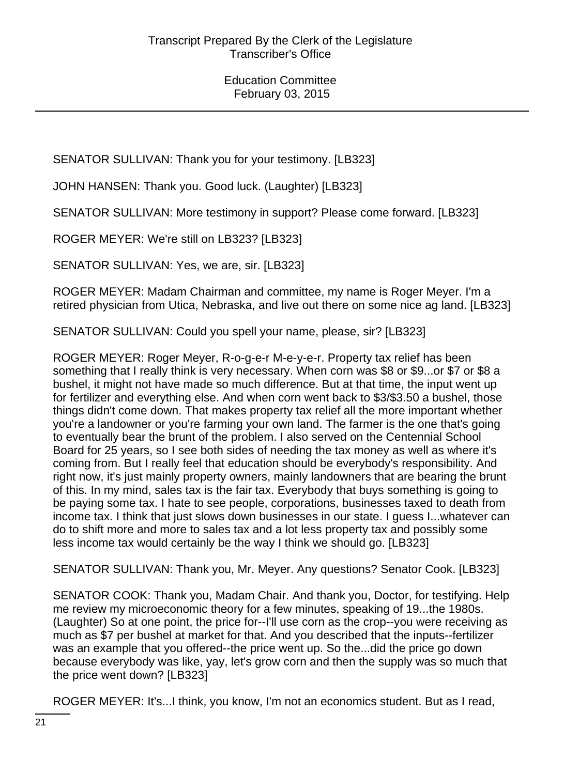SENATOR SULLIVAN: Thank you for your testimony. [LB323]

JOHN HANSEN: Thank you. Good luck. (Laughter) [LB323]

SENATOR SULLIVAN: More testimony in support? Please come forward. [LB323]

ROGER MEYER: We're still on LB323? [LB323]

SENATOR SULLIVAN: Yes, we are, sir. [LB323]

ROGER MEYER: Madam Chairman and committee, my name is Roger Meyer. I'm a retired physician from Utica, Nebraska, and live out there on some nice ag land. [LB323]

SENATOR SULLIVAN: Could you spell your name, please, sir? [LB323]

ROGER MEYER: Roger Meyer, R-o-g-e-r M-e-y-e-r. Property tax relief has been something that I really think is very necessary. When corn was \$8 or \$9...or \$7 or \$8 a bushel, it might not have made so much difference. But at that time, the input went up for fertilizer and everything else. And when corn went back to \$3/\$3.50 a bushel, those things didn't come down. That makes property tax relief all the more important whether you're a landowner or you're farming your own land. The farmer is the one that's going to eventually bear the brunt of the problem. I also served on the Centennial School Board for 25 years, so I see both sides of needing the tax money as well as where it's coming from. But I really feel that education should be everybody's responsibility. And right now, it's just mainly property owners, mainly landowners that are bearing the brunt of this. In my mind, sales tax is the fair tax. Everybody that buys something is going to be paying some tax. I hate to see people, corporations, businesses taxed to death from income tax. I think that just slows down businesses in our state. I guess I...whatever can do to shift more and more to sales tax and a lot less property tax and possibly some less income tax would certainly be the way I think we should go. [LB323]

SENATOR SULLIVAN: Thank you, Mr. Meyer. Any questions? Senator Cook. [LB323]

SENATOR COOK: Thank you, Madam Chair. And thank you, Doctor, for testifying. Help me review my microeconomic theory for a few minutes, speaking of 19...the 1980s. (Laughter) So at one point, the price for--I'll use corn as the crop--you were receiving as much as \$7 per bushel at market for that. And you described that the inputs--fertilizer was an example that you offered--the price went up. So the...did the price go down because everybody was like, yay, let's grow corn and then the supply was so much that the price went down? [LB323]

ROGER MEYER: It's...I think, you know, I'm not an economics student. But as I read,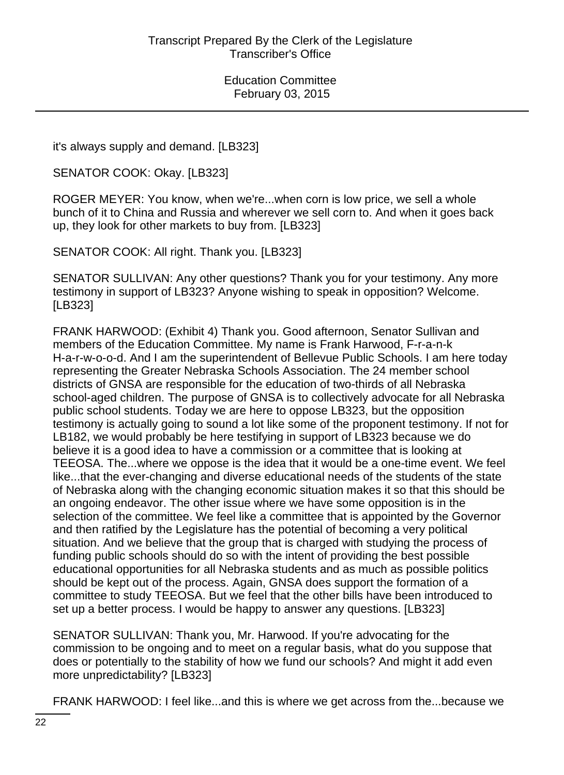it's always supply and demand. [LB323]

SENATOR COOK: Okay. [LB323]

ROGER MEYER: You know, when we're...when corn is low price, we sell a whole bunch of it to China and Russia and wherever we sell corn to. And when it goes back up, they look for other markets to buy from. [LB323]

SENATOR COOK: All right. Thank you. [LB323]

SENATOR SULLIVAN: Any other questions? Thank you for your testimony. Any more testimony in support of LB323? Anyone wishing to speak in opposition? Welcome. [LB323]

FRANK HARWOOD: (Exhibit 4) Thank you. Good afternoon, Senator Sullivan and members of the Education Committee. My name is Frank Harwood, F-r-a-n-k H-a-r-w-o-o-d. And I am the superintendent of Bellevue Public Schools. I am here today representing the Greater Nebraska Schools Association. The 24 member school districts of GNSA are responsible for the education of two-thirds of all Nebraska school-aged children. The purpose of GNSA is to collectively advocate for all Nebraska public school students. Today we are here to oppose LB323, but the opposition testimony is actually going to sound a lot like some of the proponent testimony. If not for LB182, we would probably be here testifying in support of LB323 because we do believe it is a good idea to have a commission or a committee that is looking at TEEOSA. The...where we oppose is the idea that it would be a one-time event. We feel like...that the ever-changing and diverse educational needs of the students of the state of Nebraska along with the changing economic situation makes it so that this should be an ongoing endeavor. The other issue where we have some opposition is in the selection of the committee. We feel like a committee that is appointed by the Governor and then ratified by the Legislature has the potential of becoming a very political situation. And we believe that the group that is charged with studying the process of funding public schools should do so with the intent of providing the best possible educational opportunities for all Nebraska students and as much as possible politics should be kept out of the process. Again, GNSA does support the formation of a committee to study TEEOSA. But we feel that the other bills have been introduced to set up a better process. I would be happy to answer any questions. [LB323]

SENATOR SULLIVAN: Thank you, Mr. Harwood. If you're advocating for the commission to be ongoing and to meet on a regular basis, what do you suppose that does or potentially to the stability of how we fund our schools? And might it add even more unpredictability? [LB323]

FRANK HARWOOD: I feel like...and this is where we get across from the...because we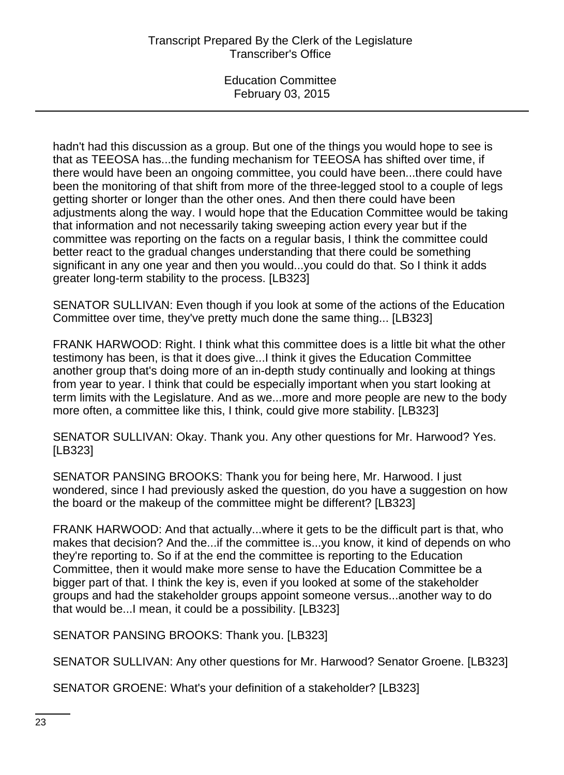hadn't had this discussion as a group. But one of the things you would hope to see is that as TEEOSA has...the funding mechanism for TEEOSA has shifted over time, if there would have been an ongoing committee, you could have been...there could have been the monitoring of that shift from more of the three-legged stool to a couple of legs getting shorter or longer than the other ones. And then there could have been adjustments along the way. I would hope that the Education Committee would be taking that information and not necessarily taking sweeping action every year but if the committee was reporting on the facts on a regular basis, I think the committee could better react to the gradual changes understanding that there could be something significant in any one year and then you would...you could do that. So I think it adds greater long-term stability to the process. [LB323]

SENATOR SULLIVAN: Even though if you look at some of the actions of the Education Committee over time, they've pretty much done the same thing... [LB323]

FRANK HARWOOD: Right. I think what this committee does is a little bit what the other testimony has been, is that it does give...I think it gives the Education Committee another group that's doing more of an in-depth study continually and looking at things from year to year. I think that could be especially important when you start looking at term limits with the Legislature. And as we...more and more people are new to the body more often, a committee like this, I think, could give more stability. [LB323]

SENATOR SULLIVAN: Okay. Thank you. Any other questions for Mr. Harwood? Yes. [LB323]

SENATOR PANSING BROOKS: Thank you for being here, Mr. Harwood. I just wondered, since I had previously asked the question, do you have a suggestion on how the board or the makeup of the committee might be different? [LB323]

FRANK HARWOOD: And that actually...where it gets to be the difficult part is that, who makes that decision? And the...if the committee is...you know, it kind of depends on who they're reporting to. So if at the end the committee is reporting to the Education Committee, then it would make more sense to have the Education Committee be a bigger part of that. I think the key is, even if you looked at some of the stakeholder groups and had the stakeholder groups appoint someone versus...another way to do that would be...I mean, it could be a possibility. [LB323]

SENATOR PANSING BROOKS: Thank you. [LB323]

SENATOR SULLIVAN: Any other questions for Mr. Harwood? Senator Groene. [LB323]

SENATOR GROENE: What's your definition of a stakeholder? [LB323]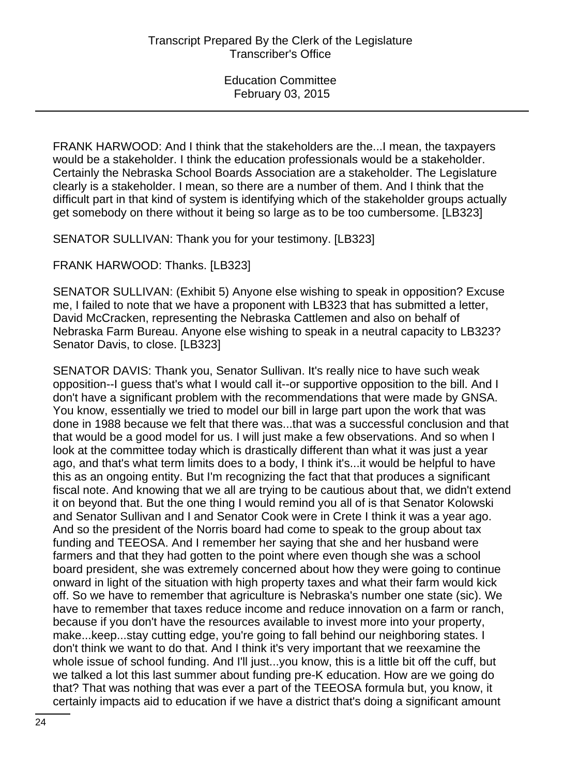FRANK HARWOOD: And I think that the stakeholders are the...I mean, the taxpayers would be a stakeholder. I think the education professionals would be a stakeholder. Certainly the Nebraska School Boards Association are a stakeholder. The Legislature clearly is a stakeholder. I mean, so there are a number of them. And I think that the difficult part in that kind of system is identifying which of the stakeholder groups actually get somebody on there without it being so large as to be too cumbersome. [LB323]

SENATOR SULLIVAN: Thank you for your testimony. [LB323]

FRANK HARWOOD: Thanks. [LB323]

SENATOR SULLIVAN: (Exhibit 5) Anyone else wishing to speak in opposition? Excuse me, I failed to note that we have a proponent with LB323 that has submitted a letter, David McCracken, representing the Nebraska Cattlemen and also on behalf of Nebraska Farm Bureau. Anyone else wishing to speak in a neutral capacity to LB323? Senator Davis, to close. [LB323]

SENATOR DAVIS: Thank you, Senator Sullivan. It's really nice to have such weak opposition--I guess that's what I would call it--or supportive opposition to the bill. And I don't have a significant problem with the recommendations that were made by GNSA. You know, essentially we tried to model our bill in large part upon the work that was done in 1988 because we felt that there was...that was a successful conclusion and that that would be a good model for us. I will just make a few observations. And so when I look at the committee today which is drastically different than what it was just a year ago, and that's what term limits does to a body, I think it's...it would be helpful to have this as an ongoing entity. But I'm recognizing the fact that that produces a significant fiscal note. And knowing that we all are trying to be cautious about that, we didn't extend it on beyond that. But the one thing I would remind you all of is that Senator Kolowski and Senator Sullivan and I and Senator Cook were in Crete I think it was a year ago. And so the president of the Norris board had come to speak to the group about tax funding and TEEOSA. And I remember her saying that she and her husband were farmers and that they had gotten to the point where even though she was a school board president, she was extremely concerned about how they were going to continue onward in light of the situation with high property taxes and what their farm would kick off. So we have to remember that agriculture is Nebraska's number one state (sic). We have to remember that taxes reduce income and reduce innovation on a farm or ranch, because if you don't have the resources available to invest more into your property, make...keep...stay cutting edge, you're going to fall behind our neighboring states. I don't think we want to do that. And I think it's very important that we reexamine the whole issue of school funding. And I'll just...you know, this is a little bit off the cuff, but we talked a lot this last summer about funding pre-K education. How are we going do that? That was nothing that was ever a part of the TEEOSA formula but, you know, it certainly impacts aid to education if we have a district that's doing a significant amount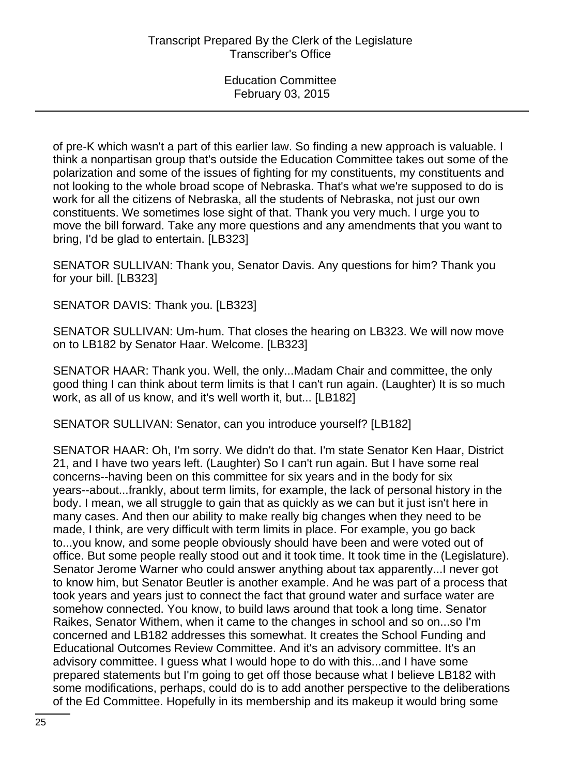of pre-K which wasn't a part of this earlier law. So finding a new approach is valuable. I think a nonpartisan group that's outside the Education Committee takes out some of the polarization and some of the issues of fighting for my constituents, my constituents and not looking to the whole broad scope of Nebraska. That's what we're supposed to do is work for all the citizens of Nebraska, all the students of Nebraska, not just our own constituents. We sometimes lose sight of that. Thank you very much. I urge you to move the bill forward. Take any more questions and any amendments that you want to bring, I'd be glad to entertain. [LB323]

SENATOR SULLIVAN: Thank you, Senator Davis. Any questions for him? Thank you for your bill. [LB323]

SENATOR DAVIS: Thank you. [LB323]

SENATOR SULLIVAN: Um-hum. That closes the hearing on LB323. We will now move on to LB182 by Senator Haar. Welcome. [LB323]

SENATOR HAAR: Thank you. Well, the only...Madam Chair and committee, the only good thing I can think about term limits is that I can't run again. (Laughter) It is so much work, as all of us know, and it's well worth it, but... [LB182]

SENATOR SULLIVAN: Senator, can you introduce yourself? [LB182]

SENATOR HAAR: Oh, I'm sorry. We didn't do that. I'm state Senator Ken Haar, District 21, and I have two years left. (Laughter) So I can't run again. But I have some real concerns--having been on this committee for six years and in the body for six years--about...frankly, about term limits, for example, the lack of personal history in the body. I mean, we all struggle to gain that as quickly as we can but it just isn't here in many cases. And then our ability to make really big changes when they need to be made, I think, are very difficult with term limits in place. For example, you go back to...you know, and some people obviously should have been and were voted out of office. But some people really stood out and it took time. It took time in the (Legislature). Senator Jerome Warner who could answer anything about tax apparently...I never got to know him, but Senator Beutler is another example. And he was part of a process that took years and years just to connect the fact that ground water and surface water are somehow connected. You know, to build laws around that took a long time. Senator Raikes, Senator Withem, when it came to the changes in school and so on...so I'm concerned and LB182 addresses this somewhat. It creates the School Funding and Educational Outcomes Review Committee. And it's an advisory committee. It's an advisory committee. I guess what I would hope to do with this...and I have some prepared statements but I'm going to get off those because what I believe LB182 with some modifications, perhaps, could do is to add another perspective to the deliberations of the Ed Committee. Hopefully in its membership and its makeup it would bring some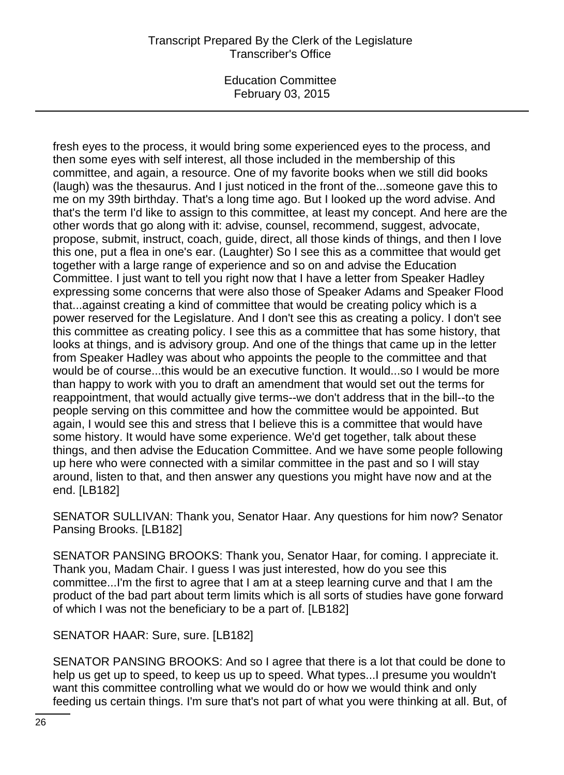# Transcript Prepared By the Clerk of the Legislature Transcriber's Office

Education Committee February 03, 2015

fresh eyes to the process, it would bring some experienced eyes to the process, and then some eyes with self interest, all those included in the membership of this committee, and again, a resource. One of my favorite books when we still did books (laugh) was the thesaurus. And I just noticed in the front of the...someone gave this to me on my 39th birthday. That's a long time ago. But I looked up the word advise. And that's the term I'd like to assign to this committee, at least my concept. And here are the other words that go along with it: advise, counsel, recommend, suggest, advocate, propose, submit, instruct, coach, guide, direct, all those kinds of things, and then I love this one, put a flea in one's ear. (Laughter) So I see this as a committee that would get together with a large range of experience and so on and advise the Education Committee. I just want to tell you right now that I have a letter from Speaker Hadley expressing some concerns that were also those of Speaker Adams and Speaker Flood that...against creating a kind of committee that would be creating policy which is a power reserved for the Legislature. And I don't see this as creating a policy. I don't see this committee as creating policy. I see this as a committee that has some history, that looks at things, and is advisory group. And one of the things that came up in the letter from Speaker Hadley was about who appoints the people to the committee and that would be of course...this would be an executive function. It would...so I would be more than happy to work with you to draft an amendment that would set out the terms for reappointment, that would actually give terms--we don't address that in the bill--to the people serving on this committee and how the committee would be appointed. But again, I would see this and stress that I believe this is a committee that would have some history. It would have some experience. We'd get together, talk about these things, and then advise the Education Committee. And we have some people following up here who were connected with a similar committee in the past and so I will stay around, listen to that, and then answer any questions you might have now and at the end. [LB182]

SENATOR SULLIVAN: Thank you, Senator Haar. Any questions for him now? Senator Pansing Brooks. [LB182]

SENATOR PANSING BROOKS: Thank you, Senator Haar, for coming. I appreciate it. Thank you, Madam Chair. I guess I was just interested, how do you see this committee...I'm the first to agree that I am at a steep learning curve and that I am the product of the bad part about term limits which is all sorts of studies have gone forward of which I was not the beneficiary to be a part of. [LB182]

SENATOR HAAR: Sure, sure. [LB182]

SENATOR PANSING BROOKS: And so I agree that there is a lot that could be done to help us get up to speed, to keep us up to speed. What types...I presume you wouldn't want this committee controlling what we would do or how we would think and only feeding us certain things. I'm sure that's not part of what you were thinking at all. But, of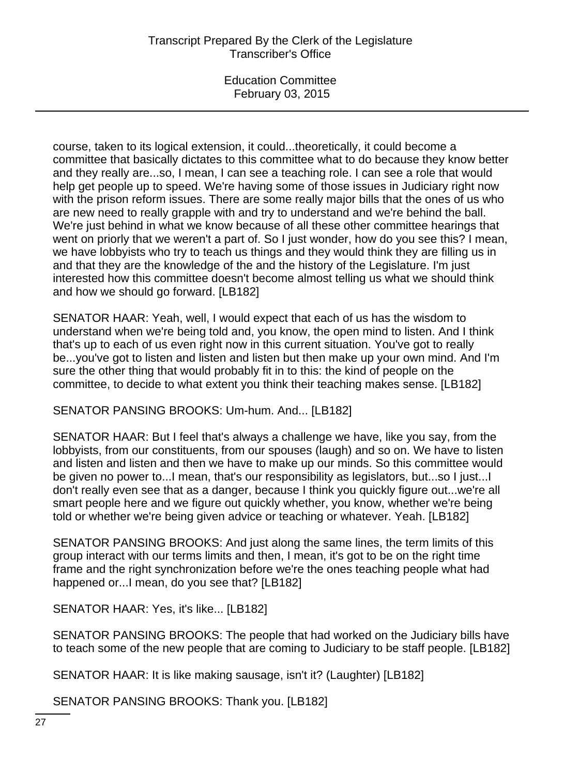# Transcript Prepared By the Clerk of the Legislature Transcriber's Office

Education Committee February 03, 2015

course, taken to its logical extension, it could...theoretically, it could become a committee that basically dictates to this committee what to do because they know better and they really are...so, I mean, I can see a teaching role. I can see a role that would help get people up to speed. We're having some of those issues in Judiciary right now with the prison reform issues. There are some really major bills that the ones of us who are new need to really grapple with and try to understand and we're behind the ball. We're just behind in what we know because of all these other committee hearings that went on priorly that we weren't a part of. So I just wonder, how do you see this? I mean, we have lobbyists who try to teach us things and they would think they are filling us in and that they are the knowledge of the and the history of the Legislature. I'm just interested how this committee doesn't become almost telling us what we should think and how we should go forward. [LB182]

SENATOR HAAR: Yeah, well, I would expect that each of us has the wisdom to understand when we're being told and, you know, the open mind to listen. And I think that's up to each of us even right now in this current situation. You've got to really be...you've got to listen and listen and listen but then make up your own mind. And I'm sure the other thing that would probably fit in to this: the kind of people on the committee, to decide to what extent you think their teaching makes sense. [LB182]

SENATOR PANSING BROOKS: Um-hum. And... [LB182]

SENATOR HAAR: But I feel that's always a challenge we have, like you say, from the lobbyists, from our constituents, from our spouses (laugh) and so on. We have to listen and listen and listen and then we have to make up our minds. So this committee would be given no power to...I mean, that's our responsibility as legislators, but...so I just...I don't really even see that as a danger, because I think you quickly figure out...we're all smart people here and we figure out quickly whether, you know, whether we're being told or whether we're being given advice or teaching or whatever. Yeah. [LB182]

SENATOR PANSING BROOKS: And just along the same lines, the term limits of this group interact with our terms limits and then, I mean, it's got to be on the right time frame and the right synchronization before we're the ones teaching people what had happened or...I mean, do you see that? [LB182]

SENATOR HAAR: Yes, it's like... [LB182]

SENATOR PANSING BROOKS: The people that had worked on the Judiciary bills have to teach some of the new people that are coming to Judiciary to be staff people. [LB182]

SENATOR HAAR: It is like making sausage, isn't it? (Laughter) [LB182]

SENATOR PANSING BROOKS: Thank you. [LB182]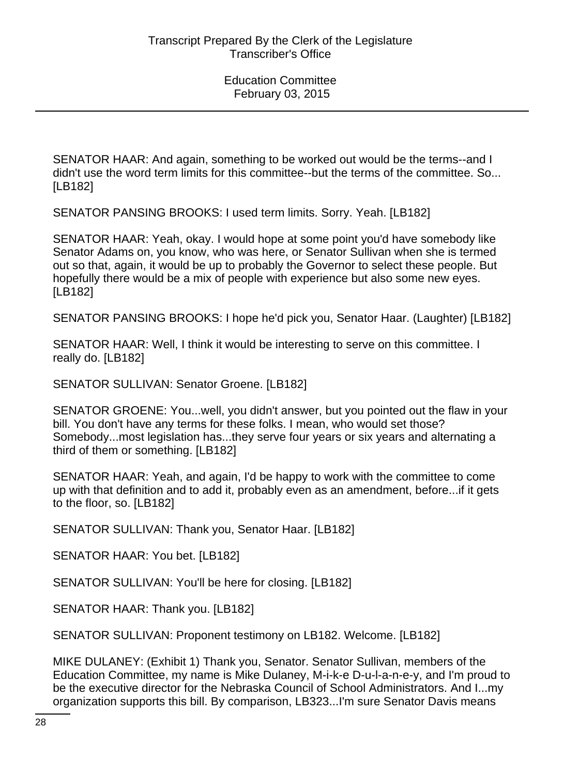SENATOR HAAR: And again, something to be worked out would be the terms--and I didn't use the word term limits for this committee--but the terms of the committee. So... [LB182]

SENATOR PANSING BROOKS: I used term limits. Sorry. Yeah. [LB182]

SENATOR HAAR: Yeah, okay. I would hope at some point you'd have somebody like Senator Adams on, you know, who was here, or Senator Sullivan when she is termed out so that, again, it would be up to probably the Governor to select these people. But hopefully there would be a mix of people with experience but also some new eyes. [LB182]

SENATOR PANSING BROOKS: I hope he'd pick you, Senator Haar. (Laughter) [LB182]

SENATOR HAAR: Well, I think it would be interesting to serve on this committee. I really do. [LB182]

SENATOR SULLIVAN: Senator Groene. [LB182]

SENATOR GROENE: You...well, you didn't answer, but you pointed out the flaw in your bill. You don't have any terms for these folks. I mean, who would set those? Somebody...most legislation has...they serve four years or six years and alternating a third of them or something. [LB182]

SENATOR HAAR: Yeah, and again, I'd be happy to work with the committee to come up with that definition and to add it, probably even as an amendment, before...if it gets to the floor, so. [LB182]

SENATOR SULLIVAN: Thank you, Senator Haar. [LB182]

SENATOR HAAR: You bet. [LB182]

SENATOR SULLIVAN: You'll be here for closing. [LB182]

SENATOR HAAR: Thank you. [LB182]

SENATOR SULLIVAN: Proponent testimony on LB182. Welcome. [LB182]

MIKE DULANEY: (Exhibit 1) Thank you, Senator. Senator Sullivan, members of the Education Committee, my name is Mike Dulaney, M-i-k-e D-u-l-a-n-e-y, and I'm proud to be the executive director for the Nebraska Council of School Administrators. And I...my organization supports this bill. By comparison, LB323...I'm sure Senator Davis means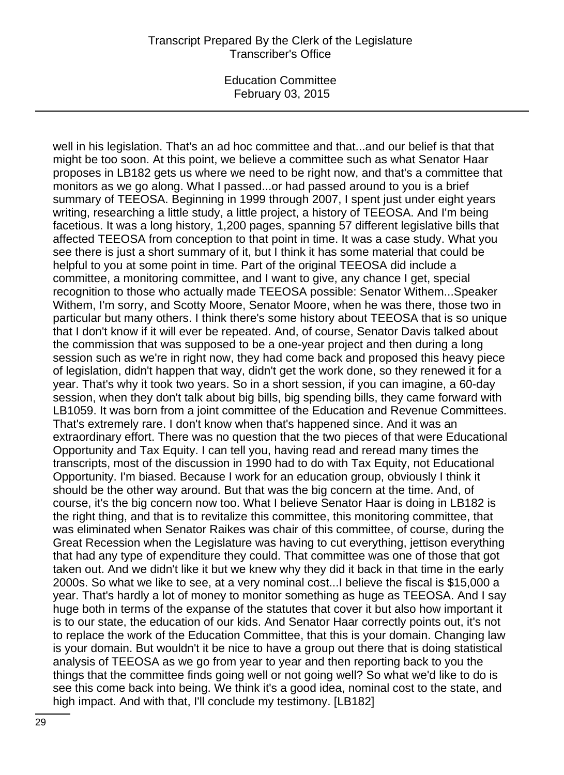well in his legislation. That's an ad hoc committee and that...and our belief is that that might be too soon. At this point, we believe a committee such as what Senator Haar proposes in LB182 gets us where we need to be right now, and that's a committee that monitors as we go along. What I passed...or had passed around to you is a brief summary of TEEOSA. Beginning in 1999 through 2007, I spent just under eight years writing, researching a little study, a little project, a history of TEEOSA. And I'm being facetious. It was a long history, 1,200 pages, spanning 57 different legislative bills that affected TEEOSA from conception to that point in time. It was a case study. What you see there is just a short summary of it, but I think it has some material that could be helpful to you at some point in time. Part of the original TEEOSA did include a committee, a monitoring committee, and I want to give, any chance I get, special recognition to those who actually made TEEOSA possible: Senator Withem...Speaker Withem, I'm sorry, and Scotty Moore, Senator Moore, when he was there, those two in particular but many others. I think there's some history about TEEOSA that is so unique that I don't know if it will ever be repeated. And, of course, Senator Davis talked about the commission that was supposed to be a one-year project and then during a long session such as we're in right now, they had come back and proposed this heavy piece of legislation, didn't happen that way, didn't get the work done, so they renewed it for a year. That's why it took two years. So in a short session, if you can imagine, a 60-day session, when they don't talk about big bills, big spending bills, they came forward with LB1059. It was born from a joint committee of the Education and Revenue Committees. That's extremely rare. I don't know when that's happened since. And it was an extraordinary effort. There was no question that the two pieces of that were Educational Opportunity and Tax Equity. I can tell you, having read and reread many times the transcripts, most of the discussion in 1990 had to do with Tax Equity, not Educational Opportunity. I'm biased. Because I work for an education group, obviously I think it should be the other way around. But that was the big concern at the time. And, of course, it's the big concern now too. What I believe Senator Haar is doing in LB182 is the right thing, and that is to revitalize this committee, this monitoring committee, that was eliminated when Senator Raikes was chair of this committee, of course, during the Great Recession when the Legislature was having to cut everything, jettison everything that had any type of expenditure they could. That committee was one of those that got taken out. And we didn't like it but we knew why they did it back in that time in the early 2000s. So what we like to see, at a very nominal cost...I believe the fiscal is \$15,000 a year. That's hardly a lot of money to monitor something as huge as TEEOSA. And I say huge both in terms of the expanse of the statutes that cover it but also how important it is to our state, the education of our kids. And Senator Haar correctly points out, it's not to replace the work of the Education Committee, that this is your domain. Changing law is your domain. But wouldn't it be nice to have a group out there that is doing statistical analysis of TEEOSA as we go from year to year and then reporting back to you the things that the committee finds going well or not going well? So what we'd like to do is see this come back into being. We think it's a good idea, nominal cost to the state, and high impact. And with that, I'll conclude my testimony. [LB182]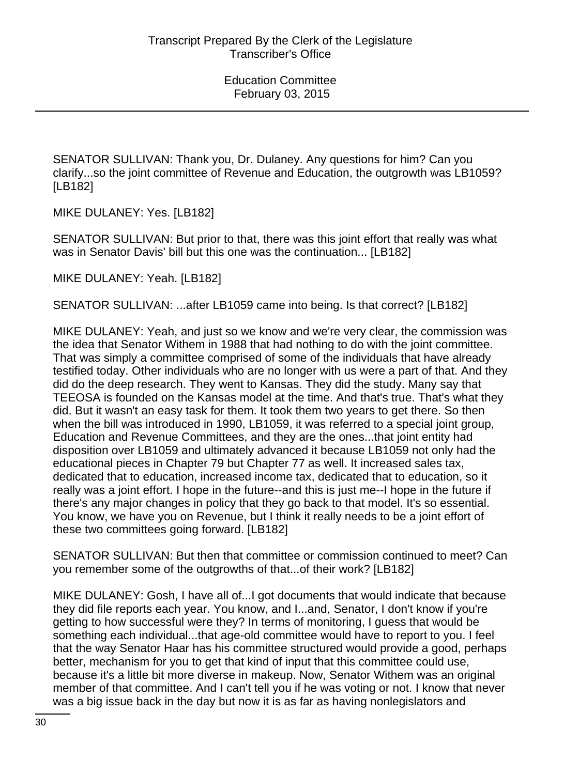SENATOR SULLIVAN: Thank you, Dr. Dulaney. Any questions for him? Can you clarify...so the joint committee of Revenue and Education, the outgrowth was LB1059? [LB182]

MIKE DULANEY: Yes. [LB182]

SENATOR SULLIVAN: But prior to that, there was this joint effort that really was what was in Senator Davis' bill but this one was the continuation... [LB182]

MIKE DULANEY: Yeah. [LB182]

SENATOR SULLIVAN: ...after LB1059 came into being. Is that correct? [LB182]

MIKE DULANEY: Yeah, and just so we know and we're very clear, the commission was the idea that Senator Withem in 1988 that had nothing to do with the joint committee. That was simply a committee comprised of some of the individuals that have already testified today. Other individuals who are no longer with us were a part of that. And they did do the deep research. They went to Kansas. They did the study. Many say that TEEOSA is founded on the Kansas model at the time. And that's true. That's what they did. But it wasn't an easy task for them. It took them two years to get there. So then when the bill was introduced in 1990, LB1059, it was referred to a special joint group, Education and Revenue Committees, and they are the ones...that joint entity had disposition over LB1059 and ultimately advanced it because LB1059 not only had the educational pieces in Chapter 79 but Chapter 77 as well. It increased sales tax, dedicated that to education, increased income tax, dedicated that to education, so it really was a joint effort. I hope in the future--and this is just me--I hope in the future if there's any major changes in policy that they go back to that model. It's so essential. You know, we have you on Revenue, but I think it really needs to be a joint effort of these two committees going forward. [LB182]

SENATOR SULLIVAN: But then that committee or commission continued to meet? Can you remember some of the outgrowths of that...of their work? [LB182]

MIKE DULANEY: Gosh, I have all of...I got documents that would indicate that because they did file reports each year. You know, and I...and, Senator, I don't know if you're getting to how successful were they? In terms of monitoring, I guess that would be something each individual...that age-old committee would have to report to you. I feel that the way Senator Haar has his committee structured would provide a good, perhaps better, mechanism for you to get that kind of input that this committee could use, because it's a little bit more diverse in makeup. Now, Senator Withem was an original member of that committee. And I can't tell you if he was voting or not. I know that never was a big issue back in the day but now it is as far as having nonlegislators and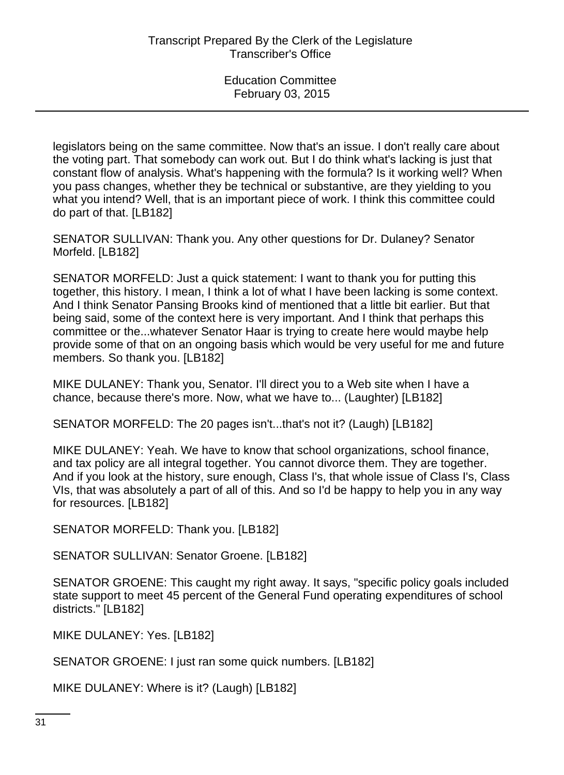legislators being on the same committee. Now that's an issue. I don't really care about the voting part. That somebody can work out. But I do think what's lacking is just that constant flow of analysis. What's happening with the formula? Is it working well? When you pass changes, whether they be technical or substantive, are they yielding to you what you intend? Well, that is an important piece of work. I think this committee could do part of that. [LB182]

SENATOR SULLIVAN: Thank you. Any other questions for Dr. Dulaney? Senator Morfeld. [LB182]

SENATOR MORFELD: Just a quick statement: I want to thank you for putting this together, this history. I mean, I think a lot of what I have been lacking is some context. And I think Senator Pansing Brooks kind of mentioned that a little bit earlier. But that being said, some of the context here is very important. And I think that perhaps this committee or the...whatever Senator Haar is trying to create here would maybe help provide some of that on an ongoing basis which would be very useful for me and future members. So thank you. [LB182]

MIKE DULANEY: Thank you, Senator. I'll direct you to a Web site when I have a chance, because there's more. Now, what we have to... (Laughter) [LB182]

SENATOR MORFELD: The 20 pages isn't...that's not it? (Laugh) [LB182]

MIKE DULANEY: Yeah. We have to know that school organizations, school finance, and tax policy are all integral together. You cannot divorce them. They are together. And if you look at the history, sure enough, Class I's, that whole issue of Class I's, Class VIs, that was absolutely a part of all of this. And so I'd be happy to help you in any way for resources. [LB182]

SENATOR MORFELD: Thank you. [LB182]

SENATOR SULLIVAN: Senator Groene. [LB182]

SENATOR GROENE: This caught my right away. It says, "specific policy goals included state support to meet 45 percent of the General Fund operating expenditures of school districts." [LB182]

MIKE DULANEY: Yes. [LB182]

SENATOR GROENE: I just ran some quick numbers. [LB182]

MIKE DULANEY: Where is it? (Laugh) [LB182]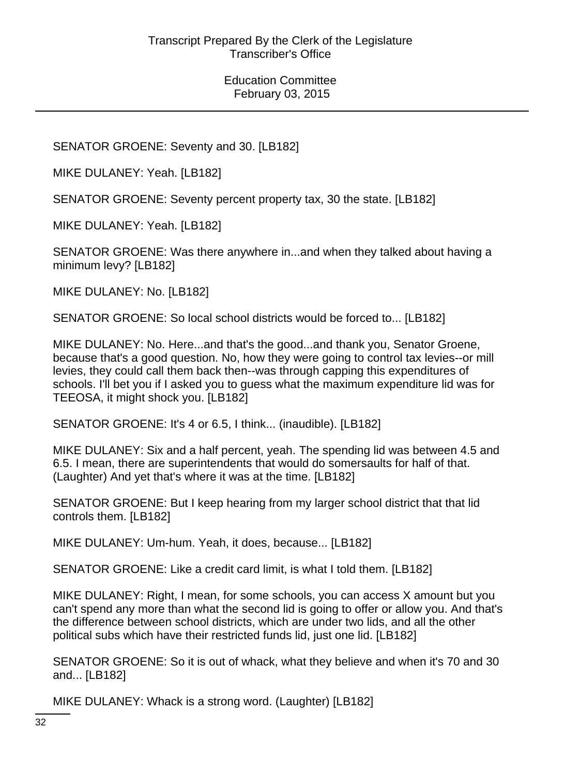SENATOR GROENE: Seventy and 30. [LB182]

MIKE DULANEY: Yeah. [LB182]

SENATOR GROENE: Seventy percent property tax, 30 the state. [LB182]

MIKE DULANEY: Yeah. [LB182]

SENATOR GROENE: Was there anywhere in...and when they talked about having a minimum levy? [LB182]

MIKE DULANEY: No. [LB182]

SENATOR GROENE: So local school districts would be forced to... [LB182]

MIKE DULANEY: No. Here...and that's the good...and thank you, Senator Groene, because that's a good question. No, how they were going to control tax levies--or mill levies, they could call them back then--was through capping this expenditures of schools. I'll bet you if I asked you to guess what the maximum expenditure lid was for TEEOSA, it might shock you. [LB182]

SENATOR GROENE: It's 4 or 6.5, I think... (inaudible). [LB182]

MIKE DULANEY: Six and a half percent, yeah. The spending lid was between 4.5 and 6.5. I mean, there are superintendents that would do somersaults for half of that. (Laughter) And yet that's where it was at the time. [LB182]

SENATOR GROENE: But I keep hearing from my larger school district that that lid controls them. [LB182]

MIKE DULANEY: Um-hum. Yeah, it does, because... [LB182]

SENATOR GROENE: Like a credit card limit, is what I told them. [LB182]

MIKE DULANEY: Right, I mean, for some schools, you can access X amount but you can't spend any more than what the second lid is going to offer or allow you. And that's the difference between school districts, which are under two lids, and all the other political subs which have their restricted funds lid, just one lid. [LB182]

SENATOR GROENE: So it is out of whack, what they believe and when it's 70 and 30 and... [LB182]

MIKE DULANEY: Whack is a strong word. (Laughter) [LB182]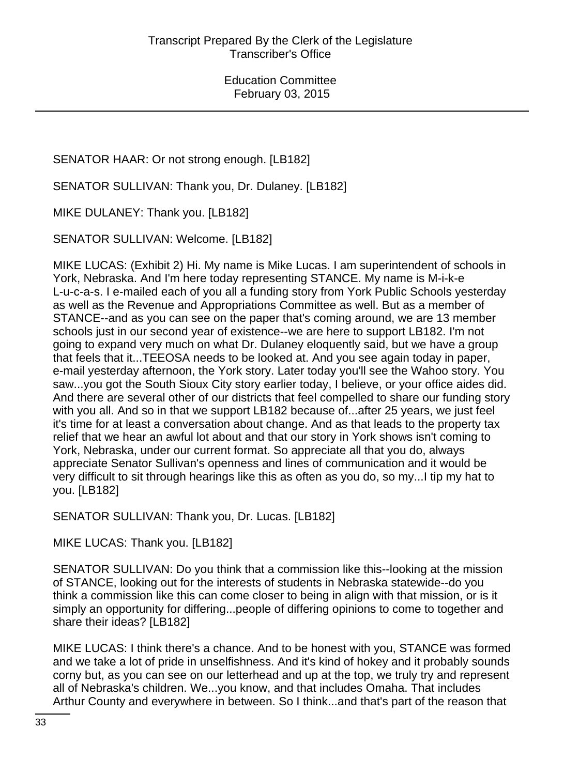# SENATOR HAAR: Or not strong enough. [LB182]

SENATOR SULLIVAN: Thank you, Dr. Dulaney. [LB182]

MIKE DULANEY: Thank you. [LB182]

SENATOR SULLIVAN: Welcome. [LB182]

MIKE LUCAS: (Exhibit 2) Hi. My name is Mike Lucas. I am superintendent of schools in York, Nebraska. And I'm here today representing STANCE. My name is M-i-k-e L-u-c-a-s. I e-mailed each of you all a funding story from York Public Schools yesterday as well as the Revenue and Appropriations Committee as well. But as a member of STANCE--and as you can see on the paper that's coming around, we are 13 member schools just in our second year of existence--we are here to support LB182. I'm not going to expand very much on what Dr. Dulaney eloquently said, but we have a group that feels that it...TEEOSA needs to be looked at. And you see again today in paper, e-mail yesterday afternoon, the York story. Later today you'll see the Wahoo story. You saw...you got the South Sioux City story earlier today, I believe, or your office aides did. And there are several other of our districts that feel compelled to share our funding story with you all. And so in that we support LB182 because of...after 25 years, we just feel it's time for at least a conversation about change. And as that leads to the property tax relief that we hear an awful lot about and that our story in York shows isn't coming to York, Nebraska, under our current format. So appreciate all that you do, always appreciate Senator Sullivan's openness and lines of communication and it would be very difficult to sit through hearings like this as often as you do, so my...I tip my hat to you. [LB182]

SENATOR SULLIVAN: Thank you, Dr. Lucas. [LB182]

MIKE LUCAS: Thank you. [LB182]

SENATOR SULLIVAN: Do you think that a commission like this--looking at the mission of STANCE, looking out for the interests of students in Nebraska statewide--do you think a commission like this can come closer to being in align with that mission, or is it simply an opportunity for differing...people of differing opinions to come to together and share their ideas? [LB182]

MIKE LUCAS: I think there's a chance. And to be honest with you, STANCE was formed and we take a lot of pride in unselfishness. And it's kind of hokey and it probably sounds corny but, as you can see on our letterhead and up at the top, we truly try and represent all of Nebraska's children. We...you know, and that includes Omaha. That includes Arthur County and everywhere in between. So I think...and that's part of the reason that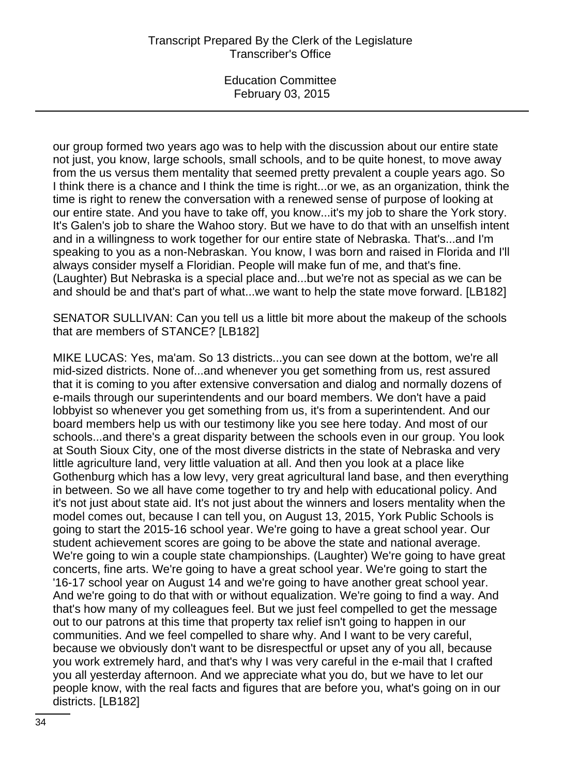our group formed two years ago was to help with the discussion about our entire state not just, you know, large schools, small schools, and to be quite honest, to move away from the us versus them mentality that seemed pretty prevalent a couple years ago. So I think there is a chance and I think the time is right...or we, as an organization, think the time is right to renew the conversation with a renewed sense of purpose of looking at our entire state. And you have to take off, you know...it's my job to share the York story. It's Galen's job to share the Wahoo story. But we have to do that with an unselfish intent and in a willingness to work together for our entire state of Nebraska. That's...and I'm speaking to you as a non-Nebraskan. You know, I was born and raised in Florida and I'll always consider myself a Floridian. People will make fun of me, and that's fine. (Laughter) But Nebraska is a special place and...but we're not as special as we can be and should be and that's part of what...we want to help the state move forward. [LB182]

SENATOR SULLIVAN: Can you tell us a little bit more about the makeup of the schools that are members of STANCE? [LB182]

MIKE LUCAS: Yes, ma'am. So 13 districts...you can see down at the bottom, we're all mid-sized districts. None of...and whenever you get something from us, rest assured that it is coming to you after extensive conversation and dialog and normally dozens of e-mails through our superintendents and our board members. We don't have a paid lobbyist so whenever you get something from us, it's from a superintendent. And our board members help us with our testimony like you see here today. And most of our schools...and there's a great disparity between the schools even in our group. You look at South Sioux City, one of the most diverse districts in the state of Nebraska and very little agriculture land, very little valuation at all. And then you look at a place like Gothenburg which has a low levy, very great agricultural land base, and then everything in between. So we all have come together to try and help with educational policy. And it's not just about state aid. It's not just about the winners and losers mentality when the model comes out, because I can tell you, on August 13, 2015, York Public Schools is going to start the 2015-16 school year. We're going to have a great school year. Our student achievement scores are going to be above the state and national average. We're going to win a couple state championships. (Laughter) We're going to have great concerts, fine arts. We're going to have a great school year. We're going to start the '16-17 school year on August 14 and we're going to have another great school year. And we're going to do that with or without equalization. We're going to find a way. And that's how many of my colleagues feel. But we just feel compelled to get the message out to our patrons at this time that property tax relief isn't going to happen in our communities. And we feel compelled to share why. And I want to be very careful, because we obviously don't want to be disrespectful or upset any of you all, because you work extremely hard, and that's why I was very careful in the e-mail that I crafted you all yesterday afternoon. And we appreciate what you do, but we have to let our people know, with the real facts and figures that are before you, what's going on in our districts. [LB182]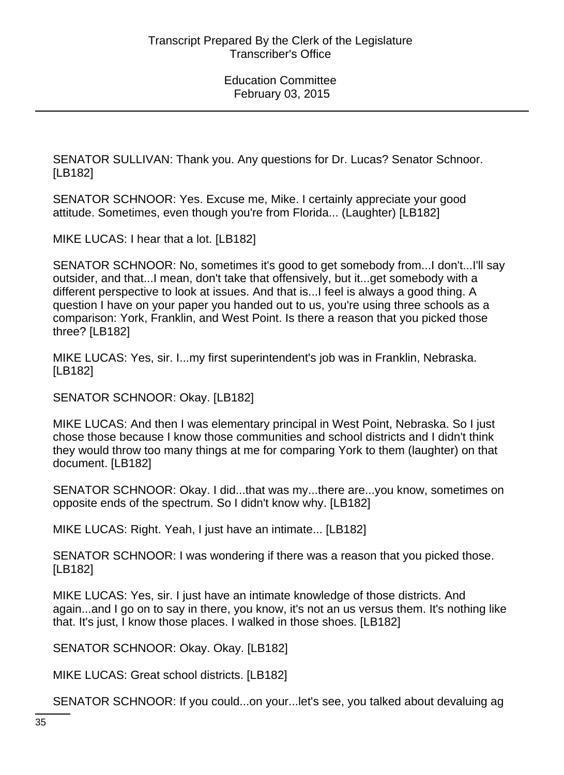SENATOR SULLIVAN: Thank you. Any questions for Dr. Lucas? Senator Schnoor. [LB182]

SENATOR SCHNOOR: Yes. Excuse me, Mike. I certainly appreciate your good attitude. Sometimes, even though you're from Florida... (Laughter) [LB182]

MIKE LUCAS: I hear that a lot. [LB182]

SENATOR SCHNOOR: No, sometimes it's good to get somebody from...I don't...I'll say outsider, and that...I mean, don't take that offensively, but it...get somebody with a different perspective to look at issues. And that is...I feel is always a good thing. A question I have on your paper you handed out to us, you're using three schools as a comparison: York, Franklin, and West Point. Is there a reason that you picked those three? [LB182]

MIKE LUCAS: Yes, sir. I...my first superintendent's job was in Franklin, Nebraska. [LB182]

SENATOR SCHNOOR: Okay. [LB182]

MIKE LUCAS: And then I was elementary principal in West Point, Nebraska. So I just chose those because I know those communities and school districts and I didn't think they would throw too many things at me for comparing York to them (laughter) on that document. [LB182]

SENATOR SCHNOOR: Okay. I did...that was my...there are...you know, sometimes on opposite ends of the spectrum. So I didn't know why. [LB182]

MIKE LUCAS: Right. Yeah, I just have an intimate... [LB182]

SENATOR SCHNOOR: I was wondering if there was a reason that you picked those. [LB182]

MIKE LUCAS: Yes, sir. I just have an intimate knowledge of those districts. And again...and I go on to say in there, you know, it's not an us versus them. It's nothing like that. It's just, I know those places. I walked in those shoes. [LB182]

SENATOR SCHNOOR: Okay. Okay. [LB182]

MIKE LUCAS: Great school districts. [LB182]

SENATOR SCHNOOR: If you could...on your...let's see, you talked about devaluing ag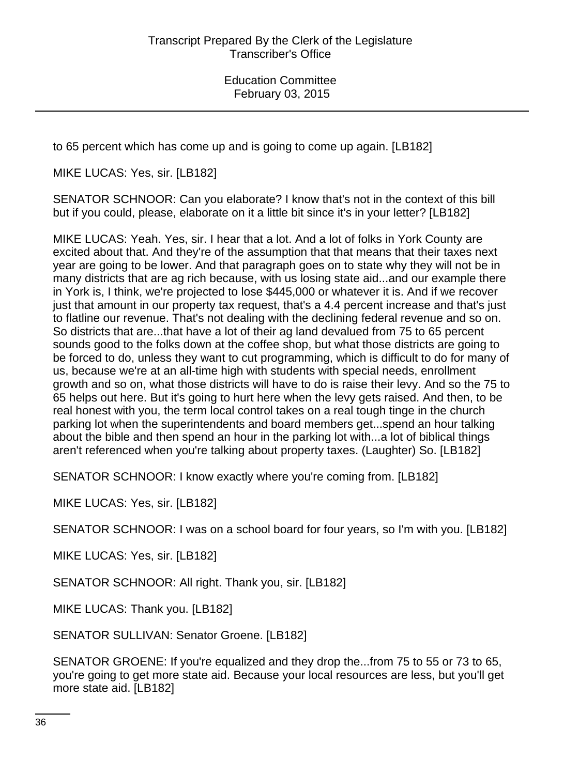to 65 percent which has come up and is going to come up again. [LB182]

MIKE LUCAS: Yes, sir. [LB182]

SENATOR SCHNOOR: Can you elaborate? I know that's not in the context of this bill but if you could, please, elaborate on it a little bit since it's in your letter? [LB182]

MIKE LUCAS: Yeah. Yes, sir. I hear that a lot. And a lot of folks in York County are excited about that. And they're of the assumption that that means that their taxes next year are going to be lower. And that paragraph goes on to state why they will not be in many districts that are ag rich because, with us losing state aid...and our example there in York is, I think, we're projected to lose \$445,000 or whatever it is. And if we recover just that amount in our property tax request, that's a 4.4 percent increase and that's just to flatline our revenue. That's not dealing with the declining federal revenue and so on. So districts that are...that have a lot of their ag land devalued from 75 to 65 percent sounds good to the folks down at the coffee shop, but what those districts are going to be forced to do, unless they want to cut programming, which is difficult to do for many of us, because we're at an all-time high with students with special needs, enrollment growth and so on, what those districts will have to do is raise their levy. And so the 75 to 65 helps out here. But it's going to hurt here when the levy gets raised. And then, to be real honest with you, the term local control takes on a real tough tinge in the church parking lot when the superintendents and board members get...spend an hour talking about the bible and then spend an hour in the parking lot with...a lot of biblical things aren't referenced when you're talking about property taxes. (Laughter) So. [LB182]

SENATOR SCHNOOR: I know exactly where you're coming from. [LB182]

MIKE LUCAS: Yes, sir. [LB182]

SENATOR SCHNOOR: I was on a school board for four years, so I'm with you. [LB182]

MIKE LUCAS: Yes, sir. [LB182]

SENATOR SCHNOOR: All right. Thank you, sir. [LB182]

MIKE LUCAS: Thank you. [LB182]

SENATOR SULLIVAN: Senator Groene. [LB182]

SENATOR GROENE: If you're equalized and they drop the...from 75 to 55 or 73 to 65, you're going to get more state aid. Because your local resources are less, but you'll get more state aid. [LB182]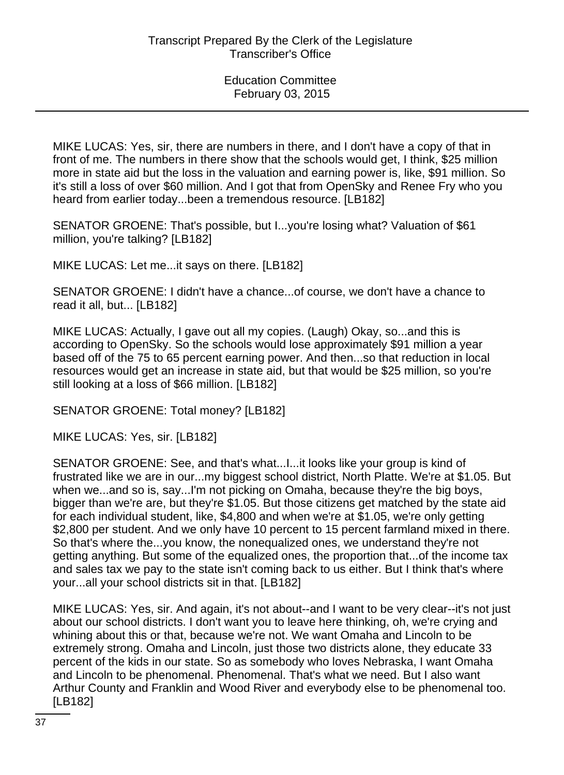MIKE LUCAS: Yes, sir, there are numbers in there, and I don't have a copy of that in front of me. The numbers in there show that the schools would get, I think, \$25 million more in state aid but the loss in the valuation and earning power is, like, \$91 million. So it's still a loss of over \$60 million. And I got that from OpenSky and Renee Fry who you heard from earlier today...been a tremendous resource. [LB182]

SENATOR GROENE: That's possible, but I...you're losing what? Valuation of \$61 million, you're talking? [LB182]

MIKE LUCAS: Let me...it says on there. [LB182]

SENATOR GROENE: I didn't have a chance...of course, we don't have a chance to read it all, but... [LB182]

MIKE LUCAS: Actually, I gave out all my copies. (Laugh) Okay, so...and this is according to OpenSky. So the schools would lose approximately \$91 million a year based off of the 75 to 65 percent earning power. And then...so that reduction in local resources would get an increase in state aid, but that would be \$25 million, so you're still looking at a loss of \$66 million. [LB182]

SENATOR GROENE: Total money? [LB182]

MIKE LUCAS: Yes, sir. [LB182]

SENATOR GROENE: See, and that's what...I...it looks like your group is kind of frustrated like we are in our...my biggest school district, North Platte. We're at \$1.05. But when we...and so is, say...I'm not picking on Omaha, because they're the big boys, bigger than we're are, but they're \$1.05. But those citizens get matched by the state aid for each individual student, like, \$4,800 and when we're at \$1.05, we're only getting \$2,800 per student. And we only have 10 percent to 15 percent farmland mixed in there. So that's where the...you know, the nonequalized ones, we understand they're not getting anything. But some of the equalized ones, the proportion that...of the income tax and sales tax we pay to the state isn't coming back to us either. But I think that's where your...all your school districts sit in that. [LB182]

MIKE LUCAS: Yes, sir. And again, it's not about--and I want to be very clear--it's not just about our school districts. I don't want you to leave here thinking, oh, we're crying and whining about this or that, because we're not. We want Omaha and Lincoln to be extremely strong. Omaha and Lincoln, just those two districts alone, they educate 33 percent of the kids in our state. So as somebody who loves Nebraska, I want Omaha and Lincoln to be phenomenal. Phenomenal. That's what we need. But I also want Arthur County and Franklin and Wood River and everybody else to be phenomenal too. [LB182]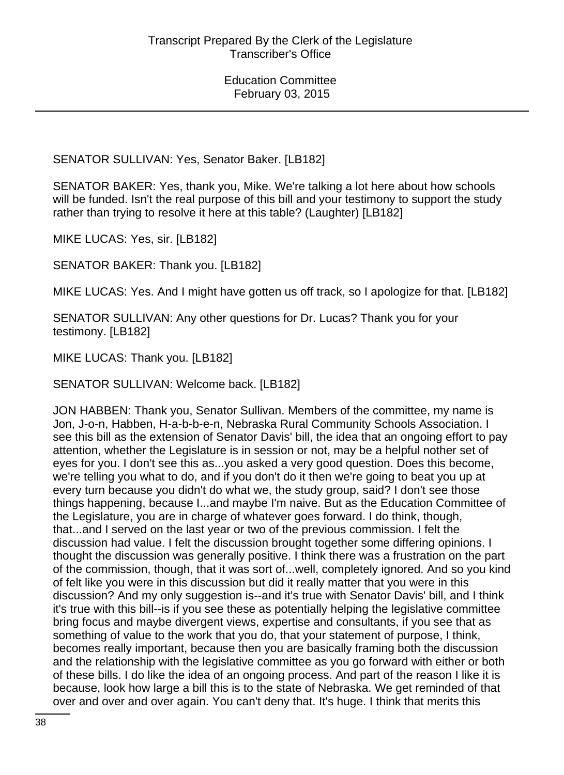SENATOR SULLIVAN: Yes, Senator Baker. [LB182]

SENATOR BAKER: Yes, thank you, Mike. We're talking a lot here about how schools will be funded. Isn't the real purpose of this bill and your testimony to support the study rather than trying to resolve it here at this table? (Laughter) [LB182]

MIKE LUCAS: Yes, sir. [LB182]

SENATOR BAKER: Thank you. [LB182]

MIKE LUCAS: Yes. And I might have gotten us off track, so I apologize for that. [LB182]

SENATOR SULLIVAN: Any other questions for Dr. Lucas? Thank you for your testimony. [LB182]

MIKE LUCAS: Thank you. [LB182]

SENATOR SULLIVAN: Welcome back. [LB182]

JON HABBEN: Thank you, Senator Sullivan. Members of the committee, my name is Jon, J-o-n, Habben, H-a-b-b-e-n, Nebraska Rural Community Schools Association. I see this bill as the extension of Senator Davis' bill, the idea that an ongoing effort to pay attention, whether the Legislature is in session or not, may be a helpful nother set of eyes for you. I don't see this as...you asked a very good question. Does this become, we're telling you what to do, and if you don't do it then we're going to beat you up at every turn because you didn't do what we, the study group, said? I don't see those things happening, because I...and maybe I'm naive. But as the Education Committee of the Legislature, you are in charge of whatever goes forward. I do think, though, that...and I served on the last year or two of the previous commission. I felt the discussion had value. I felt the discussion brought together some differing opinions. I thought the discussion was generally positive. I think there was a frustration on the part of the commission, though, that it was sort of...well, completely ignored. And so you kind of felt like you were in this discussion but did it really matter that you were in this discussion? And my only suggestion is--and it's true with Senator Davis' bill, and I think it's true with this bill--is if you see these as potentially helping the legislative committee bring focus and maybe divergent views, expertise and consultants, if you see that as something of value to the work that you do, that your statement of purpose, I think, becomes really important, because then you are basically framing both the discussion and the relationship with the legislative committee as you go forward with either or both of these bills. I do like the idea of an ongoing process. And part of the reason I like it is because, look how large a bill this is to the state of Nebraska. We get reminded of that over and over and over again. You can't deny that. It's huge. I think that merits this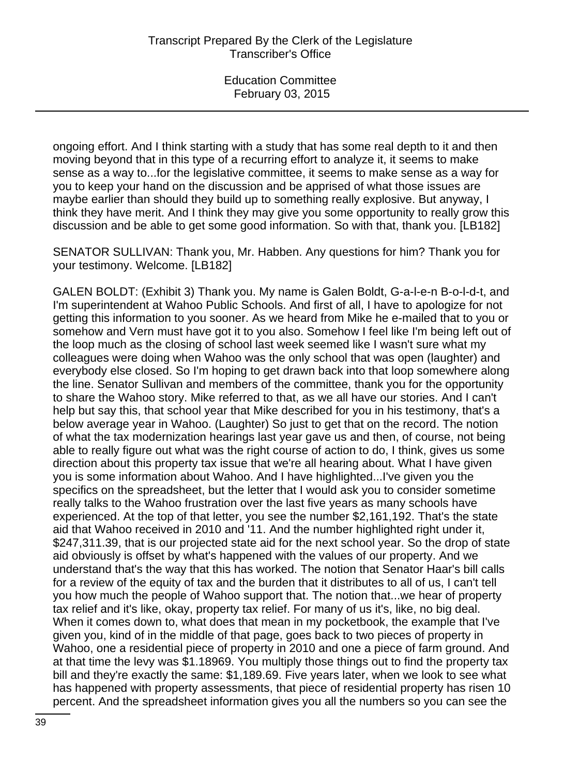ongoing effort. And I think starting with a study that has some real depth to it and then moving beyond that in this type of a recurring effort to analyze it, it seems to make sense as a way to...for the legislative committee, it seems to make sense as a way for you to keep your hand on the discussion and be apprised of what those issues are maybe earlier than should they build up to something really explosive. But anyway, I think they have merit. And I think they may give you some opportunity to really grow this discussion and be able to get some good information. So with that, thank you. [LB182]

SENATOR SULLIVAN: Thank you, Mr. Habben. Any questions for him? Thank you for your testimony. Welcome. [LB182]

GALEN BOLDT: (Exhibit 3) Thank you. My name is Galen Boldt, G-a-l-e-n B-o-l-d-t, and I'm superintendent at Wahoo Public Schools. And first of all, I have to apologize for not getting this information to you sooner. As we heard from Mike he e-mailed that to you or somehow and Vern must have got it to you also. Somehow I feel like I'm being left out of the loop much as the closing of school last week seemed like I wasn't sure what my colleagues were doing when Wahoo was the only school that was open (laughter) and everybody else closed. So I'm hoping to get drawn back into that loop somewhere along the line. Senator Sullivan and members of the committee, thank you for the opportunity to share the Wahoo story. Mike referred to that, as we all have our stories. And I can't help but say this, that school year that Mike described for you in his testimony, that's a below average year in Wahoo. (Laughter) So just to get that on the record. The notion of what the tax modernization hearings last year gave us and then, of course, not being able to really figure out what was the right course of action to do, I think, gives us some direction about this property tax issue that we're all hearing about. What I have given you is some information about Wahoo. And I have highlighted...I've given you the specifics on the spreadsheet, but the letter that I would ask you to consider sometime really talks to the Wahoo frustration over the last five years as many schools have experienced. At the top of that letter, you see the number \$2,161,192. That's the state aid that Wahoo received in 2010 and '11. And the number highlighted right under it, \$247,311.39, that is our projected state aid for the next school year. So the drop of state aid obviously is offset by what's happened with the values of our property. And we understand that's the way that this has worked. The notion that Senator Haar's bill calls for a review of the equity of tax and the burden that it distributes to all of us, I can't tell you how much the people of Wahoo support that. The notion that...we hear of property tax relief and it's like, okay, property tax relief. For many of us it's, like, no big deal. When it comes down to, what does that mean in my pocketbook, the example that I've given you, kind of in the middle of that page, goes back to two pieces of property in Wahoo, one a residential piece of property in 2010 and one a piece of farm ground. And at that time the levy was \$1.18969. You multiply those things out to find the property tax bill and they're exactly the same: \$1,189.69. Five years later, when we look to see what has happened with property assessments, that piece of residential property has risen 10 percent. And the spreadsheet information gives you all the numbers so you can see the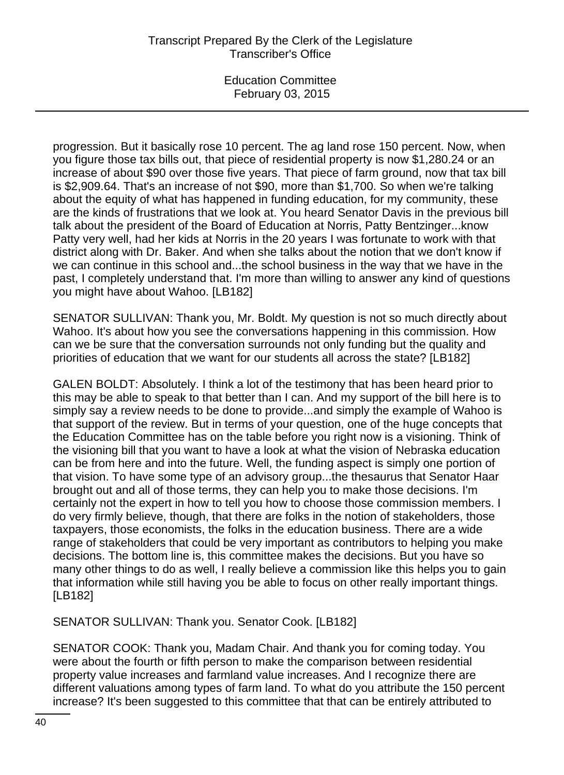progression. But it basically rose 10 percent. The ag land rose 150 percent. Now, when you figure those tax bills out, that piece of residential property is now \$1,280.24 or an increase of about \$90 over those five years. That piece of farm ground, now that tax bill is \$2,909.64. That's an increase of not \$90, more than \$1,700. So when we're talking about the equity of what has happened in funding education, for my community, these are the kinds of frustrations that we look at. You heard Senator Davis in the previous bill talk about the president of the Board of Education at Norris, Patty Bentzinger...know Patty very well, had her kids at Norris in the 20 years I was fortunate to work with that district along with Dr. Baker. And when she talks about the notion that we don't know if we can continue in this school and...the school business in the way that we have in the past, I completely understand that. I'm more than willing to answer any kind of questions you might have about Wahoo. [LB182]

SENATOR SULLIVAN: Thank you, Mr. Boldt. My question is not so much directly about Wahoo. It's about how you see the conversations happening in this commission. How can we be sure that the conversation surrounds not only funding but the quality and priorities of education that we want for our students all across the state? [LB182]

GALEN BOLDT: Absolutely. I think a lot of the testimony that has been heard prior to this may be able to speak to that better than I can. And my support of the bill here is to simply say a review needs to be done to provide...and simply the example of Wahoo is that support of the review. But in terms of your question, one of the huge concepts that the Education Committee has on the table before you right now is a visioning. Think of the visioning bill that you want to have a look at what the vision of Nebraska education can be from here and into the future. Well, the funding aspect is simply one portion of that vision. To have some type of an advisory group...the thesaurus that Senator Haar brought out and all of those terms, they can help you to make those decisions. I'm certainly not the expert in how to tell you how to choose those commission members. I do very firmly believe, though, that there are folks in the notion of stakeholders, those taxpayers, those economists, the folks in the education business. There are a wide range of stakeholders that could be very important as contributors to helping you make decisions. The bottom line is, this committee makes the decisions. But you have so many other things to do as well, I really believe a commission like this helps you to gain that information while still having you be able to focus on other really important things. [LB182]

SENATOR SULLIVAN: Thank you. Senator Cook. [LB182]

SENATOR COOK: Thank you, Madam Chair. And thank you for coming today. You were about the fourth or fifth person to make the comparison between residential property value increases and farmland value increases. And I recognize there are different valuations among types of farm land. To what do you attribute the 150 percent increase? It's been suggested to this committee that that can be entirely attributed to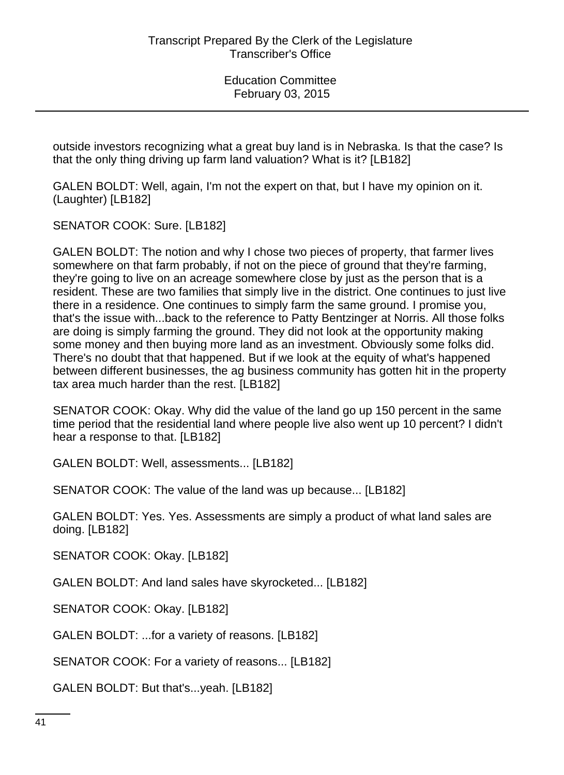outside investors recognizing what a great buy land is in Nebraska. Is that the case? Is that the only thing driving up farm land valuation? What is it? [LB182]

GALEN BOLDT: Well, again, I'm not the expert on that, but I have my opinion on it. (Laughter) [LB182]

SENATOR COOK: Sure. [LB182]

GALEN BOLDT: The notion and why I chose two pieces of property, that farmer lives somewhere on that farm probably, if not on the piece of ground that they're farming, they're going to live on an acreage somewhere close by just as the person that is a resident. These are two families that simply live in the district. One continues to just live there in a residence. One continues to simply farm the same ground. I promise you, that's the issue with...back to the reference to Patty Bentzinger at Norris. All those folks are doing is simply farming the ground. They did not look at the opportunity making some money and then buying more land as an investment. Obviously some folks did. There's no doubt that that happened. But if we look at the equity of what's happened between different businesses, the ag business community has gotten hit in the property tax area much harder than the rest. [LB182]

SENATOR COOK: Okay. Why did the value of the land go up 150 percent in the same time period that the residential land where people live also went up 10 percent? I didn't hear a response to that. [LB182]

GALEN BOLDT: Well, assessments... [LB182]

SENATOR COOK: The value of the land was up because... [LB182]

GALEN BOLDT: Yes. Yes. Assessments are simply a product of what land sales are doing. [LB182]

SENATOR COOK: Okay. [LB182]

GALEN BOLDT: And land sales have skyrocketed... [LB182]

SENATOR COOK: Okay. [LB182]

GALEN BOLDT: ...for a variety of reasons. [LB182]

SENATOR COOK: For a variety of reasons... [LB182]

GALEN BOLDT: But that's...yeah. [LB182]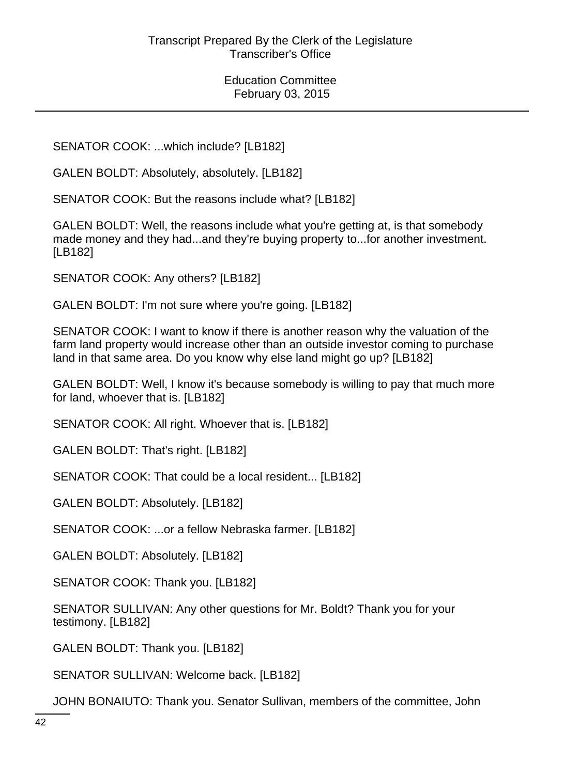SENATOR COOK: ...which include? [LB182]

GALEN BOLDT: Absolutely, absolutely. [LB182]

SENATOR COOK: But the reasons include what? [LB182]

GALEN BOLDT: Well, the reasons include what you're getting at, is that somebody made money and they had...and they're buying property to...for another investment. [LB182]

SENATOR COOK: Any others? [LB182]

GALEN BOLDT: I'm not sure where you're going. [LB182]

SENATOR COOK: I want to know if there is another reason why the valuation of the farm land property would increase other than an outside investor coming to purchase land in that same area. Do you know why else land might go up? [LB182]

GALEN BOLDT: Well, I know it's because somebody is willing to pay that much more for land, whoever that is. [LB182]

SENATOR COOK: All right. Whoever that is. [LB182]

GALEN BOLDT: That's right. [LB182]

SENATOR COOK: That could be a local resident... [LB182]

GALEN BOLDT: Absolutely. [LB182]

SENATOR COOK: ...or a fellow Nebraska farmer. [LB182]

GALEN BOLDT: Absolutely. [LB182]

SENATOR COOK: Thank you. [LB182]

SENATOR SULLIVAN: Any other questions for Mr. Boldt? Thank you for your testimony. [LB182]

GALEN BOLDT: Thank you. [LB182]

SENATOR SULLIVAN: Welcome back. [LB182]

JOHN BONAIUTO: Thank you. Senator Sullivan, members of the committee, John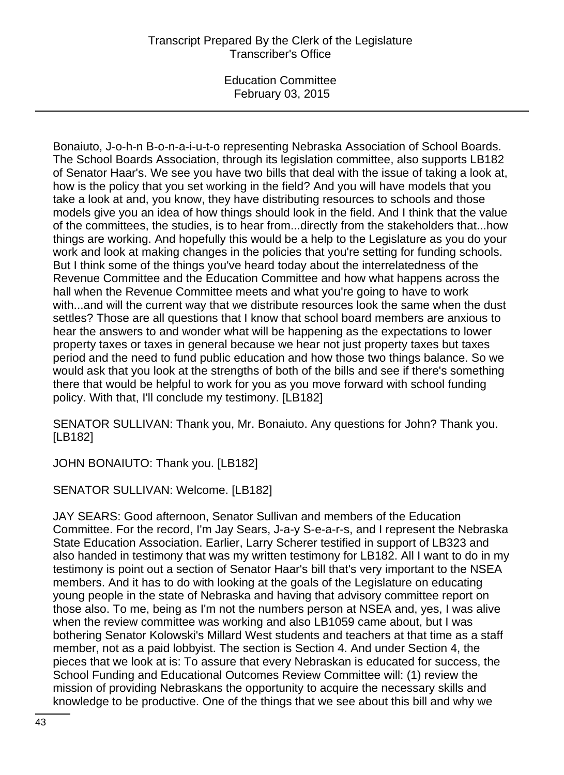# Transcript Prepared By the Clerk of the Legislature Transcriber's Office

Education Committee February 03, 2015

Bonaiuto, J-o-h-n B-o-n-a-i-u-t-o representing Nebraska Association of School Boards. The School Boards Association, through its legislation committee, also supports LB182 of Senator Haar's. We see you have two bills that deal with the issue of taking a look at, how is the policy that you set working in the field? And you will have models that you take a look at and, you know, they have distributing resources to schools and those models give you an idea of how things should look in the field. And I think that the value of the committees, the studies, is to hear from...directly from the stakeholders that...how things are working. And hopefully this would be a help to the Legislature as you do your work and look at making changes in the policies that you're setting for funding schools. But I think some of the things you've heard today about the interrelatedness of the Revenue Committee and the Education Committee and how what happens across the hall when the Revenue Committee meets and what you're going to have to work with...and will the current way that we distribute resources look the same when the dust settles? Those are all questions that I know that school board members are anxious to hear the answers to and wonder what will be happening as the expectations to lower property taxes or taxes in general because we hear not just property taxes but taxes period and the need to fund public education and how those two things balance. So we would ask that you look at the strengths of both of the bills and see if there's something there that would be helpful to work for you as you move forward with school funding policy. With that, I'll conclude my testimony. [LB182]

SENATOR SULLIVAN: Thank you, Mr. Bonaiuto. Any questions for John? Thank you. [LB182]

JOHN BONAIUTO: Thank you. [LB182]

SENATOR SULLIVAN: Welcome. [LB182]

JAY SEARS: Good afternoon, Senator Sullivan and members of the Education Committee. For the record, I'm Jay Sears, J-a-y S-e-a-r-s, and I represent the Nebraska State Education Association. Earlier, Larry Scherer testified in support of LB323 and also handed in testimony that was my written testimony for LB182. All I want to do in my testimony is point out a section of Senator Haar's bill that's very important to the NSEA members. And it has to do with looking at the goals of the Legislature on educating young people in the state of Nebraska and having that advisory committee report on those also. To me, being as I'm not the numbers person at NSEA and, yes, I was alive when the review committee was working and also LB1059 came about, but I was bothering Senator Kolowski's Millard West students and teachers at that time as a staff member, not as a paid lobbyist. The section is Section 4. And under Section 4, the pieces that we look at is: To assure that every Nebraskan is educated for success, the School Funding and Educational Outcomes Review Committee will: (1) review the mission of providing Nebraskans the opportunity to acquire the necessary skills and knowledge to be productive. One of the things that we see about this bill and why we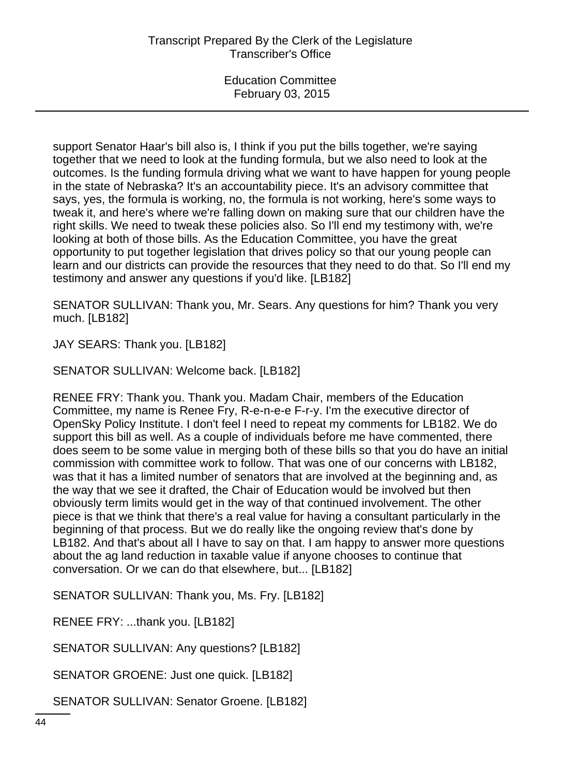support Senator Haar's bill also is, I think if you put the bills together, we're saying together that we need to look at the funding formula, but we also need to look at the outcomes. Is the funding formula driving what we want to have happen for young people in the state of Nebraska? It's an accountability piece. It's an advisory committee that says, yes, the formula is working, no, the formula is not working, here's some ways to tweak it, and here's where we're falling down on making sure that our children have the right skills. We need to tweak these policies also. So I'll end my testimony with, we're looking at both of those bills. As the Education Committee, you have the great opportunity to put together legislation that drives policy so that our young people can learn and our districts can provide the resources that they need to do that. So I'll end my testimony and answer any questions if you'd like. [LB182]

SENATOR SULLIVAN: Thank you, Mr. Sears. Any questions for him? Thank you very much. [LB182]

JAY SEARS: Thank you. [LB182]

SENATOR SULLIVAN: Welcome back. [LB182]

RENEE FRY: Thank you. Thank you. Madam Chair, members of the Education Committee, my name is Renee Fry, R-e-n-e-e F-r-y. I'm the executive director of OpenSky Policy Institute. I don't feel I need to repeat my comments for LB182. We do support this bill as well. As a couple of individuals before me have commented, there does seem to be some value in merging both of these bills so that you do have an initial commission with committee work to follow. That was one of our concerns with LB182, was that it has a limited number of senators that are involved at the beginning and, as the way that we see it drafted, the Chair of Education would be involved but then obviously term limits would get in the way of that continued involvement. The other piece is that we think that there's a real value for having a consultant particularly in the beginning of that process. But we do really like the ongoing review that's done by LB182. And that's about all I have to say on that. I am happy to answer more questions about the ag land reduction in taxable value if anyone chooses to continue that conversation. Or we can do that elsewhere, but... [LB182]

SENATOR SULLIVAN: Thank you, Ms. Fry. [LB182]

RENEE FRY: ...thank you. [LB182]

SENATOR SULLIVAN: Any questions? [LB182]

SENATOR GROENE: Just one quick. [LB182]

SENATOR SULLIVAN: Senator Groene. [LB182]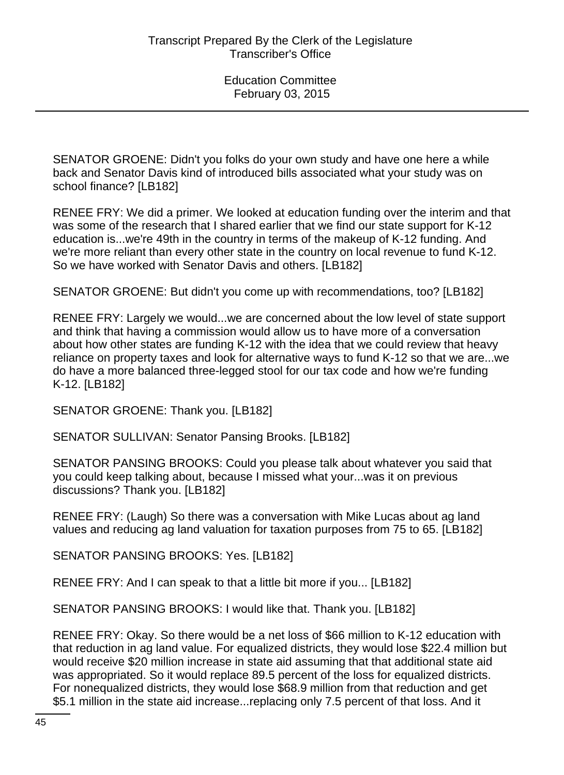SENATOR GROENE: Didn't you folks do your own study and have one here a while back and Senator Davis kind of introduced bills associated what your study was on school finance? [LB182]

RENEE FRY: We did a primer. We looked at education funding over the interim and that was some of the research that I shared earlier that we find our state support for K-12 education is...we're 49th in the country in terms of the makeup of K-12 funding. And we're more reliant than every other state in the country on local revenue to fund K-12. So we have worked with Senator Davis and others. [LB182]

SENATOR GROENE: But didn't you come up with recommendations, too? [LB182]

RENEE FRY: Largely we would...we are concerned about the low level of state support and think that having a commission would allow us to have more of a conversation about how other states are funding K-12 with the idea that we could review that heavy reliance on property taxes and look for alternative ways to fund K-12 so that we are...we do have a more balanced three-legged stool for our tax code and how we're funding K-12. [LB182]

SENATOR GROENE: Thank you. [LB182]

SENATOR SULLIVAN: Senator Pansing Brooks. [LB182]

SENATOR PANSING BROOKS: Could you please talk about whatever you said that you could keep talking about, because I missed what your...was it on previous discussions? Thank you. [LB182]

RENEE FRY: (Laugh) So there was a conversation with Mike Lucas about ag land values and reducing ag land valuation for taxation purposes from 75 to 65. [LB182]

SENATOR PANSING BROOKS: Yes. [LB182]

RENEE FRY: And I can speak to that a little bit more if you... [LB182]

SENATOR PANSING BROOKS: I would like that. Thank you. [LB182]

RENEE FRY: Okay. So there would be a net loss of \$66 million to K-12 education with that reduction in ag land value. For equalized districts, they would lose \$22.4 million but would receive \$20 million increase in state aid assuming that that additional state aid was appropriated. So it would replace 89.5 percent of the loss for equalized districts. For nonequalized districts, they would lose \$68.9 million from that reduction and get \$5.1 million in the state aid increase...replacing only 7.5 percent of that loss. And it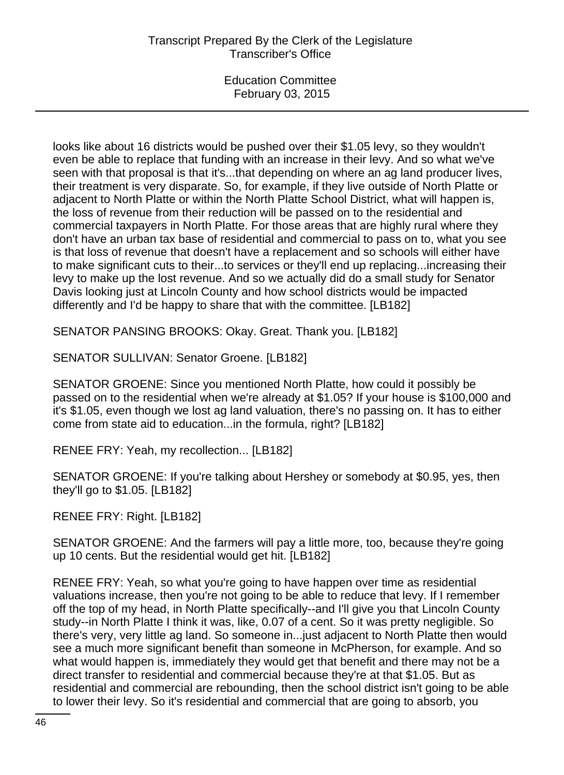looks like about 16 districts would be pushed over their \$1.05 levy, so they wouldn't even be able to replace that funding with an increase in their levy. And so what we've seen with that proposal is that it's...that depending on where an ag land producer lives, their treatment is very disparate. So, for example, if they live outside of North Platte or adjacent to North Platte or within the North Platte School District, what will happen is, the loss of revenue from their reduction will be passed on to the residential and commercial taxpayers in North Platte. For those areas that are highly rural where they don't have an urban tax base of residential and commercial to pass on to, what you see is that loss of revenue that doesn't have a replacement and so schools will either have to make significant cuts to their...to services or they'll end up replacing...increasing their levy to make up the lost revenue. And so we actually did do a small study for Senator Davis looking just at Lincoln County and how school districts would be impacted differently and I'd be happy to share that with the committee. [LB182]

SENATOR PANSING BROOKS: Okay. Great. Thank you. [LB182]

SENATOR SULLIVAN: Senator Groene. [LB182]

SENATOR GROENE: Since you mentioned North Platte, how could it possibly be passed on to the residential when we're already at \$1.05? If your house is \$100,000 and it's \$1.05, even though we lost ag land valuation, there's no passing on. It has to either come from state aid to education...in the formula, right? [LB182]

RENEE FRY: Yeah, my recollection... [LB182]

SENATOR GROENE: If you're talking about Hershey or somebody at \$0.95, yes, then they'll go to \$1.05. [LB182]

RENEE FRY: Right. [LB182]

SENATOR GROENE: And the farmers will pay a little more, too, because they're going up 10 cents. But the residential would get hit. [LB182]

RENEE FRY: Yeah, so what you're going to have happen over time as residential valuations increase, then you're not going to be able to reduce that levy. If I remember off the top of my head, in North Platte specifically--and I'll give you that Lincoln County study--in North Platte I think it was, like, 0.07 of a cent. So it was pretty negligible. So there's very, very little ag land. So someone in...just adjacent to North Platte then would see a much more significant benefit than someone in McPherson, for example. And so what would happen is, immediately they would get that benefit and there may not be a direct transfer to residential and commercial because they're at that \$1.05. But as residential and commercial are rebounding, then the school district isn't going to be able to lower their levy. So it's residential and commercial that are going to absorb, you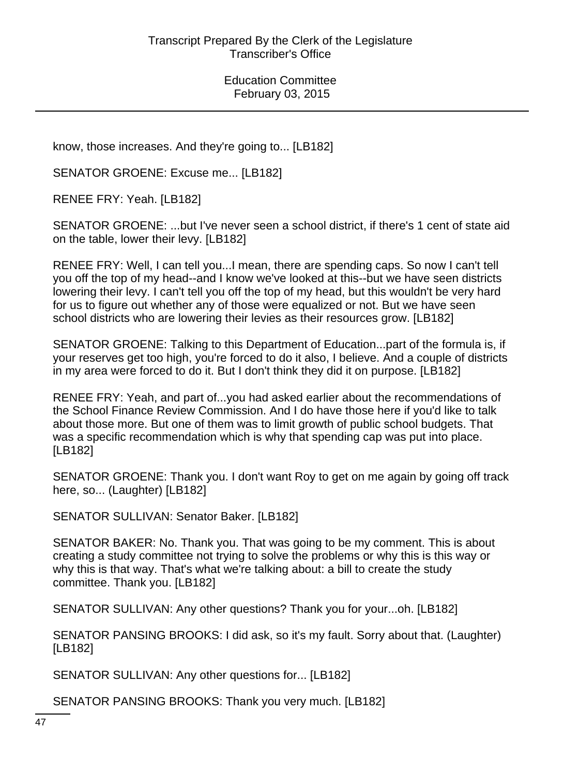know, those increases. And they're going to... [LB182]

SENATOR GROENE: Excuse me... [LB182]

RENEE FRY: Yeah. [LB182]

SENATOR GROENE: ...but I've never seen a school district, if there's 1 cent of state aid on the table, lower their levy. [LB182]

RENEE FRY: Well, I can tell you...I mean, there are spending caps. So now I can't tell you off the top of my head--and I know we've looked at this--but we have seen districts lowering their levy. I can't tell you off the top of my head, but this wouldn't be very hard for us to figure out whether any of those were equalized or not. But we have seen school districts who are lowering their levies as their resources grow. [LB182]

SENATOR GROENE: Talking to this Department of Education...part of the formula is, if your reserves get too high, you're forced to do it also, I believe. And a couple of districts in my area were forced to do it. But I don't think they did it on purpose. [LB182]

RENEE FRY: Yeah, and part of...you had asked earlier about the recommendations of the School Finance Review Commission. And I do have those here if you'd like to talk about those more. But one of them was to limit growth of public school budgets. That was a specific recommendation which is why that spending cap was put into place. [LB182]

SENATOR GROENE: Thank you. I don't want Roy to get on me again by going off track here, so... (Laughter) [LB182]

SENATOR SULLIVAN: Senator Baker. [LB182]

SENATOR BAKER: No. Thank you. That was going to be my comment. This is about creating a study committee not trying to solve the problems or why this is this way or why this is that way. That's what we're talking about: a bill to create the study committee. Thank you. [LB182]

SENATOR SULLIVAN: Any other questions? Thank you for your...oh. [LB182]

SENATOR PANSING BROOKS: I did ask, so it's my fault. Sorry about that. (Laughter) [LB182]

SENATOR SULLIVAN: Any other questions for... [LB182]

SENATOR PANSING BROOKS: Thank you very much. [LB182]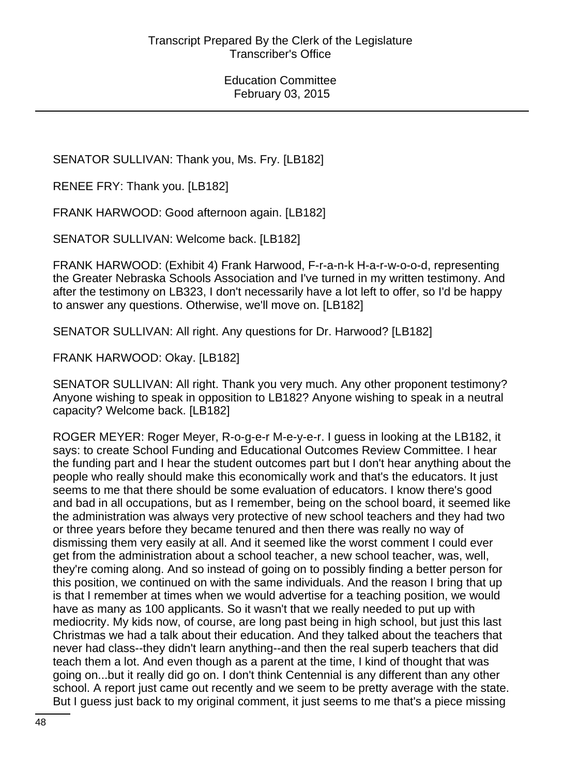SENATOR SULLIVAN: Thank you, Ms. Fry. [LB182]

RENEE FRY: Thank you. [LB182]

FRANK HARWOOD: Good afternoon again. [LB182]

SENATOR SULLIVAN: Welcome back. [LB182]

FRANK HARWOOD: (Exhibit 4) Frank Harwood, F-r-a-n-k H-a-r-w-o-o-d, representing the Greater Nebraska Schools Association and I've turned in my written testimony. And after the testimony on LB323, I don't necessarily have a lot left to offer, so I'd be happy to answer any questions. Otherwise, we'll move on. [LB182]

SENATOR SULLIVAN: All right. Any questions for Dr. Harwood? [LB182]

FRANK HARWOOD: Okay. [LB182]

SENATOR SULLIVAN: All right. Thank you very much. Any other proponent testimony? Anyone wishing to speak in opposition to LB182? Anyone wishing to speak in a neutral capacity? Welcome back. [LB182]

ROGER MEYER: Roger Meyer, R-o-g-e-r M-e-y-e-r. I guess in looking at the LB182, it says: to create School Funding and Educational Outcomes Review Committee. I hear the funding part and I hear the student outcomes part but I don't hear anything about the people who really should make this economically work and that's the educators. It just seems to me that there should be some evaluation of educators. I know there's good and bad in all occupations, but as I remember, being on the school board, it seemed like the administration was always very protective of new school teachers and they had two or three years before they became tenured and then there was really no way of dismissing them very easily at all. And it seemed like the worst comment I could ever get from the administration about a school teacher, a new school teacher, was, well, they're coming along. And so instead of going on to possibly finding a better person for this position, we continued on with the same individuals. And the reason I bring that up is that I remember at times when we would advertise for a teaching position, we would have as many as 100 applicants. So it wasn't that we really needed to put up with mediocrity. My kids now, of course, are long past being in high school, but just this last Christmas we had a talk about their education. And they talked about the teachers that never had class--they didn't learn anything--and then the real superb teachers that did teach them a lot. And even though as a parent at the time, I kind of thought that was going on...but it really did go on. I don't think Centennial is any different than any other school. A report just came out recently and we seem to be pretty average with the state. But I guess just back to my original comment, it just seems to me that's a piece missing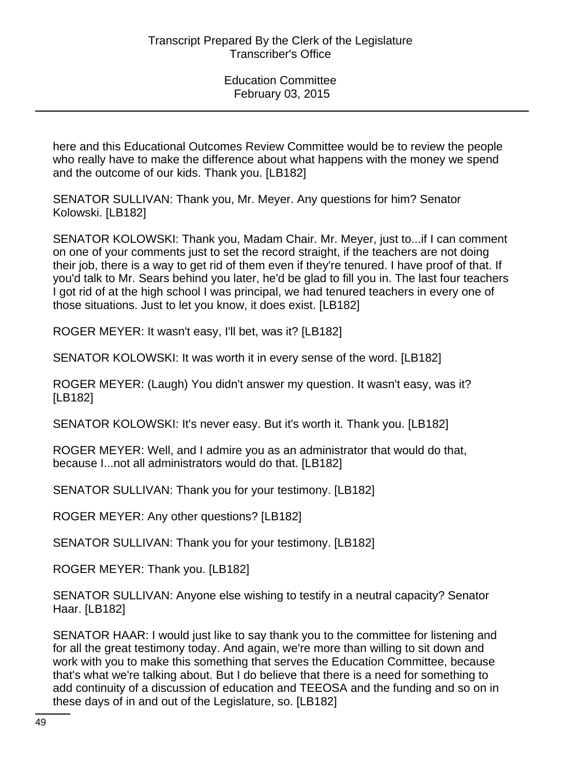here and this Educational Outcomes Review Committee would be to review the people who really have to make the difference about what happens with the money we spend and the outcome of our kids. Thank you. [LB182]

SENATOR SULLIVAN: Thank you, Mr. Meyer. Any questions for him? Senator Kolowski. [LB182]

SENATOR KOLOWSKI: Thank you, Madam Chair. Mr. Meyer, just to...if I can comment on one of your comments just to set the record straight, if the teachers are not doing their job, there is a way to get rid of them even if they're tenured. I have proof of that. If you'd talk to Mr. Sears behind you later, he'd be glad to fill you in. The last four teachers I got rid of at the high school I was principal, we had tenured teachers in every one of those situations. Just to let you know, it does exist. [LB182]

ROGER MEYER: It wasn't easy, I'll bet, was it? [LB182]

SENATOR KOLOWSKI: It was worth it in every sense of the word. [LB182]

ROGER MEYER: (Laugh) You didn't answer my question. It wasn't easy, was it? [LB182]

SENATOR KOLOWSKI: It's never easy. But it's worth it. Thank you. [LB182]

ROGER MEYER: Well, and I admire you as an administrator that would do that, because I...not all administrators would do that. [LB182]

SENATOR SULLIVAN: Thank you for your testimony. [LB182]

ROGER MEYER: Any other questions? [LB182]

SENATOR SULLIVAN: Thank you for your testimony. [LB182]

ROGER MEYER: Thank you. [LB182]

SENATOR SULLIVAN: Anyone else wishing to testify in a neutral capacity? Senator Haar. [LB182]

SENATOR HAAR: I would just like to say thank you to the committee for listening and for all the great testimony today. And again, we're more than willing to sit down and work with you to make this something that serves the Education Committee, because that's what we're talking about. But I do believe that there is a need for something to add continuity of a discussion of education and TEEOSA and the funding and so on in these days of in and out of the Legislature, so. [LB182]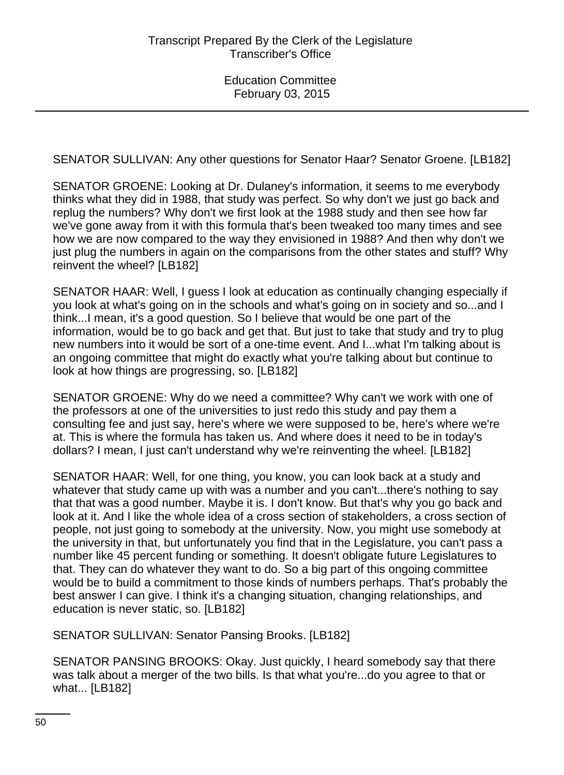SENATOR SULLIVAN: Any other questions for Senator Haar? Senator Groene. [LB182]

SENATOR GROENE: Looking at Dr. Dulaney's information, it seems to me everybody thinks what they did in 1988, that study was perfect. So why don't we just go back and replug the numbers? Why don't we first look at the 1988 study and then see how far we've gone away from it with this formula that's been tweaked too many times and see how we are now compared to the way they envisioned in 1988? And then why don't we just plug the numbers in again on the comparisons from the other states and stuff? Why reinvent the wheel? [LB182]

SENATOR HAAR: Well, I guess I look at education as continually changing especially if you look at what's going on in the schools and what's going on in society and so...and I think...I mean, it's a good question. So I believe that would be one part of the information, would be to go back and get that. But just to take that study and try to plug new numbers into it would be sort of a one-time event. And I...what I'm talking about is an ongoing committee that might do exactly what you're talking about but continue to look at how things are progressing, so. [LB182]

SENATOR GROENE: Why do we need a committee? Why can't we work with one of the professors at one of the universities to just redo this study and pay them a consulting fee and just say, here's where we were supposed to be, here's where we're at. This is where the formula has taken us. And where does it need to be in today's dollars? I mean, I just can't understand why we're reinventing the wheel. [LB182]

SENATOR HAAR: Well, for one thing, you know, you can look back at a study and whatever that study came up with was a number and you can't...there's nothing to say that that was a good number. Maybe it is. I don't know. But that's why you go back and look at it. And I like the whole idea of a cross section of stakeholders, a cross section of people, not just going to somebody at the university. Now, you might use somebody at the university in that, but unfortunately you find that in the Legislature, you can't pass a number like 45 percent funding or something. It doesn't obligate future Legislatures to that. They can do whatever they want to do. So a big part of this ongoing committee would be to build a commitment to those kinds of numbers perhaps. That's probably the best answer I can give. I think it's a changing situation, changing relationships, and education is never static, so. [LB182]

SENATOR SULLIVAN: Senator Pansing Brooks. [LB182]

SENATOR PANSING BROOKS: Okay. Just quickly, I heard somebody say that there was talk about a merger of the two bills. Is that what you're...do you agree to that or what... [LB182]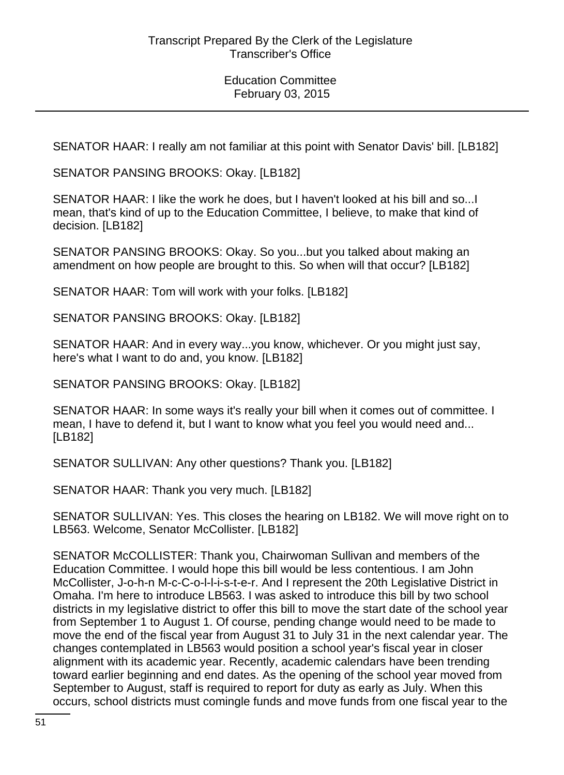SENATOR HAAR: I really am not familiar at this point with Senator Davis' bill. [LB182]

SENATOR PANSING BROOKS: Okay. [LB182]

SENATOR HAAR: I like the work he does, but I haven't looked at his bill and so...I mean, that's kind of up to the Education Committee, I believe, to make that kind of decision. [LB182]

SENATOR PANSING BROOKS: Okay. So you...but you talked about making an amendment on how people are brought to this. So when will that occur? [LB182]

SENATOR HAAR: Tom will work with your folks. [LB182]

SENATOR PANSING BROOKS: Okay. [LB182]

SENATOR HAAR: And in every way...you know, whichever. Or you might just say, here's what I want to do and, you know. [LB182]

SENATOR PANSING BROOKS: Okay. [LB182]

SENATOR HAAR: In some ways it's really your bill when it comes out of committee. I mean, I have to defend it, but I want to know what you feel you would need and... [LB182]

SENATOR SULLIVAN: Any other questions? Thank you. [LB182]

SENATOR HAAR: Thank you very much. [LB182]

SENATOR SULLIVAN: Yes. This closes the hearing on LB182. We will move right on to LB563. Welcome, Senator McCollister. [LB182]

SENATOR McCOLLISTER: Thank you, Chairwoman Sullivan and members of the Education Committee. I would hope this bill would be less contentious. I am John McCollister, J-o-h-n M-c-C-o-l-l-i-s-t-e-r. And I represent the 20th Legislative District in Omaha. I'm here to introduce LB563. I was asked to introduce this bill by two school districts in my legislative district to offer this bill to move the start date of the school year from September 1 to August 1. Of course, pending change would need to be made to move the end of the fiscal year from August 31 to July 31 in the next calendar year. The changes contemplated in LB563 would position a school year's fiscal year in closer alignment with its academic year. Recently, academic calendars have been trending toward earlier beginning and end dates. As the opening of the school year moved from September to August, staff is required to report for duty as early as July. When this occurs, school districts must comingle funds and move funds from one fiscal year to the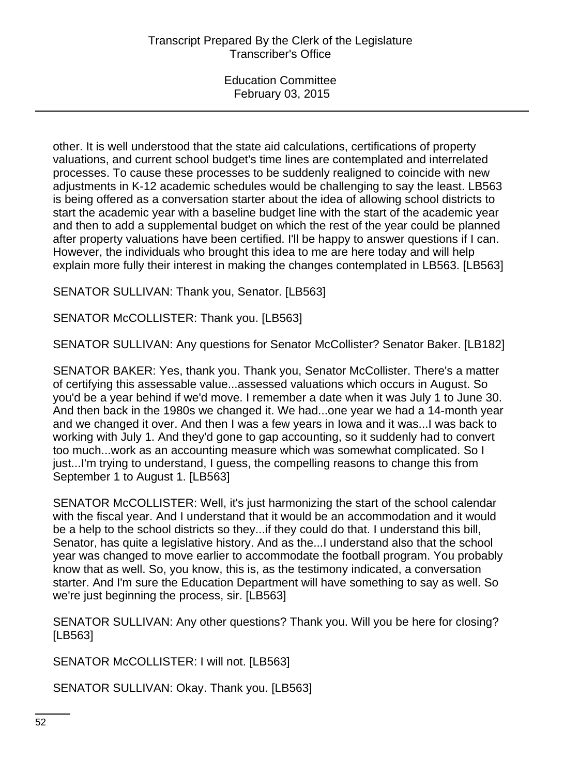other. It is well understood that the state aid calculations, certifications of property valuations, and current school budget's time lines are contemplated and interrelated processes. To cause these processes to be suddenly realigned to coincide with new adjustments in K-12 academic schedules would be challenging to say the least. LB563 is being offered as a conversation starter about the idea of allowing school districts to start the academic year with a baseline budget line with the start of the academic year and then to add a supplemental budget on which the rest of the year could be planned after property valuations have been certified. I'll be happy to answer questions if I can. However, the individuals who brought this idea to me are here today and will help explain more fully their interest in making the changes contemplated in LB563. [LB563]

SENATOR SULLIVAN: Thank you, Senator. [LB563]

SENATOR McCOLLISTER: Thank you. [LB563]

SENATOR SULLIVAN: Any questions for Senator McCollister? Senator Baker. [LB182]

SENATOR BAKER: Yes, thank you. Thank you, Senator McCollister. There's a matter of certifying this assessable value...assessed valuations which occurs in August. So you'd be a year behind if we'd move. I remember a date when it was July 1 to June 30. And then back in the 1980s we changed it. We had...one year we had a 14-month year and we changed it over. And then I was a few years in Iowa and it was...I was back to working with July 1. And they'd gone to gap accounting, so it suddenly had to convert too much...work as an accounting measure which was somewhat complicated. So I just...I'm trying to understand, I guess, the compelling reasons to change this from September 1 to August 1. [LB563]

SENATOR McCOLLISTER: Well, it's just harmonizing the start of the school calendar with the fiscal year. And I understand that it would be an accommodation and it would be a help to the school districts so they...if they could do that. I understand this bill, Senator, has quite a legislative history. And as the...I understand also that the school year was changed to move earlier to accommodate the football program. You probably know that as well. So, you know, this is, as the testimony indicated, a conversation starter. And I'm sure the Education Department will have something to say as well. So we're just beginning the process, sir. [LB563]

SENATOR SULLIVAN: Any other questions? Thank you. Will you be here for closing? [LB563]

SENATOR McCOLLISTER: I will not. [LB563]

SENATOR SULLIVAN: Okay. Thank you. [LB563]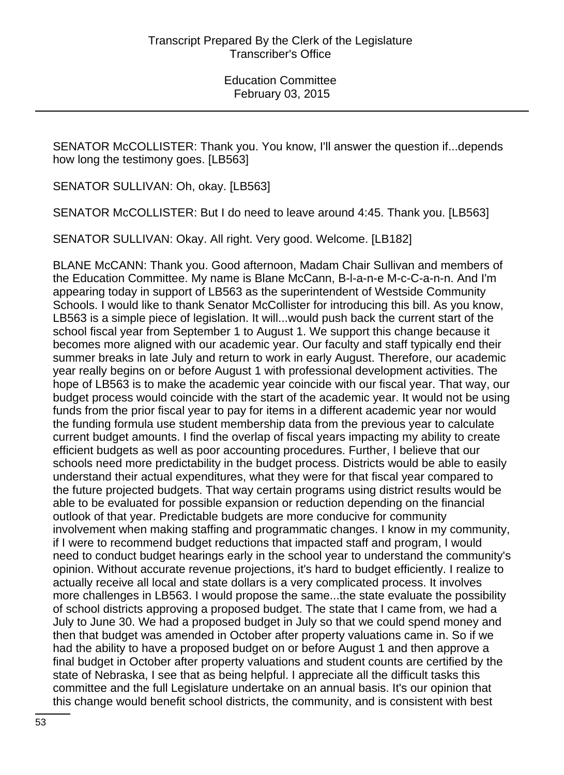SENATOR McCOLLISTER: Thank you. You know, I'll answer the question if...depends how long the testimony goes. [LB563]

SENATOR SULLIVAN: Oh, okay. [LB563]

SENATOR McCOLLISTER: But I do need to leave around 4:45. Thank you. [LB563]

SENATOR SULLIVAN: Okay. All right. Very good. Welcome. [LB182]

BLANE McCANN: Thank you. Good afternoon, Madam Chair Sullivan and members of the Education Committee. My name is Blane McCann, B-l-a-n-e M-c-C-a-n-n. And I'm appearing today in support of LB563 as the superintendent of Westside Community Schools. I would like to thank Senator McCollister for introducing this bill. As you know, LB563 is a simple piece of legislation. It will...would push back the current start of the school fiscal year from September 1 to August 1. We support this change because it becomes more aligned with our academic year. Our faculty and staff typically end their summer breaks in late July and return to work in early August. Therefore, our academic year really begins on or before August 1 with professional development activities. The hope of LB563 is to make the academic year coincide with our fiscal year. That way, our budget process would coincide with the start of the academic year. It would not be using funds from the prior fiscal year to pay for items in a different academic year nor would the funding formula use student membership data from the previous year to calculate current budget amounts. I find the overlap of fiscal years impacting my ability to create efficient budgets as well as poor accounting procedures. Further, I believe that our schools need more predictability in the budget process. Districts would be able to easily understand their actual expenditures, what they were for that fiscal year compared to the future projected budgets. That way certain programs using district results would be able to be evaluated for possible expansion or reduction depending on the financial outlook of that year. Predictable budgets are more conducive for community involvement when making staffing and programmatic changes. I know in my community, if I were to recommend budget reductions that impacted staff and program, I would need to conduct budget hearings early in the school year to understand the community's opinion. Without accurate revenue projections, it's hard to budget efficiently. I realize to actually receive all local and state dollars is a very complicated process. It involves more challenges in LB563. I would propose the same...the state evaluate the possibility of school districts approving a proposed budget. The state that I came from, we had a July to June 30. We had a proposed budget in July so that we could spend money and then that budget was amended in October after property valuations came in. So if we had the ability to have a proposed budget on or before August 1 and then approve a final budget in October after property valuations and student counts are certified by the state of Nebraska, I see that as being helpful. I appreciate all the difficult tasks this committee and the full Legislature undertake on an annual basis. It's our opinion that this change would benefit school districts, the community, and is consistent with best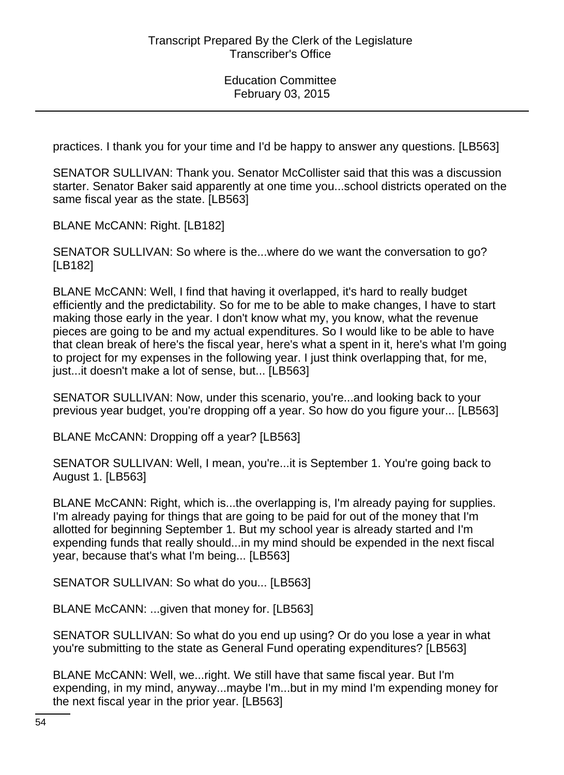practices. I thank you for your time and I'd be happy to answer any questions. [LB563]

SENATOR SULLIVAN: Thank you. Senator McCollister said that this was a discussion starter. Senator Baker said apparently at one time you...school districts operated on the same fiscal year as the state. [LB563]

BLANE McCANN: Right. [LB182]

SENATOR SULLIVAN: So where is the...where do we want the conversation to go? [LB182]

BLANE McCANN: Well, I find that having it overlapped, it's hard to really budget efficiently and the predictability. So for me to be able to make changes, I have to start making those early in the year. I don't know what my, you know, what the revenue pieces are going to be and my actual expenditures. So I would like to be able to have that clean break of here's the fiscal year, here's what a spent in it, here's what I'm going to project for my expenses in the following year. I just think overlapping that, for me, just...it doesn't make a lot of sense, but... [LB563]

SENATOR SULLIVAN: Now, under this scenario, you're...and looking back to your previous year budget, you're dropping off a year. So how do you figure your... [LB563]

BLANE McCANN: Dropping off a year? [LB563]

SENATOR SULLIVAN: Well, I mean, you're...it is September 1. You're going back to August 1. [LB563]

BLANE McCANN: Right, which is...the overlapping is, I'm already paying for supplies. I'm already paying for things that are going to be paid for out of the money that I'm allotted for beginning September 1. But my school year is already started and I'm expending funds that really should...in my mind should be expended in the next fiscal year, because that's what I'm being... [LB563]

SENATOR SULLIVAN: So what do you... [LB563]

BLANE McCANN: ...given that money for. [LB563]

SENATOR SULLIVAN: So what do you end up using? Or do you lose a year in what you're submitting to the state as General Fund operating expenditures? [LB563]

BLANE McCANN: Well, we...right. We still have that same fiscal year. But I'm expending, in my mind, anyway...maybe I'm...but in my mind I'm expending money for the next fiscal year in the prior year. [LB563]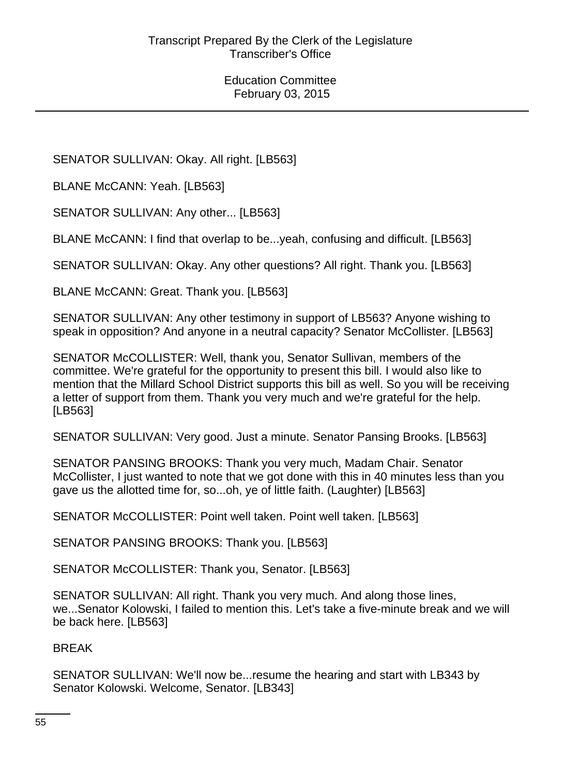SENATOR SULLIVAN: Okay. All right. [LB563]

BLANE McCANN: Yeah. [LB563]

SENATOR SULLIVAN: Any other... [LB563]

BLANE McCANN: I find that overlap to be...yeah, confusing and difficult. [LB563]

SENATOR SULLIVAN: Okay. Any other questions? All right. Thank you. [LB563]

BLANE McCANN: Great. Thank you. [LB563]

SENATOR SULLIVAN: Any other testimony in support of LB563? Anyone wishing to speak in opposition? And anyone in a neutral capacity? Senator McCollister. [LB563]

SENATOR McCOLLISTER: Well, thank you, Senator Sullivan, members of the committee. We're grateful for the opportunity to present this bill. I would also like to mention that the Millard School District supports this bill as well. So you will be receiving a letter of support from them. Thank you very much and we're grateful for the help. [LB563]

SENATOR SULLIVAN: Very good. Just a minute. Senator Pansing Brooks. [LB563]

SENATOR PANSING BROOKS: Thank you very much, Madam Chair. Senator McCollister, I just wanted to note that we got done with this in 40 minutes less than you gave us the allotted time for, so...oh, ye of little faith. (Laughter) [LB563]

SENATOR McCOLLISTER: Point well taken. Point well taken. [LB563]

SENATOR PANSING BROOKS: Thank you. [LB563]

SENATOR McCOLLISTER: Thank you, Senator. [LB563]

SENATOR SULLIVAN: All right. Thank you very much. And along those lines, we...Senator Kolowski, I failed to mention this. Let's take a five-minute break and we will be back here. [LB563]

#### BREAK

SENATOR SULLIVAN: We'll now be...resume the hearing and start with LB343 by Senator Kolowski. Welcome, Senator. [LB343]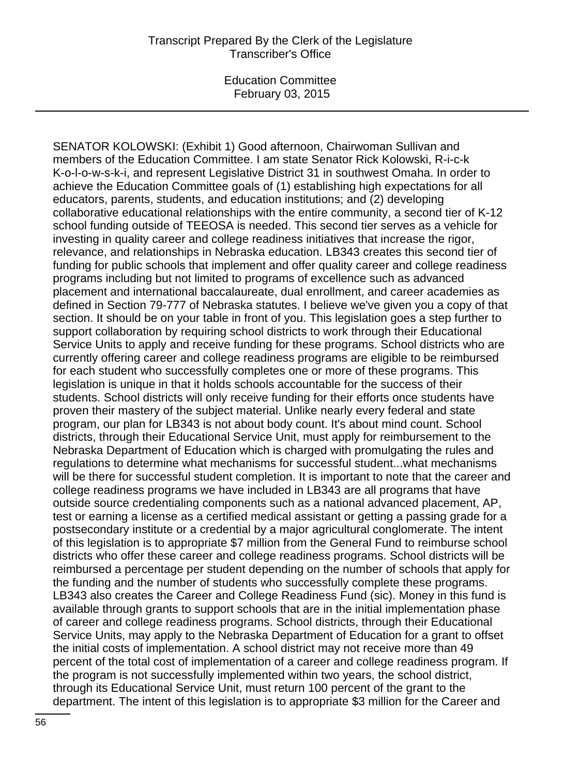SENATOR KOLOWSKI: (Exhibit 1) Good afternoon, Chairwoman Sullivan and members of the Education Committee. I am state Senator Rick Kolowski, R-i-c-k K-o-l-o-w-s-k-i, and represent Legislative District 31 in southwest Omaha. In order to achieve the Education Committee goals of (1) establishing high expectations for all educators, parents, students, and education institutions; and (2) developing collaborative educational relationships with the entire community, a second tier of K-12 school funding outside of TEEOSA is needed. This second tier serves as a vehicle for investing in quality career and college readiness initiatives that increase the rigor, relevance, and relationships in Nebraska education. LB343 creates this second tier of funding for public schools that implement and offer quality career and college readiness programs including but not limited to programs of excellence such as advanced placement and international baccalaureate, dual enrollment, and career academies as defined in Section 79-777 of Nebraska statutes. I believe we've given you a copy of that section. It should be on your table in front of you. This legislation goes a step further to support collaboration by requiring school districts to work through their Educational Service Units to apply and receive funding for these programs. School districts who are currently offering career and college readiness programs are eligible to be reimbursed for each student who successfully completes one or more of these programs. This legislation is unique in that it holds schools accountable for the success of their students. School districts will only receive funding for their efforts once students have proven their mastery of the subject material. Unlike nearly every federal and state program, our plan for LB343 is not about body count. It's about mind count. School districts, through their Educational Service Unit, must apply for reimbursement to the Nebraska Department of Education which is charged with promulgating the rules and regulations to determine what mechanisms for successful student...what mechanisms will be there for successful student completion. It is important to note that the career and college readiness programs we have included in LB343 are all programs that have outside source credentialing components such as a national advanced placement, AP, test or earning a license as a certified medical assistant or getting a passing grade for a postsecondary institute or a credential by a major agricultural conglomerate. The intent of this legislation is to appropriate \$7 million from the General Fund to reimburse school districts who offer these career and college readiness programs. School districts will be reimbursed a percentage per student depending on the number of schools that apply for the funding and the number of students who successfully complete these programs. LB343 also creates the Career and College Readiness Fund (sic). Money in this fund is available through grants to support schools that are in the initial implementation phase of career and college readiness programs. School districts, through their Educational Service Units, may apply to the Nebraska Department of Education for a grant to offset the initial costs of implementation. A school district may not receive more than 49 percent of the total cost of implementation of a career and college readiness program. If the program is not successfully implemented within two years, the school district, through its Educational Service Unit, must return 100 percent of the grant to the department. The intent of this legislation is to appropriate \$3 million for the Career and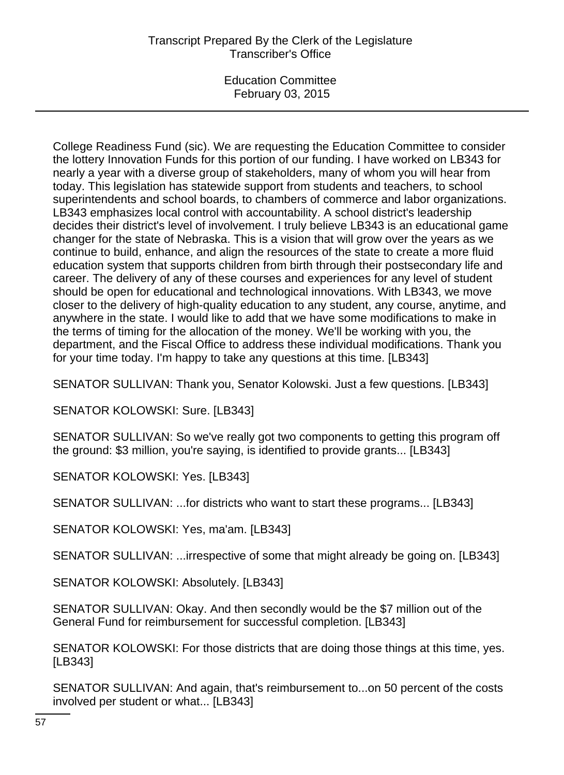# Transcript Prepared By the Clerk of the Legislature Transcriber's Office

Education Committee February 03, 2015

College Readiness Fund (sic). We are requesting the Education Committee to consider the lottery Innovation Funds for this portion of our funding. I have worked on LB343 for nearly a year with a diverse group of stakeholders, many of whom you will hear from today. This legislation has statewide support from students and teachers, to school superintendents and school boards, to chambers of commerce and labor organizations. LB343 emphasizes local control with accountability. A school district's leadership decides their district's level of involvement. I truly believe LB343 is an educational game changer for the state of Nebraska. This is a vision that will grow over the years as we continue to build, enhance, and align the resources of the state to create a more fluid education system that supports children from birth through their postsecondary life and career. The delivery of any of these courses and experiences for any level of student should be open for educational and technological innovations. With LB343, we move closer to the delivery of high-quality education to any student, any course, anytime, and anywhere in the state. I would like to add that we have some modifications to make in the terms of timing for the allocation of the money. We'll be working with you, the department, and the Fiscal Office to address these individual modifications. Thank you for your time today. I'm happy to take any questions at this time. [LB343]

SENATOR SULLIVAN: Thank you, Senator Kolowski. Just a few questions. [LB343]

SENATOR KOLOWSKI: Sure. [LB343]

SENATOR SULLIVAN: So we've really got two components to getting this program off the ground: \$3 million, you're saying, is identified to provide grants... [LB343]

SENATOR KOLOWSKI: Yes. [LB343]

SENATOR SULLIVAN: ...for districts who want to start these programs... [LB343]

SENATOR KOLOWSKI: Yes, ma'am. [LB343]

SENATOR SULLIVAN: ...irrespective of some that might already be going on. [LB343]

SENATOR KOLOWSKI: Absolutely. [LB343]

SENATOR SULLIVAN: Okay. And then secondly would be the \$7 million out of the General Fund for reimbursement for successful completion. [LB343]

SENATOR KOLOWSKI: For those districts that are doing those things at this time, yes. [LB343]

SENATOR SULLIVAN: And again, that's reimbursement to...on 50 percent of the costs involved per student or what... [LB343]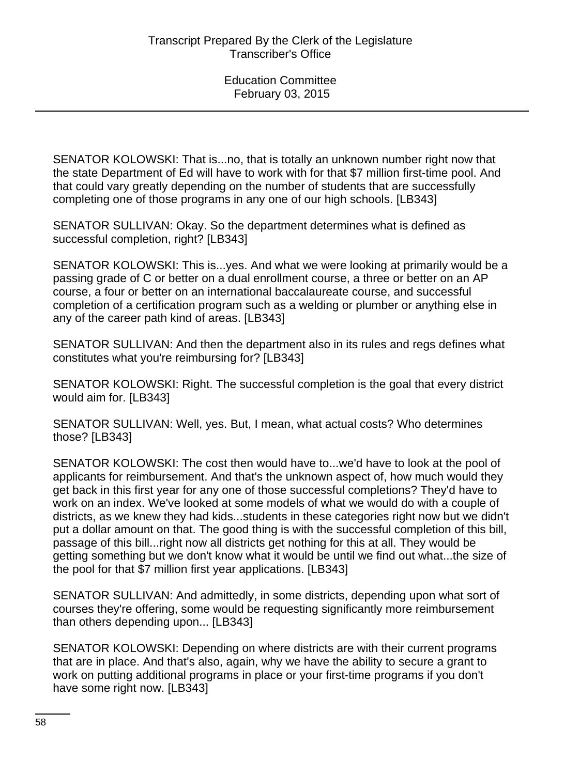SENATOR KOLOWSKI: That is...no, that is totally an unknown number right now that the state Department of Ed will have to work with for that \$7 million first-time pool. And that could vary greatly depending on the number of students that are successfully completing one of those programs in any one of our high schools. [LB343]

SENATOR SULLIVAN: Okay. So the department determines what is defined as successful completion, right? [LB343]

SENATOR KOLOWSKI: This is...yes. And what we were looking at primarily would be a passing grade of C or better on a dual enrollment course, a three or better on an AP course, a four or better on an international baccalaureate course, and successful completion of a certification program such as a welding or plumber or anything else in any of the career path kind of areas. [LB343]

SENATOR SULLIVAN: And then the department also in its rules and regs defines what constitutes what you're reimbursing for? [LB343]

SENATOR KOLOWSKI: Right. The successful completion is the goal that every district would aim for. [LB343]

SENATOR SULLIVAN: Well, yes. But, I mean, what actual costs? Who determines those? [LB343]

SENATOR KOLOWSKI: The cost then would have to...we'd have to look at the pool of applicants for reimbursement. And that's the unknown aspect of, how much would they get back in this first year for any one of those successful completions? They'd have to work on an index. We've looked at some models of what we would do with a couple of districts, as we knew they had kids...students in these categories right now but we didn't put a dollar amount on that. The good thing is with the successful completion of this bill, passage of this bill...right now all districts get nothing for this at all. They would be getting something but we don't know what it would be until we find out what...the size of the pool for that \$7 million first year applications. [LB343]

SENATOR SULLIVAN: And admittedly, in some districts, depending upon what sort of courses they're offering, some would be requesting significantly more reimbursement than others depending upon... [LB343]

SENATOR KOLOWSKI: Depending on where districts are with their current programs that are in place. And that's also, again, why we have the ability to secure a grant to work on putting additional programs in place or your first-time programs if you don't have some right now. [LB343]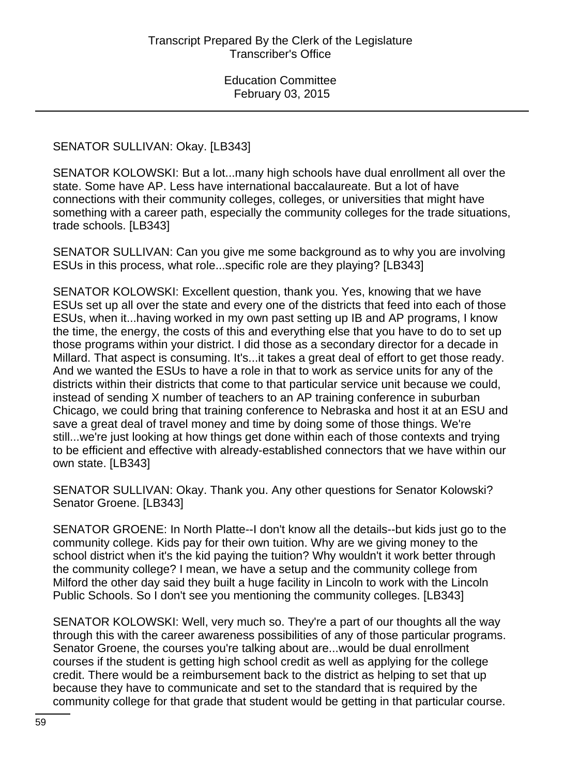### SENATOR SULLIVAN: Okay. [LB343]

SENATOR KOLOWSKI: But a lot...many high schools have dual enrollment all over the state. Some have AP. Less have international baccalaureate. But a lot of have connections with their community colleges, colleges, or universities that might have something with a career path, especially the community colleges for the trade situations, trade schools. [LB343]

SENATOR SULLIVAN: Can you give me some background as to why you are involving ESUs in this process, what role...specific role are they playing? [LB343]

SENATOR KOLOWSKI: Excellent question, thank you. Yes, knowing that we have ESUs set up all over the state and every one of the districts that feed into each of those ESUs, when it...having worked in my own past setting up IB and AP programs, I know the time, the energy, the costs of this and everything else that you have to do to set up those programs within your district. I did those as a secondary director for a decade in Millard. That aspect is consuming. It's...it takes a great deal of effort to get those ready. And we wanted the ESUs to have a role in that to work as service units for any of the districts within their districts that come to that particular service unit because we could, instead of sending X number of teachers to an AP training conference in suburban Chicago, we could bring that training conference to Nebraska and host it at an ESU and save a great deal of travel money and time by doing some of those things. We're still...we're just looking at how things get done within each of those contexts and trying to be efficient and effective with already-established connectors that we have within our own state. [LB343]

SENATOR SULLIVAN: Okay. Thank you. Any other questions for Senator Kolowski? Senator Groene. [LB343]

SENATOR GROENE: In North Platte--I don't know all the details--but kids just go to the community college. Kids pay for their own tuition. Why are we giving money to the school district when it's the kid paying the tuition? Why wouldn't it work better through the community college? I mean, we have a setup and the community college from Milford the other day said they built a huge facility in Lincoln to work with the Lincoln Public Schools. So I don't see you mentioning the community colleges. [LB343]

SENATOR KOLOWSKI: Well, very much so. They're a part of our thoughts all the way through this with the career awareness possibilities of any of those particular programs. Senator Groene, the courses you're talking about are...would be dual enrollment courses if the student is getting high school credit as well as applying for the college credit. There would be a reimbursement back to the district as helping to set that up because they have to communicate and set to the standard that is required by the community college for that grade that student would be getting in that particular course.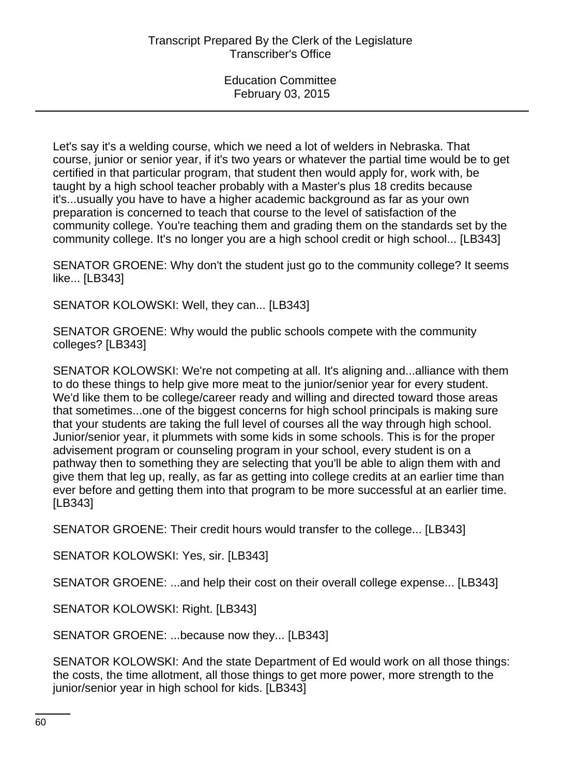Let's say it's a welding course, which we need a lot of welders in Nebraska. That course, junior or senior year, if it's two years or whatever the partial time would be to get certified in that particular program, that student then would apply for, work with, be taught by a high school teacher probably with a Master's plus 18 credits because it's...usually you have to have a higher academic background as far as your own preparation is concerned to teach that course to the level of satisfaction of the community college. You're teaching them and grading them on the standards set by the community college. It's no longer you are a high school credit or high school... [LB343]

SENATOR GROENE: Why don't the student just go to the community college? It seems like... [LB343]

SENATOR KOLOWSKI: Well, they can... [LB343]

SENATOR GROENE: Why would the public schools compete with the community colleges? [LB343]

SENATOR KOLOWSKI: We're not competing at all. It's aligning and...alliance with them to do these things to help give more meat to the junior/senior year for every student. We'd like them to be college/career ready and willing and directed toward those areas that sometimes...one of the biggest concerns for high school principals is making sure that your students are taking the full level of courses all the way through high school. Junior/senior year, it plummets with some kids in some schools. This is for the proper advisement program or counseling program in your school, every student is on a pathway then to something they are selecting that you'll be able to align them with and give them that leg up, really, as far as getting into college credits at an earlier time than ever before and getting them into that program to be more successful at an earlier time. [LB343]

SENATOR GROENE: Their credit hours would transfer to the college... [LB343]

SENATOR KOLOWSKI: Yes, sir. [LB343]

SENATOR GROENE: ...and help their cost on their overall college expense... [LB343]

SENATOR KOLOWSKI: Right. [LB343]

SENATOR GROENE: ...because now they... [LB343]

SENATOR KOLOWSKI: And the state Department of Ed would work on all those things: the costs, the time allotment, all those things to get more power, more strength to the junior/senior year in high school for kids. [LB343]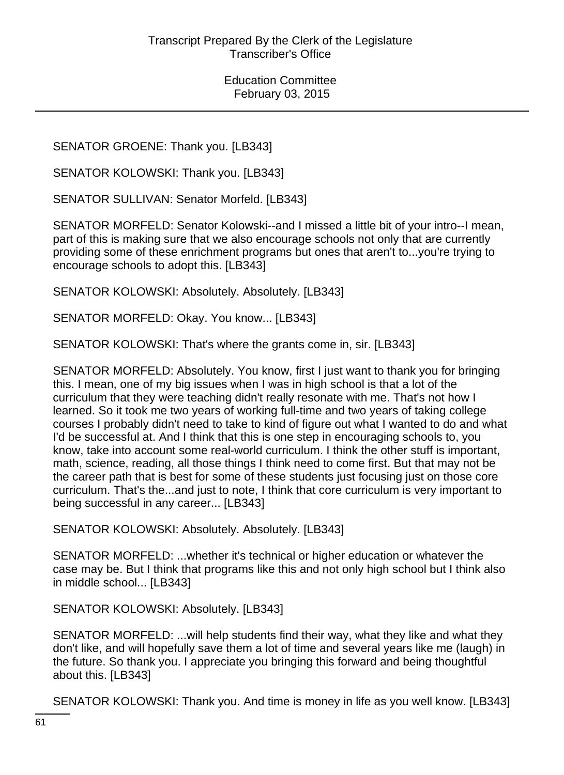SENATOR GROENE: Thank you. [LB343]

SENATOR KOLOWSKI: Thank you. [LB343]

SENATOR SULLIVAN: Senator Morfeld. [LB343]

SENATOR MORFELD: Senator Kolowski--and I missed a little bit of your intro--I mean, part of this is making sure that we also encourage schools not only that are currently providing some of these enrichment programs but ones that aren't to...you're trying to encourage schools to adopt this. [LB343]

SENATOR KOLOWSKI: Absolutely. Absolutely. [LB343]

SENATOR MORFELD: Okay. You know... [LB343]

SENATOR KOLOWSKI: That's where the grants come in, sir. [LB343]

SENATOR MORFELD: Absolutely. You know, first I just want to thank you for bringing this. I mean, one of my big issues when I was in high school is that a lot of the curriculum that they were teaching didn't really resonate with me. That's not how I learned. So it took me two years of working full-time and two years of taking college courses I probably didn't need to take to kind of figure out what I wanted to do and what I'd be successful at. And I think that this is one step in encouraging schools to, you know, take into account some real-world curriculum. I think the other stuff is important, math, science, reading, all those things I think need to come first. But that may not be the career path that is best for some of these students just focusing just on those core curriculum. That's the...and just to note, I think that core curriculum is very important to being successful in any career... [LB343]

SENATOR KOLOWSKI: Absolutely. Absolutely. [LB343]

SENATOR MORFELD: ...whether it's technical or higher education or whatever the case may be. But I think that programs like this and not only high school but I think also in middle school... [LB343]

SENATOR KOLOWSKI: Absolutely. [LB343]

SENATOR MORFELD: ...will help students find their way, what they like and what they don't like, and will hopefully save them a lot of time and several years like me (laugh) in the future. So thank you. I appreciate you bringing this forward and being thoughtful about this. [LB343]

SENATOR KOLOWSKI: Thank you. And time is money in life as you well know. [LB343]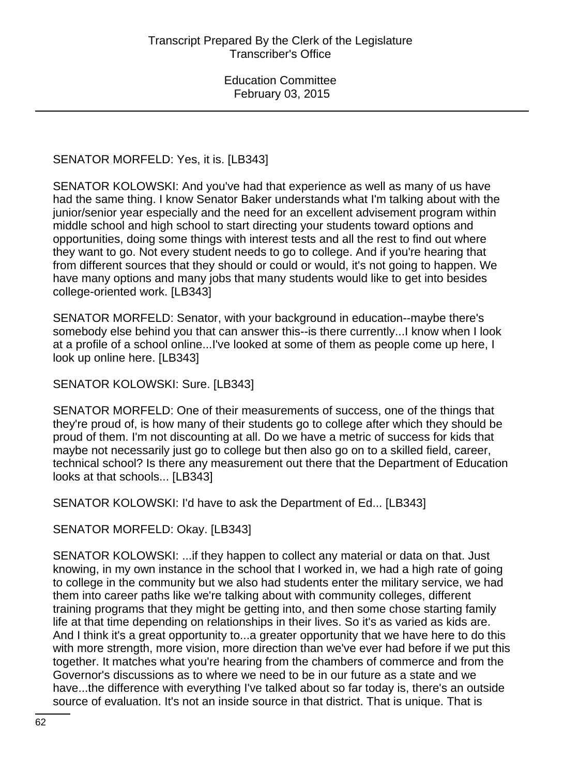# SENATOR MORFELD: Yes, it is. [LB343]

SENATOR KOLOWSKI: And you've had that experience as well as many of us have had the same thing. I know Senator Baker understands what I'm talking about with the junior/senior year especially and the need for an excellent advisement program within middle school and high school to start directing your students toward options and opportunities, doing some things with interest tests and all the rest to find out where they want to go. Not every student needs to go to college. And if you're hearing that from different sources that they should or could or would, it's not going to happen. We have many options and many jobs that many students would like to get into besides college-oriented work. [LB343]

SENATOR MORFELD: Senator, with your background in education--maybe there's somebody else behind you that can answer this--is there currently...I know when I look at a profile of a school online...I've looked at some of them as people come up here, I look up online here. [LB343]

SENATOR KOLOWSKI: Sure. [LB343]

SENATOR MORFELD: One of their measurements of success, one of the things that they're proud of, is how many of their students go to college after which they should be proud of them. I'm not discounting at all. Do we have a metric of success for kids that maybe not necessarily just go to college but then also go on to a skilled field, career, technical school? Is there any measurement out there that the Department of Education looks at that schools... [LB343]

SENATOR KOLOWSKI: I'd have to ask the Department of Ed... [LB343]

SENATOR MORFELD: Okay. [LB343]

SENATOR KOLOWSKI: ...if they happen to collect any material or data on that. Just knowing, in my own instance in the school that I worked in, we had a high rate of going to college in the community but we also had students enter the military service, we had them into career paths like we're talking about with community colleges, different training programs that they might be getting into, and then some chose starting family life at that time depending on relationships in their lives. So it's as varied as kids are. And I think it's a great opportunity to...a greater opportunity that we have here to do this with more strength, more vision, more direction than we've ever had before if we put this together. It matches what you're hearing from the chambers of commerce and from the Governor's discussions as to where we need to be in our future as a state and we have...the difference with everything I've talked about so far today is, there's an outside source of evaluation. It's not an inside source in that district. That is unique. That is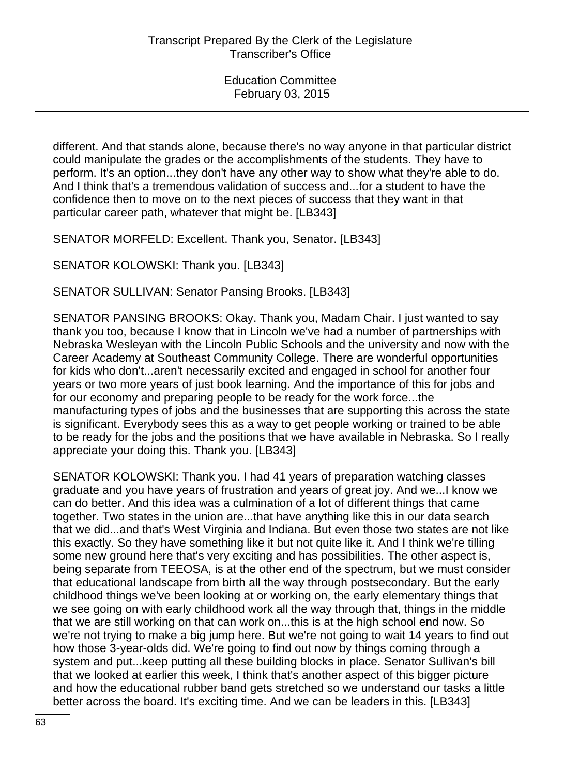different. And that stands alone, because there's no way anyone in that particular district could manipulate the grades or the accomplishments of the students. They have to perform. It's an option...they don't have any other way to show what they're able to do. And I think that's a tremendous validation of success and...for a student to have the confidence then to move on to the next pieces of success that they want in that particular career path, whatever that might be. [LB343]

SENATOR MORFELD: Excellent. Thank you, Senator. [LB343]

SENATOR KOLOWSKI: Thank you. [LB343]

SENATOR SULLIVAN: Senator Pansing Brooks. [LB343]

SENATOR PANSING BROOKS: Okay. Thank you, Madam Chair. I just wanted to say thank you too, because I know that in Lincoln we've had a number of partnerships with Nebraska Wesleyan with the Lincoln Public Schools and the university and now with the Career Academy at Southeast Community College. There are wonderful opportunities for kids who don't...aren't necessarily excited and engaged in school for another four years or two more years of just book learning. And the importance of this for jobs and for our economy and preparing people to be ready for the work force...the manufacturing types of jobs and the businesses that are supporting this across the state is significant. Everybody sees this as a way to get people working or trained to be able to be ready for the jobs and the positions that we have available in Nebraska. So I really appreciate your doing this. Thank you. [LB343]

SENATOR KOLOWSKI: Thank you. I had 41 years of preparation watching classes graduate and you have years of frustration and years of great joy. And we...I know we can do better. And this idea was a culmination of a lot of different things that came together. Two states in the union are...that have anything like this in our data search that we did...and that's West Virginia and Indiana. But even those two states are not like this exactly. So they have something like it but not quite like it. And I think we're tilling some new ground here that's very exciting and has possibilities. The other aspect is, being separate from TEEOSA, is at the other end of the spectrum, but we must consider that educational landscape from birth all the way through postsecondary. But the early childhood things we've been looking at or working on, the early elementary things that we see going on with early childhood work all the way through that, things in the middle that we are still working on that can work on...this is at the high school end now. So we're not trying to make a big jump here. But we're not going to wait 14 years to find out how those 3-year-olds did. We're going to find out now by things coming through a system and put...keep putting all these building blocks in place. Senator Sullivan's bill that we looked at earlier this week, I think that's another aspect of this bigger picture and how the educational rubber band gets stretched so we understand our tasks a little better across the board. It's exciting time. And we can be leaders in this. [LB343]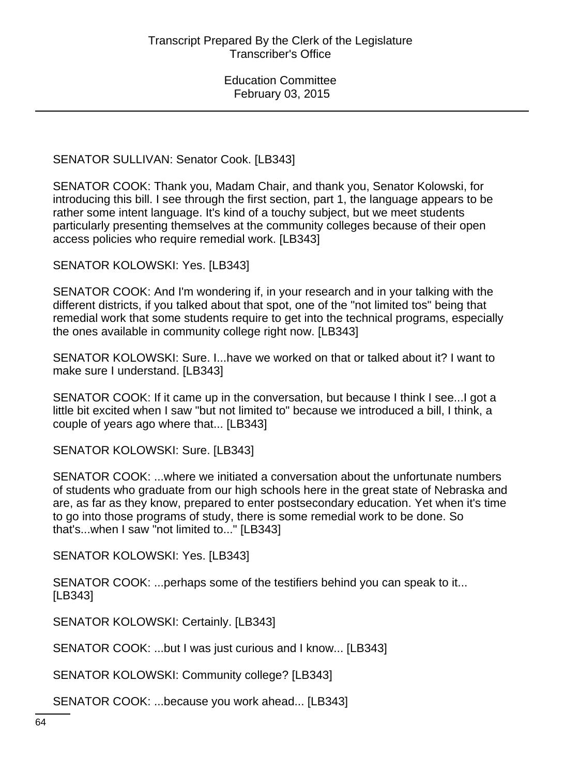SENATOR SULLIVAN: Senator Cook. [LB343]

SENATOR COOK: Thank you, Madam Chair, and thank you, Senator Kolowski, for introducing this bill. I see through the first section, part 1, the language appears to be rather some intent language. It's kind of a touchy subject, but we meet students particularly presenting themselves at the community colleges because of their open access policies who require remedial work. [LB343]

SENATOR KOLOWSKI: Yes. [LB343]

SENATOR COOK: And I'm wondering if, in your research and in your talking with the different districts, if you talked about that spot, one of the "not limited tos" being that remedial work that some students require to get into the technical programs, especially the ones available in community college right now. [LB343]

SENATOR KOLOWSKI: Sure. I...have we worked on that or talked about it? I want to make sure I understand. [LB343]

SENATOR COOK: If it came up in the conversation, but because I think I see...I got a little bit excited when I saw "but not limited to" because we introduced a bill, I think, a couple of years ago where that... [LB343]

SENATOR KOLOWSKI: Sure. [LB343]

SENATOR COOK: ...where we initiated a conversation about the unfortunate numbers of students who graduate from our high schools here in the great state of Nebraska and are, as far as they know, prepared to enter postsecondary education. Yet when it's time to go into those programs of study, there is some remedial work to be done. So that's...when I saw "not limited to..." [LB343]

SENATOR KOLOWSKI: Yes. [LB343]

SENATOR COOK: ...perhaps some of the testifiers behind you can speak to it... [LB343]

SENATOR KOLOWSKI: Certainly. [LB343]

SENATOR COOK: ...but I was just curious and I know... [LB343]

SENATOR KOLOWSKI: Community college? [LB343]

SENATOR COOK: ...because you work ahead... [LB343]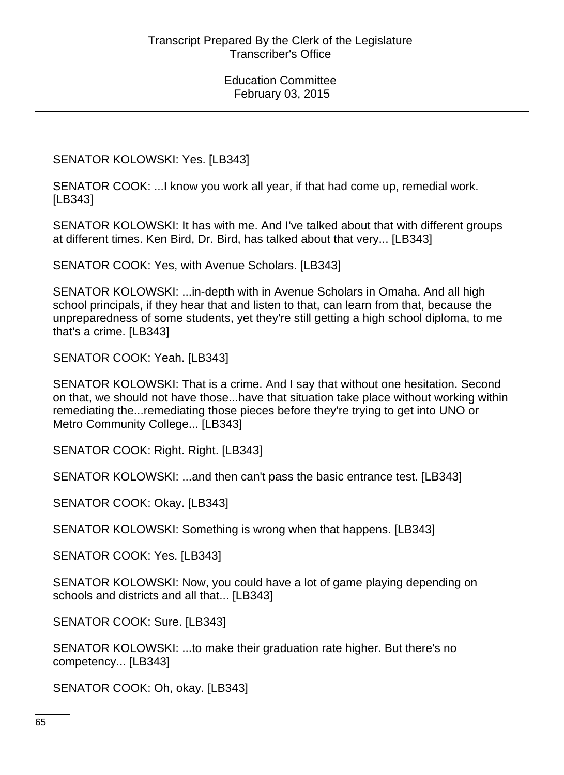SENATOR KOLOWSKI: Yes. [LB343]

SENATOR COOK: ...I know you work all year, if that had come up, remedial work. [LB343]

SENATOR KOLOWSKI: It has with me. And I've talked about that with different groups at different times. Ken Bird, Dr. Bird, has talked about that very... [LB343]

SENATOR COOK: Yes, with Avenue Scholars. [LB343]

SENATOR KOLOWSKI: ...in-depth with in Avenue Scholars in Omaha. And all high school principals, if they hear that and listen to that, can learn from that, because the unpreparedness of some students, yet they're still getting a high school diploma, to me that's a crime. [LB343]

SENATOR COOK: Yeah. [LB343]

SENATOR KOLOWSKI: That is a crime. And I say that without one hesitation. Second on that, we should not have those...have that situation take place without working within remediating the...remediating those pieces before they're trying to get into UNO or Metro Community College... [LB343]

SENATOR COOK: Right. Right. [LB343]

SENATOR KOLOWSKI: ...and then can't pass the basic entrance test. [LB343]

SENATOR COOK: Okay. [LB343]

SENATOR KOLOWSKI: Something is wrong when that happens. [LB343]

SENATOR COOK: Yes. [LB343]

SENATOR KOLOWSKI: Now, you could have a lot of game playing depending on schools and districts and all that... [LB343]

SENATOR COOK: Sure. [LB343]

SENATOR KOLOWSKI: ...to make their graduation rate higher. But there's no competency... [LB343]

SENATOR COOK: Oh, okay. [LB343]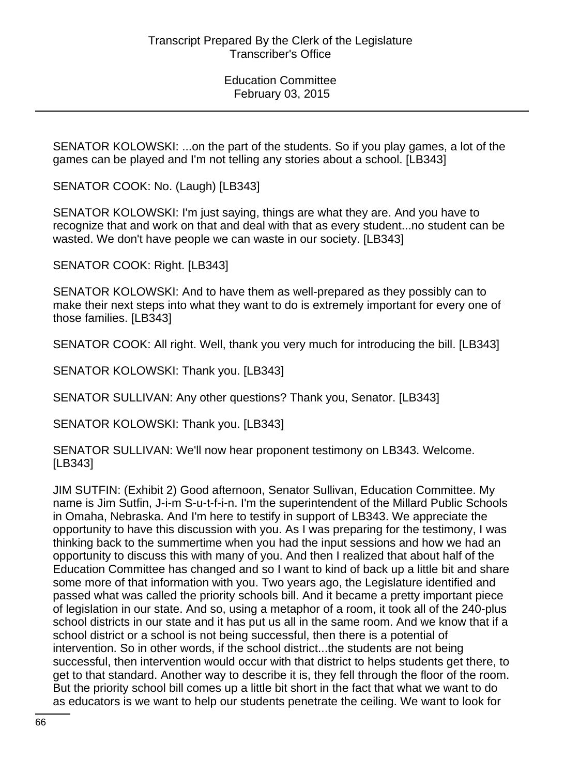SENATOR KOLOWSKI: ...on the part of the students. So if you play games, a lot of the games can be played and I'm not telling any stories about a school. [LB343]

SENATOR COOK: No. (Laugh) [LB343]

SENATOR KOLOWSKI: I'm just saying, things are what they are. And you have to recognize that and work on that and deal with that as every student...no student can be wasted. We don't have people we can waste in our society. [LB343]

SENATOR COOK: Right. [LB343]

SENATOR KOLOWSKI: And to have them as well-prepared as they possibly can to make their next steps into what they want to do is extremely important for every one of those families. [LB343]

SENATOR COOK: All right. Well, thank you very much for introducing the bill. [LB343]

SENATOR KOLOWSKI: Thank you. [LB343]

SENATOR SULLIVAN: Any other questions? Thank you, Senator. [LB343]

SENATOR KOLOWSKI: Thank you. [LB343]

SENATOR SULLIVAN: We'll now hear proponent testimony on LB343. Welcome. [LB343]

JIM SUTFIN: (Exhibit 2) Good afternoon, Senator Sullivan, Education Committee. My name is Jim Sutfin, J-i-m S-u-t-f-i-n. I'm the superintendent of the Millard Public Schools in Omaha, Nebraska. And I'm here to testify in support of LB343. We appreciate the opportunity to have this discussion with you. As I was preparing for the testimony, I was thinking back to the summertime when you had the input sessions and how we had an opportunity to discuss this with many of you. And then I realized that about half of the Education Committee has changed and so I want to kind of back up a little bit and share some more of that information with you. Two years ago, the Legislature identified and passed what was called the priority schools bill. And it became a pretty important piece of legislation in our state. And so, using a metaphor of a room, it took all of the 240-plus school districts in our state and it has put us all in the same room. And we know that if a school district or a school is not being successful, then there is a potential of intervention. So in other words, if the school district...the students are not being successful, then intervention would occur with that district to helps students get there, to get to that standard. Another way to describe it is, they fell through the floor of the room. But the priority school bill comes up a little bit short in the fact that what we want to do as educators is we want to help our students penetrate the ceiling. We want to look for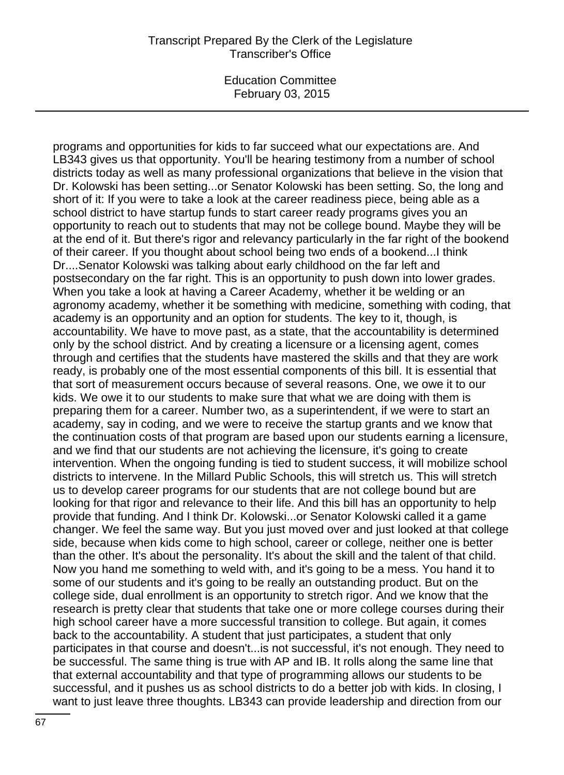### Transcript Prepared By the Clerk of the Legislature Transcriber's Office

Education Committee February 03, 2015

programs and opportunities for kids to far succeed what our expectations are. And LB343 gives us that opportunity. You'll be hearing testimony from a number of school districts today as well as many professional organizations that believe in the vision that Dr. Kolowski has been setting...or Senator Kolowski has been setting. So, the long and short of it: If you were to take a look at the career readiness piece, being able as a school district to have startup funds to start career ready programs gives you an opportunity to reach out to students that may not be college bound. Maybe they will be at the end of it. But there's rigor and relevancy particularly in the far right of the bookend of their career. If you thought about school being two ends of a bookend...I think Dr....Senator Kolowski was talking about early childhood on the far left and postsecondary on the far right. This is an opportunity to push down into lower grades. When you take a look at having a Career Academy, whether it be welding or an agronomy academy, whether it be something with medicine, something with coding, that academy is an opportunity and an option for students. The key to it, though, is accountability. We have to move past, as a state, that the accountability is determined only by the school district. And by creating a licensure or a licensing agent, comes through and certifies that the students have mastered the skills and that they are work ready, is probably one of the most essential components of this bill. It is essential that that sort of measurement occurs because of several reasons. One, we owe it to our kids. We owe it to our students to make sure that what we are doing with them is preparing them for a career. Number two, as a superintendent, if we were to start an academy, say in coding, and we were to receive the startup grants and we know that the continuation costs of that program are based upon our students earning a licensure, and we find that our students are not achieving the licensure, it's going to create intervention. When the ongoing funding is tied to student success, it will mobilize school districts to intervene. In the Millard Public Schools, this will stretch us. This will stretch us to develop career programs for our students that are not college bound but are looking for that rigor and relevance to their life. And this bill has an opportunity to help provide that funding. And I think Dr. Kolowski...or Senator Kolowski called it a game changer. We feel the same way. But you just moved over and just looked at that college side, because when kids come to high school, career or college, neither one is better than the other. It's about the personality. It's about the skill and the talent of that child. Now you hand me something to weld with, and it's going to be a mess. You hand it to some of our students and it's going to be really an outstanding product. But on the college side, dual enrollment is an opportunity to stretch rigor. And we know that the research is pretty clear that students that take one or more college courses during their high school career have a more successful transition to college. But again, it comes back to the accountability. A student that just participates, a student that only participates in that course and doesn't...is not successful, it's not enough. They need to be successful. The same thing is true with AP and IB. It rolls along the same line that that external accountability and that type of programming allows our students to be successful, and it pushes us as school districts to do a better job with kids. In closing, I want to just leave three thoughts. LB343 can provide leadership and direction from our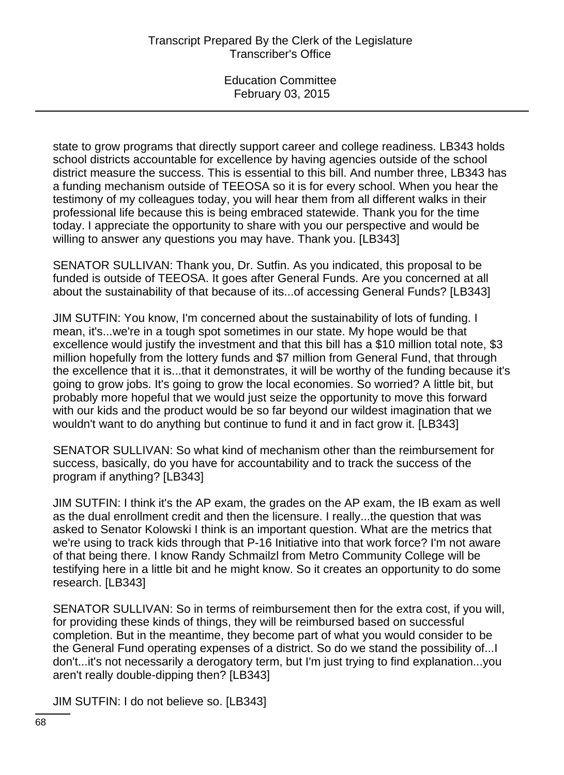state to grow programs that directly support career and college readiness. LB343 holds school districts accountable for excellence by having agencies outside of the school district measure the success. This is essential to this bill. And number three, LB343 has a funding mechanism outside of TEEOSA so it is for every school. When you hear the testimony of my colleagues today, you will hear them from all different walks in their professional life because this is being embraced statewide. Thank you for the time today. I appreciate the opportunity to share with you our perspective and would be willing to answer any questions you may have. Thank you. [LB343]

SENATOR SULLIVAN: Thank you, Dr. Sutfin. As you indicated, this proposal to be funded is outside of TEEOSA. It goes after General Funds. Are you concerned at all about the sustainability of that because of its...of accessing General Funds? [LB343]

JIM SUTFIN: You know, I'm concerned about the sustainability of lots of funding. I mean, it's...we're in a tough spot sometimes in our state. My hope would be that excellence would justify the investment and that this bill has a \$10 million total note, \$3 million hopefully from the lottery funds and \$7 million from General Fund, that through the excellence that it is...that it demonstrates, it will be worthy of the funding because it's going to grow jobs. It's going to grow the local economies. So worried? A little bit, but probably more hopeful that we would just seize the opportunity to move this forward with our kids and the product would be so far beyond our wildest imagination that we wouldn't want to do anything but continue to fund it and in fact grow it. [LB343]

SENATOR SULLIVAN: So what kind of mechanism other than the reimbursement for success, basically, do you have for accountability and to track the success of the program if anything? [LB343]

JIM SUTFIN: I think it's the AP exam, the grades on the AP exam, the IB exam as well as the dual enrollment credit and then the licensure. I really...the question that was asked to Senator Kolowski I think is an important question. What are the metrics that we're using to track kids through that P-16 Initiative into that work force? I'm not aware of that being there. I know Randy Schmailzl from Metro Community College will be testifying here in a little bit and he might know. So it creates an opportunity to do some research. [LB343]

SENATOR SULLIVAN: So in terms of reimbursement then for the extra cost, if you will, for providing these kinds of things, they will be reimbursed based on successful completion. But in the meantime, they become part of what you would consider to be the General Fund operating expenses of a district. So do we stand the possibility of...I don't...it's not necessarily a derogatory term, but I'm just trying to find explanation...you aren't really double-dipping then? [LB343]

JIM SUTFIN: I do not believe so. [LB343]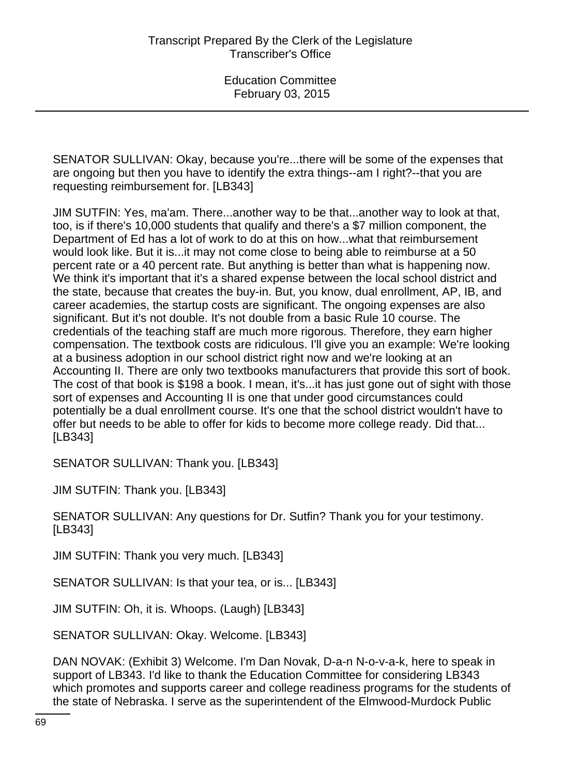SENATOR SULLIVAN: Okay, because you're...there will be some of the expenses that are ongoing but then you have to identify the extra things--am I right?--that you are requesting reimbursement for. [LB343]

JIM SUTFIN: Yes, ma'am. There...another way to be that...another way to look at that, too, is if there's 10,000 students that qualify and there's a \$7 million component, the Department of Ed has a lot of work to do at this on how...what that reimbursement would look like. But it is...it may not come close to being able to reimburse at a 50 percent rate or a 40 percent rate. But anything is better than what is happening now. We think it's important that it's a shared expense between the local school district and the state, because that creates the buy-in. But, you know, dual enrollment, AP, IB, and career academies, the startup costs are significant. The ongoing expenses are also significant. But it's not double. It's not double from a basic Rule 10 course. The credentials of the teaching staff are much more rigorous. Therefore, they earn higher compensation. The textbook costs are ridiculous. I'll give you an example: We're looking at a business adoption in our school district right now and we're looking at an Accounting II. There are only two textbooks manufacturers that provide this sort of book. The cost of that book is \$198 a book. I mean, it's...it has just gone out of sight with those sort of expenses and Accounting II is one that under good circumstances could potentially be a dual enrollment course. It's one that the school district wouldn't have to offer but needs to be able to offer for kids to become more college ready. Did that... [LB343]

SENATOR SULLIVAN: Thank you. [LB343]

JIM SUTFIN: Thank you. [LB343]

SENATOR SULLIVAN: Any questions for Dr. Sutfin? Thank you for your testimony. [LB343]

JIM SUTFIN: Thank you very much. [LB343]

SENATOR SULLIVAN: Is that your tea, or is... [LB343]

JIM SUTFIN: Oh, it is. Whoops. (Laugh) [LB343]

SENATOR SULLIVAN: Okay. Welcome. [LB343]

DAN NOVAK: (Exhibit 3) Welcome. I'm Dan Novak, D-a-n N-o-v-a-k, here to speak in support of LB343. I'd like to thank the Education Committee for considering LB343 which promotes and supports career and college readiness programs for the students of the state of Nebraska. I serve as the superintendent of the Elmwood-Murdock Public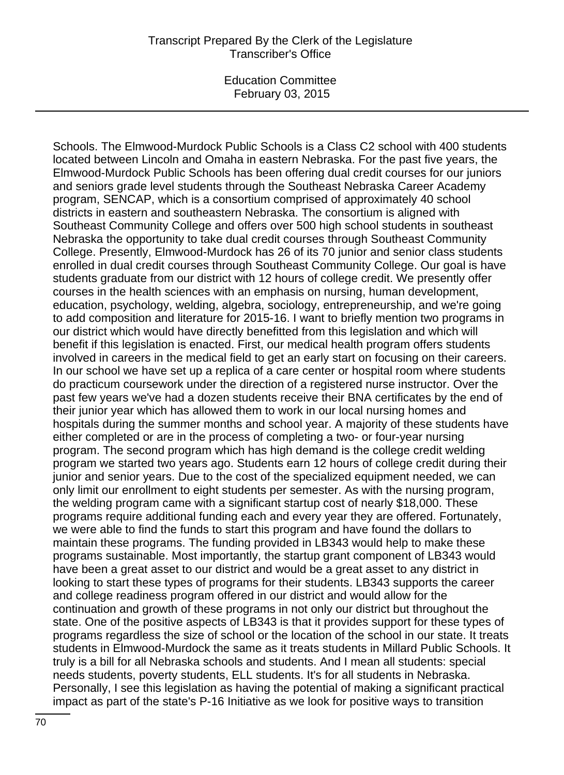### Transcript Prepared By the Clerk of the Legislature Transcriber's Office

Education Committee February 03, 2015

Schools. The Elmwood-Murdock Public Schools is a Class C2 school with 400 students located between Lincoln and Omaha in eastern Nebraska. For the past five years, the Elmwood-Murdock Public Schools has been offering dual credit courses for our juniors and seniors grade level students through the Southeast Nebraska Career Academy program, SENCAP, which is a consortium comprised of approximately 40 school districts in eastern and southeastern Nebraska. The consortium is aligned with Southeast Community College and offers over 500 high school students in southeast Nebraska the opportunity to take dual credit courses through Southeast Community College. Presently, Elmwood-Murdock has 26 of its 70 junior and senior class students enrolled in dual credit courses through Southeast Community College. Our goal is have students graduate from our district with 12 hours of college credit. We presently offer courses in the health sciences with an emphasis on nursing, human development, education, psychology, welding, algebra, sociology, entrepreneurship, and we're going to add composition and literature for 2015-16. I want to briefly mention two programs in our district which would have directly benefitted from this legislation and which will benefit if this legislation is enacted. First, our medical health program offers students involved in careers in the medical field to get an early start on focusing on their careers. In our school we have set up a replica of a care center or hospital room where students do practicum coursework under the direction of a registered nurse instructor. Over the past few years we've had a dozen students receive their BNA certificates by the end of their junior year which has allowed them to work in our local nursing homes and hospitals during the summer months and school year. A majority of these students have either completed or are in the process of completing a two- or four-year nursing program. The second program which has high demand is the college credit welding program we started two years ago. Students earn 12 hours of college credit during their junior and senior years. Due to the cost of the specialized equipment needed, we can only limit our enrollment to eight students per semester. As with the nursing program, the welding program came with a significant startup cost of nearly \$18,000. These programs require additional funding each and every year they are offered. Fortunately, we were able to find the funds to start this program and have found the dollars to maintain these programs. The funding provided in LB343 would help to make these programs sustainable. Most importantly, the startup grant component of LB343 would have been a great asset to our district and would be a great asset to any district in looking to start these types of programs for their students. LB343 supports the career and college readiness program offered in our district and would allow for the continuation and growth of these programs in not only our district but throughout the state. One of the positive aspects of LB343 is that it provides support for these types of programs regardless the size of school or the location of the school in our state. It treats students in Elmwood-Murdock the same as it treats students in Millard Public Schools. It truly is a bill for all Nebraska schools and students. And I mean all students: special needs students, poverty students, ELL students. It's for all students in Nebraska. Personally, I see this legislation as having the potential of making a significant practical impact as part of the state's P-16 Initiative as we look for positive ways to transition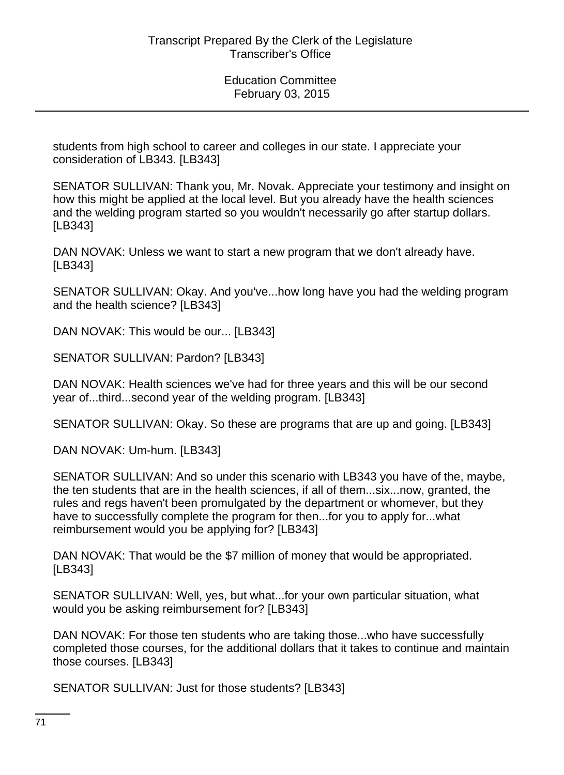students from high school to career and colleges in our state. I appreciate your consideration of LB343. [LB343]

SENATOR SULLIVAN: Thank you, Mr. Novak. Appreciate your testimony and insight on how this might be applied at the local level. But you already have the health sciences and the welding program started so you wouldn't necessarily go after startup dollars. [LB343]

DAN NOVAK: Unless we want to start a new program that we don't already have. [LB343]

SENATOR SULLIVAN: Okay. And you've...how long have you had the welding program and the health science? [LB343]

DAN NOVAK: This would be our... [LB343]

SENATOR SULLIVAN: Pardon? [LB343]

DAN NOVAK: Health sciences we've had for three years and this will be our second year of...third...second year of the welding program. [LB343]

SENATOR SULLIVAN: Okay. So these are programs that are up and going. [LB343]

DAN NOVAK: Um-hum. [LB343]

SENATOR SULLIVAN: And so under this scenario with LB343 you have of the, maybe, the ten students that are in the health sciences, if all of them...six...now, granted, the rules and regs haven't been promulgated by the department or whomever, but they have to successfully complete the program for then...for you to apply for...what reimbursement would you be applying for? [LB343]

DAN NOVAK: That would be the \$7 million of money that would be appropriated. [LB343]

SENATOR SULLIVAN: Well, yes, but what...for your own particular situation, what would you be asking reimbursement for? [LB343]

DAN NOVAK: For those ten students who are taking those...who have successfully completed those courses, for the additional dollars that it takes to continue and maintain those courses. [LB343]

SENATOR SULLIVAN: Just for those students? [LB343]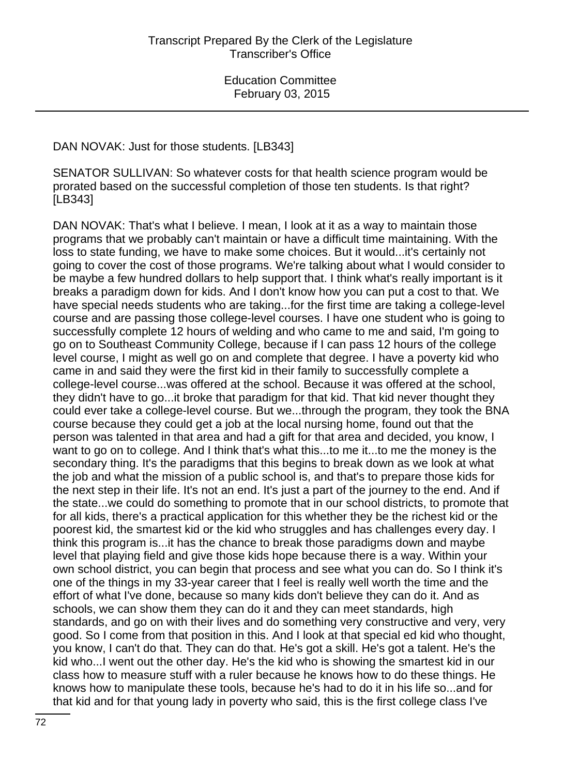DAN NOVAK: Just for those students. [LB343]

SENATOR SULLIVAN: So whatever costs for that health science program would be prorated based on the successful completion of those ten students. Is that right? [LB343]

DAN NOVAK: That's what I believe. I mean, I look at it as a way to maintain those programs that we probably can't maintain or have a difficult time maintaining. With the loss to state funding, we have to make some choices. But it would...it's certainly not going to cover the cost of those programs. We're talking about what I would consider to be maybe a few hundred dollars to help support that. I think what's really important is it breaks a paradigm down for kids. And I don't know how you can put a cost to that. We have special needs students who are taking...for the first time are taking a college-level course and are passing those college-level courses. I have one student who is going to successfully complete 12 hours of welding and who came to me and said, I'm going to go on to Southeast Community College, because if I can pass 12 hours of the college level course, I might as well go on and complete that degree. I have a poverty kid who came in and said they were the first kid in their family to successfully complete a college-level course...was offered at the school. Because it was offered at the school, they didn't have to go...it broke that paradigm for that kid. That kid never thought they could ever take a college-level course. But we...through the program, they took the BNA course because they could get a job at the local nursing home, found out that the person was talented in that area and had a gift for that area and decided, you know, I want to go on to college. And I think that's what this...to me it...to me the money is the secondary thing. It's the paradigms that this begins to break down as we look at what the job and what the mission of a public school is, and that's to prepare those kids for the next step in their life. It's not an end. It's just a part of the journey to the end. And if the state...we could do something to promote that in our school districts, to promote that for all kids, there's a practical application for this whether they be the richest kid or the poorest kid, the smartest kid or the kid who struggles and has challenges every day. I think this program is...it has the chance to break those paradigms down and maybe level that playing field and give those kids hope because there is a way. Within your own school district, you can begin that process and see what you can do. So I think it's one of the things in my 33-year career that I feel is really well worth the time and the effort of what I've done, because so many kids don't believe they can do it. And as schools, we can show them they can do it and they can meet standards, high standards, and go on with their lives and do something very constructive and very, very good. So I come from that position in this. And I look at that special ed kid who thought, you know, I can't do that. They can do that. He's got a skill. He's got a talent. He's the kid who...I went out the other day. He's the kid who is showing the smartest kid in our class how to measure stuff with a ruler because he knows how to do these things. He knows how to manipulate these tools, because he's had to do it in his life so...and for that kid and for that young lady in poverty who said, this is the first college class I've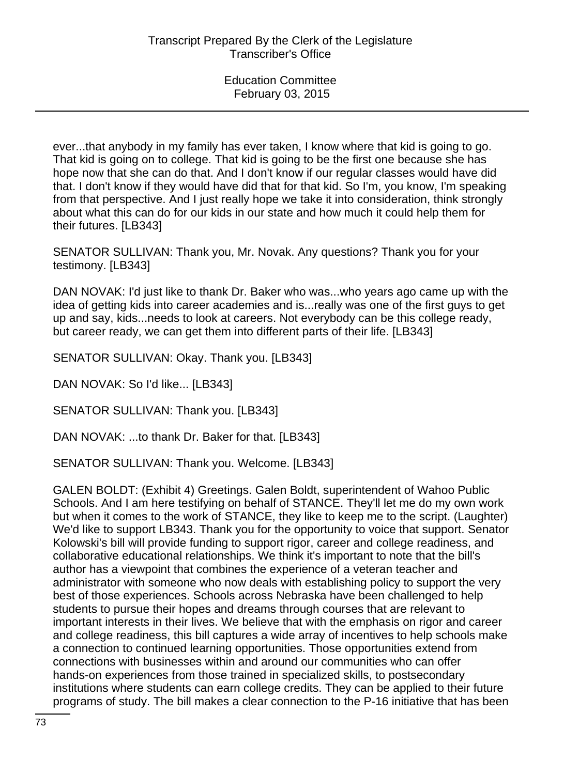ever...that anybody in my family has ever taken, I know where that kid is going to go. That kid is going on to college. That kid is going to be the first one because she has hope now that she can do that. And I don't know if our regular classes would have did that. I don't know if they would have did that for that kid. So I'm, you know, I'm speaking from that perspective. And I just really hope we take it into consideration, think strongly about what this can do for our kids in our state and how much it could help them for their futures. [LB343]

SENATOR SULLIVAN: Thank you, Mr. Novak. Any questions? Thank you for your testimony. [LB343]

DAN NOVAK: I'd just like to thank Dr. Baker who was...who years ago came up with the idea of getting kids into career academies and is...really was one of the first guys to get up and say, kids...needs to look at careers. Not everybody can be this college ready, but career ready, we can get them into different parts of their life. [LB343]

SENATOR SULLIVAN: Okay. Thank you. [LB343]

DAN NOVAK: So I'd like... [LB343]

SENATOR SULLIVAN: Thank you. [LB343]

DAN NOVAK: ...to thank Dr. Baker for that. [LB343]

SENATOR SULLIVAN: Thank you. Welcome. [LB343]

GALEN BOLDT: (Exhibit 4) Greetings. Galen Boldt, superintendent of Wahoo Public Schools. And I am here testifying on behalf of STANCE. They'll let me do my own work but when it comes to the work of STANCE, they like to keep me to the script. (Laughter) We'd like to support LB343. Thank you for the opportunity to voice that support. Senator Kolowski's bill will provide funding to support rigor, career and college readiness, and collaborative educational relationships. We think it's important to note that the bill's author has a viewpoint that combines the experience of a veteran teacher and administrator with someone who now deals with establishing policy to support the very best of those experiences. Schools across Nebraska have been challenged to help students to pursue their hopes and dreams through courses that are relevant to important interests in their lives. We believe that with the emphasis on rigor and career and college readiness, this bill captures a wide array of incentives to help schools make a connection to continued learning opportunities. Those opportunities extend from connections with businesses within and around our communities who can offer hands-on experiences from those trained in specialized skills, to postsecondary institutions where students can earn college credits. They can be applied to their future programs of study. The bill makes a clear connection to the P-16 initiative that has been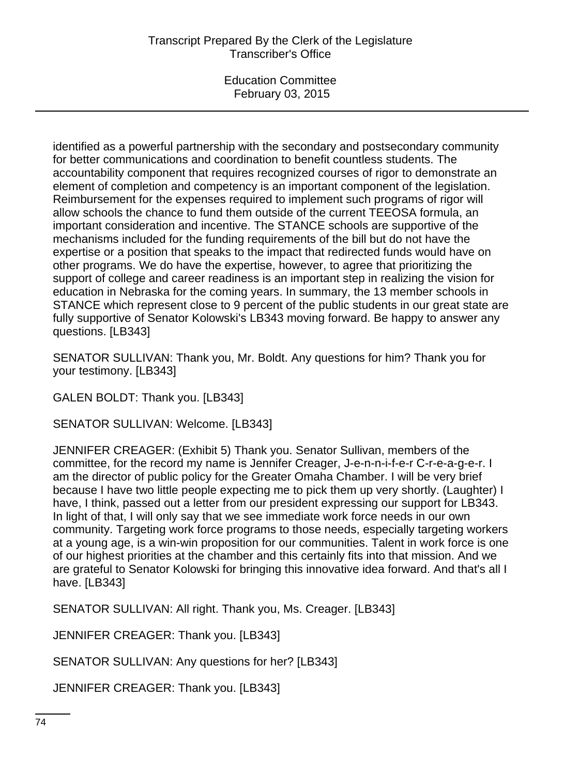identified as a powerful partnership with the secondary and postsecondary community for better communications and coordination to benefit countless students. The accountability component that requires recognized courses of rigor to demonstrate an element of completion and competency is an important component of the legislation. Reimbursement for the expenses required to implement such programs of rigor will allow schools the chance to fund them outside of the current TEEOSA formula, an important consideration and incentive. The STANCE schools are supportive of the mechanisms included for the funding requirements of the bill but do not have the expertise or a position that speaks to the impact that redirected funds would have on other programs. We do have the expertise, however, to agree that prioritizing the support of college and career readiness is an important step in realizing the vision for education in Nebraska for the coming years. In summary, the 13 member schools in STANCE which represent close to 9 percent of the public students in our great state are fully supportive of Senator Kolowski's LB343 moving forward. Be happy to answer any questions. [LB343]

SENATOR SULLIVAN: Thank you, Mr. Boldt. Any questions for him? Thank you for your testimony. [LB343]

GALEN BOLDT: Thank you. [LB343]

SENATOR SULLIVAN: Welcome. [LB343]

JENNIFER CREAGER: (Exhibit 5) Thank you. Senator Sullivan, members of the committee, for the record my name is Jennifer Creager, J-e-n-n-i-f-e-r C-r-e-a-g-e-r. I am the director of public policy for the Greater Omaha Chamber. I will be very brief because I have two little people expecting me to pick them up very shortly. (Laughter) I have, I think, passed out a letter from our president expressing our support for LB343. In light of that, I will only say that we see immediate work force needs in our own community. Targeting work force programs to those needs, especially targeting workers at a young age, is a win-win proposition for our communities. Talent in work force is one of our highest priorities at the chamber and this certainly fits into that mission. And we are grateful to Senator Kolowski for bringing this innovative idea forward. And that's all I have. [LB343]

SENATOR SULLIVAN: All right. Thank you, Ms. Creager. [LB343]

JENNIFER CREAGER: Thank you. [LB343]

SENATOR SULLIVAN: Any questions for her? [LB343]

JENNIFER CREAGER: Thank you. [LB343]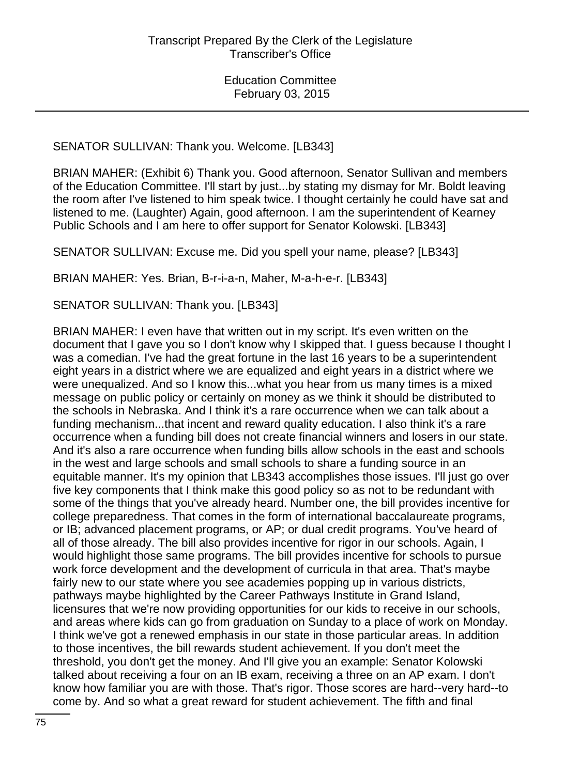### SENATOR SULLIVAN: Thank you. Welcome. [LB343]

BRIAN MAHER: (Exhibit 6) Thank you. Good afternoon, Senator Sullivan and members of the Education Committee. I'll start by just...by stating my dismay for Mr. Boldt leaving the room after I've listened to him speak twice. I thought certainly he could have sat and listened to me. (Laughter) Again, good afternoon. I am the superintendent of Kearney Public Schools and I am here to offer support for Senator Kolowski. [LB343]

SENATOR SULLIVAN: Excuse me. Did you spell your name, please? [LB343]

BRIAN MAHER: Yes. Brian, B-r-i-a-n, Maher, M-a-h-e-r. [LB343]

SENATOR SULLIVAN: Thank you. [LB343]

BRIAN MAHER: I even have that written out in my script. It's even written on the document that I gave you so I don't know why I skipped that. I guess because I thought I was a comedian. I've had the great fortune in the last 16 years to be a superintendent eight years in a district where we are equalized and eight years in a district where we were unequalized. And so I know this...what you hear from us many times is a mixed message on public policy or certainly on money as we think it should be distributed to the schools in Nebraska. And I think it's a rare occurrence when we can talk about a funding mechanism...that incent and reward quality education. I also think it's a rare occurrence when a funding bill does not create financial winners and losers in our state. And it's also a rare occurrence when funding bills allow schools in the east and schools in the west and large schools and small schools to share a funding source in an equitable manner. It's my opinion that LB343 accomplishes those issues. I'll just go over five key components that I think make this good policy so as not to be redundant with some of the things that you've already heard. Number one, the bill provides incentive for college preparedness. That comes in the form of international baccalaureate programs, or IB; advanced placement programs, or AP; or dual credit programs. You've heard of all of those already. The bill also provides incentive for rigor in our schools. Again, I would highlight those same programs. The bill provides incentive for schools to pursue work force development and the development of curricula in that area. That's maybe fairly new to our state where you see academies popping up in various districts, pathways maybe highlighted by the Career Pathways Institute in Grand Island, licensures that we're now providing opportunities for our kids to receive in our schools, and areas where kids can go from graduation on Sunday to a place of work on Monday. I think we've got a renewed emphasis in our state in those particular areas. In addition to those incentives, the bill rewards student achievement. If you don't meet the threshold, you don't get the money. And I'll give you an example: Senator Kolowski talked about receiving a four on an IB exam, receiving a three on an AP exam. I don't know how familiar you are with those. That's rigor. Those scores are hard--very hard--to come by. And so what a great reward for student achievement. The fifth and final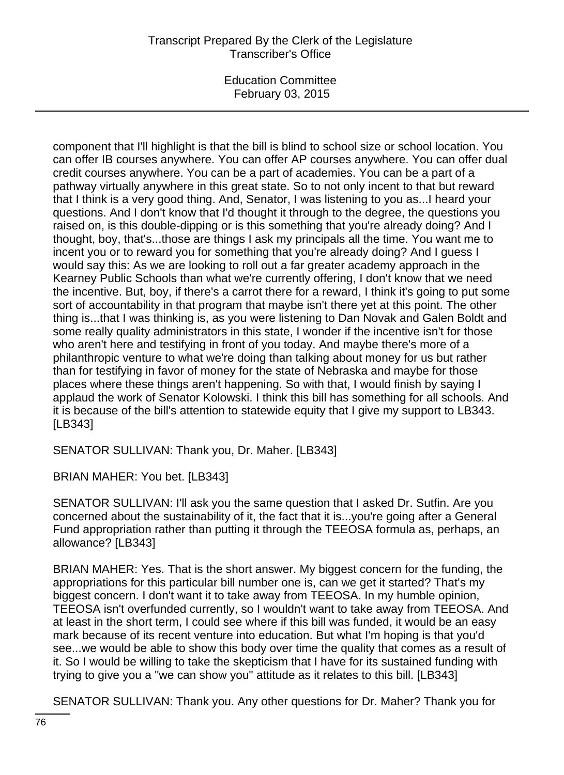Education Committee February 03, 2015

component that I'll highlight is that the bill is blind to school size or school location. You can offer IB courses anywhere. You can offer AP courses anywhere. You can offer dual credit courses anywhere. You can be a part of academies. You can be a part of a pathway virtually anywhere in this great state. So to not only incent to that but reward that I think is a very good thing. And, Senator, I was listening to you as...I heard your questions. And I don't know that I'd thought it through to the degree, the questions you raised on, is this double-dipping or is this something that you're already doing? And I thought, boy, that's...those are things I ask my principals all the time. You want me to incent you or to reward you for something that you're already doing? And I guess I would say this: As we are looking to roll out a far greater academy approach in the Kearney Public Schools than what we're currently offering, I don't know that we need the incentive. But, boy, if there's a carrot there for a reward, I think it's going to put some sort of accountability in that program that maybe isn't there yet at this point. The other thing is...that I was thinking is, as you were listening to Dan Novak and Galen Boldt and some really quality administrators in this state, I wonder if the incentive isn't for those who aren't here and testifying in front of you today. And maybe there's more of a philanthropic venture to what we're doing than talking about money for us but rather than for testifying in favor of money for the state of Nebraska and maybe for those places where these things aren't happening. So with that, I would finish by saying I applaud the work of Senator Kolowski. I think this bill has something for all schools. And it is because of the bill's attention to statewide equity that I give my support to LB343. [LB343]

SENATOR SULLIVAN: Thank you, Dr. Maher. [LB343]

BRIAN MAHER: You bet. [LB343]

SENATOR SULLIVAN: I'll ask you the same question that I asked Dr. Sutfin. Are you concerned about the sustainability of it, the fact that it is...you're going after a General Fund appropriation rather than putting it through the TEEOSA formula as, perhaps, an allowance? [LB343]

BRIAN MAHER: Yes. That is the short answer. My biggest concern for the funding, the appropriations for this particular bill number one is, can we get it started? That's my biggest concern. I don't want it to take away from TEEOSA. In my humble opinion, TEEOSA isn't overfunded currently, so I wouldn't want to take away from TEEOSA. And at least in the short term, I could see where if this bill was funded, it would be an easy mark because of its recent venture into education. But what I'm hoping is that you'd see...we would be able to show this body over time the quality that comes as a result of it. So I would be willing to take the skepticism that I have for its sustained funding with trying to give you a "we can show you" attitude as it relates to this bill. [LB343]

SENATOR SULLIVAN: Thank you. Any other questions for Dr. Maher? Thank you for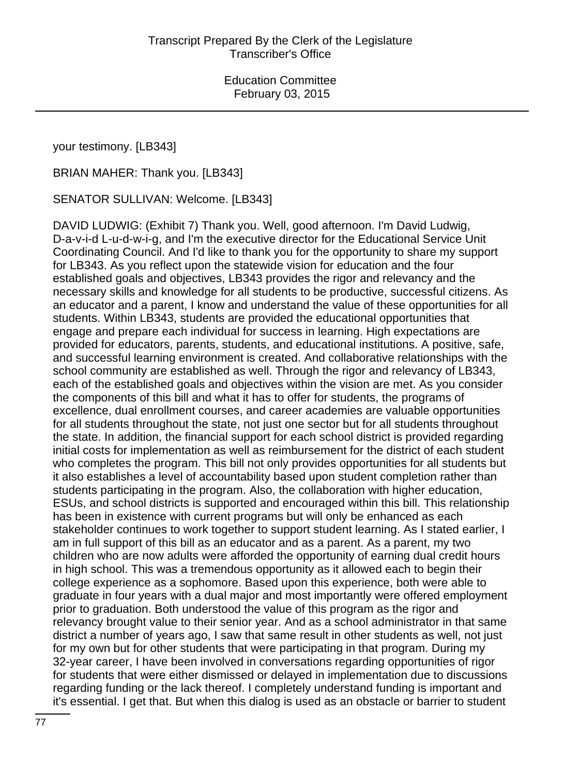your testimony. [LB343]

BRIAN MAHER: Thank you. [LB343]

SENATOR SULLIVAN: Welcome. [LB343]

DAVID LUDWIG: (Exhibit 7) Thank you. Well, good afternoon. I'm David Ludwig, D-a-v-i-d L-u-d-w-i-g, and I'm the executive director for the Educational Service Unit Coordinating Council. And I'd like to thank you for the opportunity to share my support for LB343. As you reflect upon the statewide vision for education and the four established goals and objectives, LB343 provides the rigor and relevancy and the necessary skills and knowledge for all students to be productive, successful citizens. As an educator and a parent, I know and understand the value of these opportunities for all students. Within LB343, students are provided the educational opportunities that engage and prepare each individual for success in learning. High expectations are provided for educators, parents, students, and educational institutions. A positive, safe, and successful learning environment is created. And collaborative relationships with the school community are established as well. Through the rigor and relevancy of LB343, each of the established goals and objectives within the vision are met. As you consider the components of this bill and what it has to offer for students, the programs of excellence, dual enrollment courses, and career academies are valuable opportunities for all students throughout the state, not just one sector but for all students throughout the state. In addition, the financial support for each school district is provided regarding initial costs for implementation as well as reimbursement for the district of each student who completes the program. This bill not only provides opportunities for all students but it also establishes a level of accountability based upon student completion rather than students participating in the program. Also, the collaboration with higher education, ESUs, and school districts is supported and encouraged within this bill. This relationship has been in existence with current programs but will only be enhanced as each stakeholder continues to work together to support student learning. As I stated earlier, I am in full support of this bill as an educator and as a parent. As a parent, my two children who are now adults were afforded the opportunity of earning dual credit hours in high school. This was a tremendous opportunity as it allowed each to begin their college experience as a sophomore. Based upon this experience, both were able to graduate in four years with a dual major and most importantly were offered employment prior to graduation. Both understood the value of this program as the rigor and relevancy brought value to their senior year. And as a school administrator in that same district a number of years ago, I saw that same result in other students as well, not just for my own but for other students that were participating in that program. During my 32-year career, I have been involved in conversations regarding opportunities of rigor for students that were either dismissed or delayed in implementation due to discussions regarding funding or the lack thereof. I completely understand funding is important and it's essential. I get that. But when this dialog is used as an obstacle or barrier to student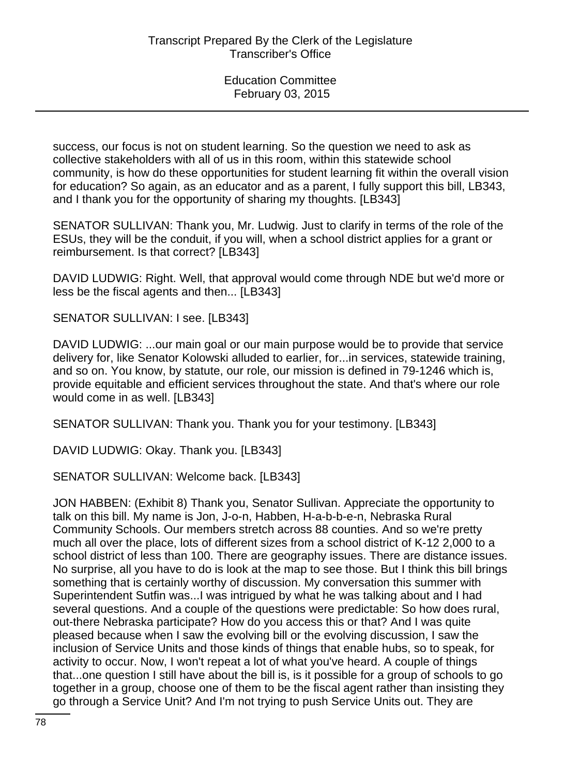success, our focus is not on student learning. So the question we need to ask as collective stakeholders with all of us in this room, within this statewide school community, is how do these opportunities for student learning fit within the overall vision for education? So again, as an educator and as a parent, I fully support this bill, LB343, and I thank you for the opportunity of sharing my thoughts. [LB343]

SENATOR SULLIVAN: Thank you, Mr. Ludwig. Just to clarify in terms of the role of the ESUs, they will be the conduit, if you will, when a school district applies for a grant or reimbursement. Is that correct? [LB343]

DAVID LUDWIG: Right. Well, that approval would come through NDE but we'd more or less be the fiscal agents and then... [LB343]

SENATOR SULLIVAN: I see. [LB343]

DAVID LUDWIG: ...our main goal or our main purpose would be to provide that service delivery for, like Senator Kolowski alluded to earlier, for...in services, statewide training, and so on. You know, by statute, our role, our mission is defined in 79-1246 which is, provide equitable and efficient services throughout the state. And that's where our role would come in as well. [LB343]

SENATOR SULLIVAN: Thank you. Thank you for your testimony. [LB343]

DAVID LUDWIG: Okay. Thank you. [LB343]

SENATOR SULLIVAN: Welcome back. [LB343]

JON HABBEN: (Exhibit 8) Thank you, Senator Sullivan. Appreciate the opportunity to talk on this bill. My name is Jon, J-o-n, Habben, H-a-b-b-e-n, Nebraska Rural Community Schools. Our members stretch across 88 counties. And so we're pretty much all over the place, lots of different sizes from a school district of K-12 2,000 to a school district of less than 100. There are geography issues. There are distance issues. No surprise, all you have to do is look at the map to see those. But I think this bill brings something that is certainly worthy of discussion. My conversation this summer with Superintendent Sutfin was...I was intrigued by what he was talking about and I had several questions. And a couple of the questions were predictable: So how does rural, out-there Nebraska participate? How do you access this or that? And I was quite pleased because when I saw the evolving bill or the evolving discussion, I saw the inclusion of Service Units and those kinds of things that enable hubs, so to speak, for activity to occur. Now, I won't repeat a lot of what you've heard. A couple of things that...one question I still have about the bill is, is it possible for a group of schools to go together in a group, choose one of them to be the fiscal agent rather than insisting they go through a Service Unit? And I'm not trying to push Service Units out. They are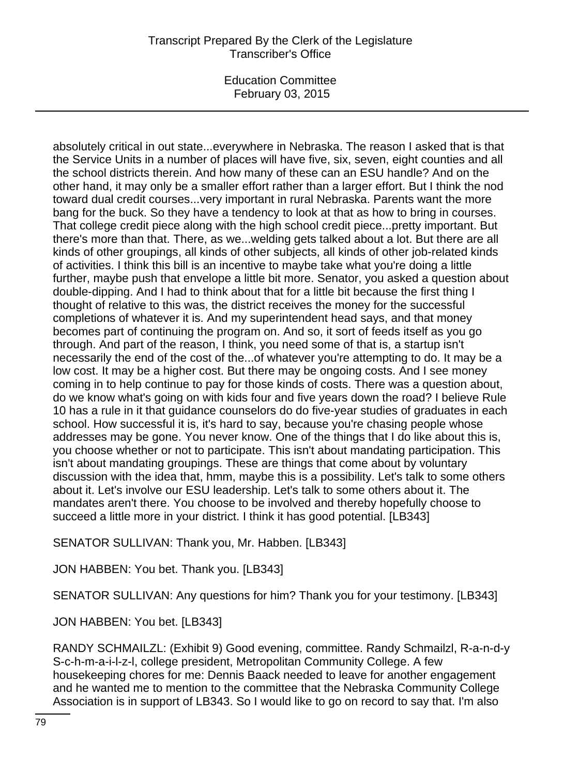Education Committee February 03, 2015

absolutely critical in out state...everywhere in Nebraska. The reason I asked that is that the Service Units in a number of places will have five, six, seven, eight counties and all the school districts therein. And how many of these can an ESU handle? And on the other hand, it may only be a smaller effort rather than a larger effort. But I think the nod toward dual credit courses...very important in rural Nebraska. Parents want the more bang for the buck. So they have a tendency to look at that as how to bring in courses. That college credit piece along with the high school credit piece...pretty important. But there's more than that. There, as we...welding gets talked about a lot. But there are all kinds of other groupings, all kinds of other subjects, all kinds of other job-related kinds of activities. I think this bill is an incentive to maybe take what you're doing a little further, maybe push that envelope a little bit more. Senator, you asked a question about double-dipping. And I had to think about that for a little bit because the first thing I thought of relative to this was, the district receives the money for the successful completions of whatever it is. And my superintendent head says, and that money becomes part of continuing the program on. And so, it sort of feeds itself as you go through. And part of the reason, I think, you need some of that is, a startup isn't necessarily the end of the cost of the...of whatever you're attempting to do. It may be a low cost. It may be a higher cost. But there may be ongoing costs. And I see money coming in to help continue to pay for those kinds of costs. There was a question about, do we know what's going on with kids four and five years down the road? I believe Rule 10 has a rule in it that guidance counselors do do five-year studies of graduates in each school. How successful it is, it's hard to say, because you're chasing people whose addresses may be gone. You never know. One of the things that I do like about this is, you choose whether or not to participate. This isn't about mandating participation. This isn't about mandating groupings. These are things that come about by voluntary discussion with the idea that, hmm, maybe this is a possibility. Let's talk to some others about it. Let's involve our ESU leadership. Let's talk to some others about it. The mandates aren't there. You choose to be involved and thereby hopefully choose to succeed a little more in your district. I think it has good potential. [LB343]

SENATOR SULLIVAN: Thank you, Mr. Habben. [LB343]

JON HABBEN: You bet. Thank you. [LB343]

SENATOR SULLIVAN: Any questions for him? Thank you for your testimony. [LB343]

JON HABBEN: You bet. [LB343]

RANDY SCHMAILZL: (Exhibit 9) Good evening, committee. Randy Schmailzl, R-a-n-d-y S-c-h-m-a-i-l-z-l, college president, Metropolitan Community College. A few housekeeping chores for me: Dennis Baack needed to leave for another engagement and he wanted me to mention to the committee that the Nebraska Community College Association is in support of LB343. So I would like to go on record to say that. I'm also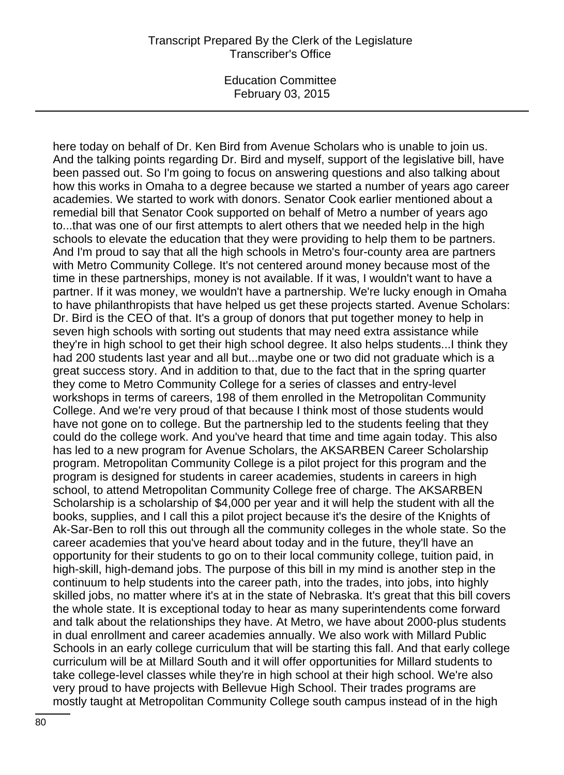Education Committee February 03, 2015

here today on behalf of Dr. Ken Bird from Avenue Scholars who is unable to join us. And the talking points regarding Dr. Bird and myself, support of the legislative bill, have been passed out. So I'm going to focus on answering questions and also talking about how this works in Omaha to a degree because we started a number of years ago career academies. We started to work with donors. Senator Cook earlier mentioned about a remedial bill that Senator Cook supported on behalf of Metro a number of years ago to...that was one of our first attempts to alert others that we needed help in the high schools to elevate the education that they were providing to help them to be partners. And I'm proud to say that all the high schools in Metro's four-county area are partners with Metro Community College. It's not centered around money because most of the time in these partnerships, money is not available. If it was, I wouldn't want to have a partner. If it was money, we wouldn't have a partnership. We're lucky enough in Omaha to have philanthropists that have helped us get these projects started. Avenue Scholars: Dr. Bird is the CEO of that. It's a group of donors that put together money to help in seven high schools with sorting out students that may need extra assistance while they're in high school to get their high school degree. It also helps students...I think they had 200 students last year and all but...maybe one or two did not graduate which is a great success story. And in addition to that, due to the fact that in the spring quarter they come to Metro Community College for a series of classes and entry-level workshops in terms of careers, 198 of them enrolled in the Metropolitan Community College. And we're very proud of that because I think most of those students would have not gone on to college. But the partnership led to the students feeling that they could do the college work. And you've heard that time and time again today. This also has led to a new program for Avenue Scholars, the AKSARBEN Career Scholarship program. Metropolitan Community College is a pilot project for this program and the program is designed for students in career academies, students in careers in high school, to attend Metropolitan Community College free of charge. The AKSARBEN Scholarship is a scholarship of \$4,000 per year and it will help the student with all the books, supplies, and I call this a pilot project because it's the desire of the Knights of Ak-Sar-Ben to roll this out through all the community colleges in the whole state. So the career academies that you've heard about today and in the future, they'll have an opportunity for their students to go on to their local community college, tuition paid, in high-skill, high-demand jobs. The purpose of this bill in my mind is another step in the continuum to help students into the career path, into the trades, into jobs, into highly skilled jobs, no matter where it's at in the state of Nebraska. It's great that this bill covers the whole state. It is exceptional today to hear as many superintendents come forward and talk about the relationships they have. At Metro, we have about 2000-plus students in dual enrollment and career academies annually. We also work with Millard Public Schools in an early college curriculum that will be starting this fall. And that early college curriculum will be at Millard South and it will offer opportunities for Millard students to take college-level classes while they're in high school at their high school. We're also very proud to have projects with Bellevue High School. Their trades programs are mostly taught at Metropolitan Community College south campus instead of in the high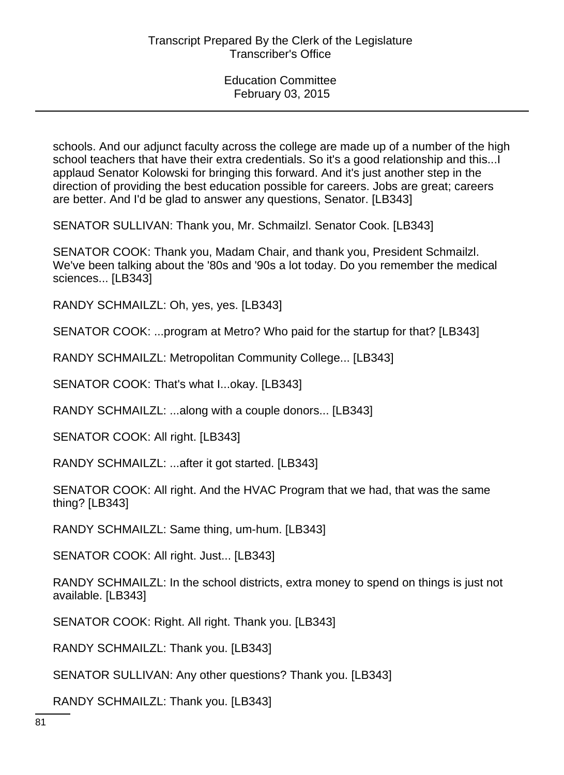schools. And our adjunct faculty across the college are made up of a number of the high school teachers that have their extra credentials. So it's a good relationship and this...I applaud Senator Kolowski for bringing this forward. And it's just another step in the direction of providing the best education possible for careers. Jobs are great; careers are better. And I'd be glad to answer any questions, Senator. [LB343]

SENATOR SULLIVAN: Thank you, Mr. Schmailzl. Senator Cook. [LB343]

SENATOR COOK: Thank you, Madam Chair, and thank you, President Schmailzl. We've been talking about the '80s and '90s a lot today. Do you remember the medical sciences... [LB343]

RANDY SCHMAILZL: Oh, yes, yes. [LB343]

SENATOR COOK: ...program at Metro? Who paid for the startup for that? [LB343]

RANDY SCHMAILZL: Metropolitan Community College... [LB343]

SENATOR COOK: That's what I...okay. [LB343]

RANDY SCHMAILZL: ...along with a couple donors... [LB343]

SENATOR COOK: All right. [LB343]

RANDY SCHMAILZL: ...after it got started. [LB343]

SENATOR COOK: All right. And the HVAC Program that we had, that was the same thing? [LB343]

RANDY SCHMAILZL: Same thing, um-hum. [LB343]

SENATOR COOK: All right. Just... [LB343]

RANDY SCHMAILZL: In the school districts, extra money to spend on things is just not available. [LB343]

SENATOR COOK: Right. All right. Thank you. [LB343]

RANDY SCHMAILZL: Thank you. [LB343]

SENATOR SULLIVAN: Any other questions? Thank you. [LB343]

RANDY SCHMAILZL: Thank you. [LB343]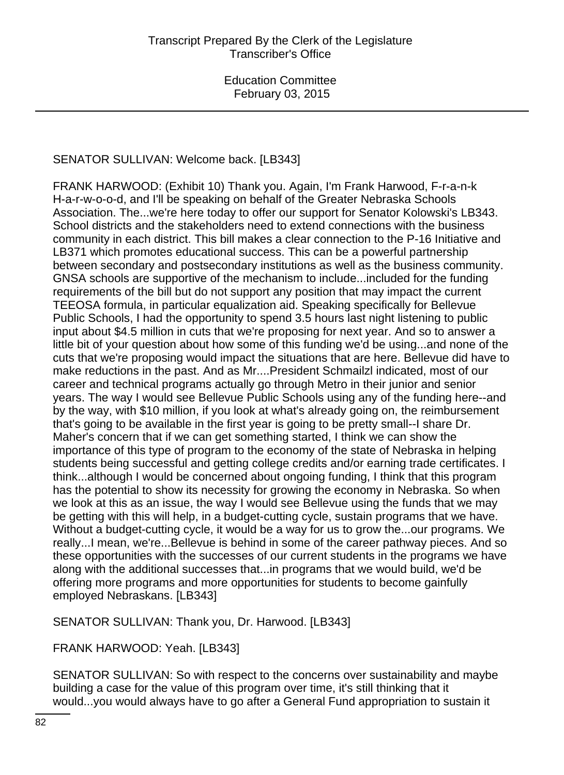# SENATOR SULLIVAN: Welcome back. [LB343]

FRANK HARWOOD: (Exhibit 10) Thank you. Again, I'm Frank Harwood, F-r-a-n-k H-a-r-w-o-o-d, and I'll be speaking on behalf of the Greater Nebraska Schools Association. The...we're here today to offer our support for Senator Kolowski's LB343. School districts and the stakeholders need to extend connections with the business community in each district. This bill makes a clear connection to the P-16 Initiative and LB371 which promotes educational success. This can be a powerful partnership between secondary and postsecondary institutions as well as the business community. GNSA schools are supportive of the mechanism to include...included for the funding requirements of the bill but do not support any position that may impact the current TEEOSA formula, in particular equalization aid. Speaking specifically for Bellevue Public Schools, I had the opportunity to spend 3.5 hours last night listening to public input about \$4.5 million in cuts that we're proposing for next year. And so to answer a little bit of your question about how some of this funding we'd be using...and none of the cuts that we're proposing would impact the situations that are here. Bellevue did have to make reductions in the past. And as Mr....President Schmailzl indicated, most of our career and technical programs actually go through Metro in their junior and senior years. The way I would see Bellevue Public Schools using any of the funding here--and by the way, with \$10 million, if you look at what's already going on, the reimbursement that's going to be available in the first year is going to be pretty small--I share Dr. Maher's concern that if we can get something started, I think we can show the importance of this type of program to the economy of the state of Nebraska in helping students being successful and getting college credits and/or earning trade certificates. I think...although I would be concerned about ongoing funding, I think that this program has the potential to show its necessity for growing the economy in Nebraska. So when we look at this as an issue, the way I would see Bellevue using the funds that we may be getting with this will help, in a budget-cutting cycle, sustain programs that we have. Without a budget-cutting cycle, it would be a way for us to grow the...our programs. We really...I mean, we're...Bellevue is behind in some of the career pathway pieces. And so these opportunities with the successes of our current students in the programs we have along with the additional successes that...in programs that we would build, we'd be offering more programs and more opportunities for students to become gainfully employed Nebraskans. [LB343]

SENATOR SULLIVAN: Thank you, Dr. Harwood. [LB343]

FRANK HARWOOD: Yeah. [LB343]

SENATOR SULLIVAN: So with respect to the concerns over sustainability and maybe building a case for the value of this program over time, it's still thinking that it would...you would always have to go after a General Fund appropriation to sustain it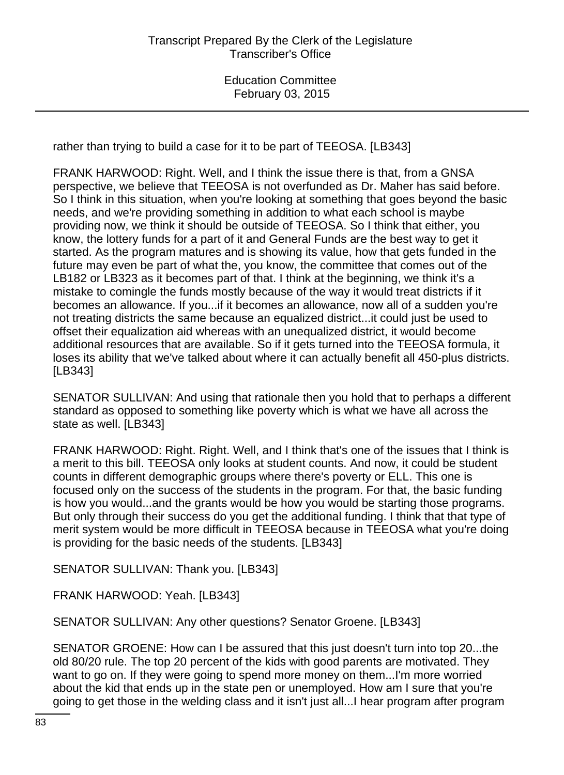rather than trying to build a case for it to be part of TEEOSA. [LB343]

FRANK HARWOOD: Right. Well, and I think the issue there is that, from a GNSA perspective, we believe that TEEOSA is not overfunded as Dr. Maher has said before. So I think in this situation, when you're looking at something that goes beyond the basic needs, and we're providing something in addition to what each school is maybe providing now, we think it should be outside of TEEOSA. So I think that either, you know, the lottery funds for a part of it and General Funds are the best way to get it started. As the program matures and is showing its value, how that gets funded in the future may even be part of what the, you know, the committee that comes out of the LB182 or LB323 as it becomes part of that. I think at the beginning, we think it's a mistake to comingle the funds mostly because of the way it would treat districts if it becomes an allowance. If you...if it becomes an allowance, now all of a sudden you're not treating districts the same because an equalized district...it could just be used to offset their equalization aid whereas with an unequalized district, it would become additional resources that are available. So if it gets turned into the TEEOSA formula, it loses its ability that we've talked about where it can actually benefit all 450-plus districts. [LB343]

SENATOR SULLIVAN: And using that rationale then you hold that to perhaps a different standard as opposed to something like poverty which is what we have all across the state as well. [LB343]

FRANK HARWOOD: Right. Right. Well, and I think that's one of the issues that I think is a merit to this bill. TEEOSA only looks at student counts. And now, it could be student counts in different demographic groups where there's poverty or ELL. This one is focused only on the success of the students in the program. For that, the basic funding is how you would...and the grants would be how you would be starting those programs. But only through their success do you get the additional funding. I think that that type of merit system would be more difficult in TEEOSA because in TEEOSA what you're doing is providing for the basic needs of the students. [LB343]

SENATOR SULLIVAN: Thank you. [LB343]

FRANK HARWOOD: Yeah. [LB343]

SENATOR SULLIVAN: Any other questions? Senator Groene. [LB343]

SENATOR GROENE: How can I be assured that this just doesn't turn into top 20...the old 80/20 rule. The top 20 percent of the kids with good parents are motivated. They want to go on. If they were going to spend more money on them...I'm more worried about the kid that ends up in the state pen or unemployed. How am I sure that you're going to get those in the welding class and it isn't just all...I hear program after program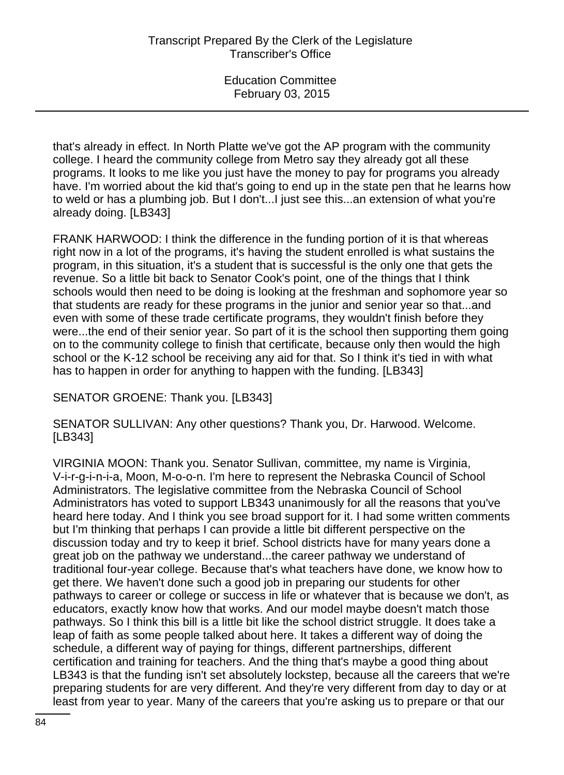that's already in effect. In North Platte we've got the AP program with the community college. I heard the community college from Metro say they already got all these programs. It looks to me like you just have the money to pay for programs you already have. I'm worried about the kid that's going to end up in the state pen that he learns how to weld or has a plumbing job. But I don't...I just see this...an extension of what you're already doing. [LB343]

FRANK HARWOOD: I think the difference in the funding portion of it is that whereas right now in a lot of the programs, it's having the student enrolled is what sustains the program, in this situation, it's a student that is successful is the only one that gets the revenue. So a little bit back to Senator Cook's point, one of the things that I think schools would then need to be doing is looking at the freshman and sophomore year so that students are ready for these programs in the junior and senior year so that...and even with some of these trade certificate programs, they wouldn't finish before they were...the end of their senior year. So part of it is the school then supporting them going on to the community college to finish that certificate, because only then would the high school or the K-12 school be receiving any aid for that. So I think it's tied in with what has to happen in order for anything to happen with the funding. [LB343]

SENATOR GROENE: Thank you. [LB343]

SENATOR SULLIVAN: Any other questions? Thank you, Dr. Harwood. Welcome. [LB343]

VIRGINIA MOON: Thank you. Senator Sullivan, committee, my name is Virginia, V-i-r-g-i-n-i-a, Moon, M-o-o-n. I'm here to represent the Nebraska Council of School Administrators. The legislative committee from the Nebraska Council of School Administrators has voted to support LB343 unanimously for all the reasons that you've heard here today. And I think you see broad support for it. I had some written comments but I'm thinking that perhaps I can provide a little bit different perspective on the discussion today and try to keep it brief. School districts have for many years done a great job on the pathway we understand...the career pathway we understand of traditional four-year college. Because that's what teachers have done, we know how to get there. We haven't done such a good job in preparing our students for other pathways to career or college or success in life or whatever that is because we don't, as educators, exactly know how that works. And our model maybe doesn't match those pathways. So I think this bill is a little bit like the school district struggle. It does take a leap of faith as some people talked about here. It takes a different way of doing the schedule, a different way of paying for things, different partnerships, different certification and training for teachers. And the thing that's maybe a good thing about LB343 is that the funding isn't set absolutely lockstep, because all the careers that we're preparing students for are very different. And they're very different from day to day or at least from year to year. Many of the careers that you're asking us to prepare or that our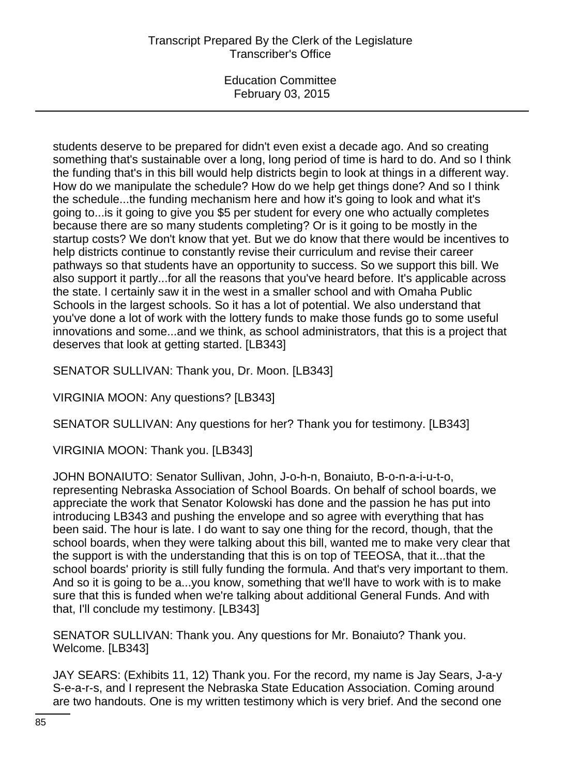students deserve to be prepared for didn't even exist a decade ago. And so creating something that's sustainable over a long, long period of time is hard to do. And so I think the funding that's in this bill would help districts begin to look at things in a different way. How do we manipulate the schedule? How do we help get things done? And so I think the schedule...the funding mechanism here and how it's going to look and what it's going to...is it going to give you \$5 per student for every one who actually completes because there are so many students completing? Or is it going to be mostly in the startup costs? We don't know that yet. But we do know that there would be incentives to help districts continue to constantly revise their curriculum and revise their career pathways so that students have an opportunity to success. So we support this bill. We also support it partly...for all the reasons that you've heard before. It's applicable across the state. I certainly saw it in the west in a smaller school and with Omaha Public Schools in the largest schools. So it has a lot of potential. We also understand that you've done a lot of work with the lottery funds to make those funds go to some useful innovations and some...and we think, as school administrators, that this is a project that deserves that look at getting started. [LB343]

SENATOR SULLIVAN: Thank you, Dr. Moon. [LB343]

VIRGINIA MOON: Any questions? [LB343]

SENATOR SULLIVAN: Any questions for her? Thank you for testimony. [LB343]

VIRGINIA MOON: Thank you. [LB343]

JOHN BONAIUTO: Senator Sullivan, John, J-o-h-n, Bonaiuto, B-o-n-a-i-u-t-o, representing Nebraska Association of School Boards. On behalf of school boards, we appreciate the work that Senator Kolowski has done and the passion he has put into introducing LB343 and pushing the envelope and so agree with everything that has been said. The hour is late. I do want to say one thing for the record, though, that the school boards, when they were talking about this bill, wanted me to make very clear that the support is with the understanding that this is on top of TEEOSA, that it...that the school boards' priority is still fully funding the formula. And that's very important to them. And so it is going to be a...you know, something that we'll have to work with is to make sure that this is funded when we're talking about additional General Funds. And with that, I'll conclude my testimony. [LB343]

SENATOR SULLIVAN: Thank you. Any questions for Mr. Bonaiuto? Thank you. Welcome. [LB343]

JAY SEARS: (Exhibits 11, 12) Thank you. For the record, my name is Jay Sears, J-a-y S-e-a-r-s, and I represent the Nebraska State Education Association. Coming around are two handouts. One is my written testimony which is very brief. And the second one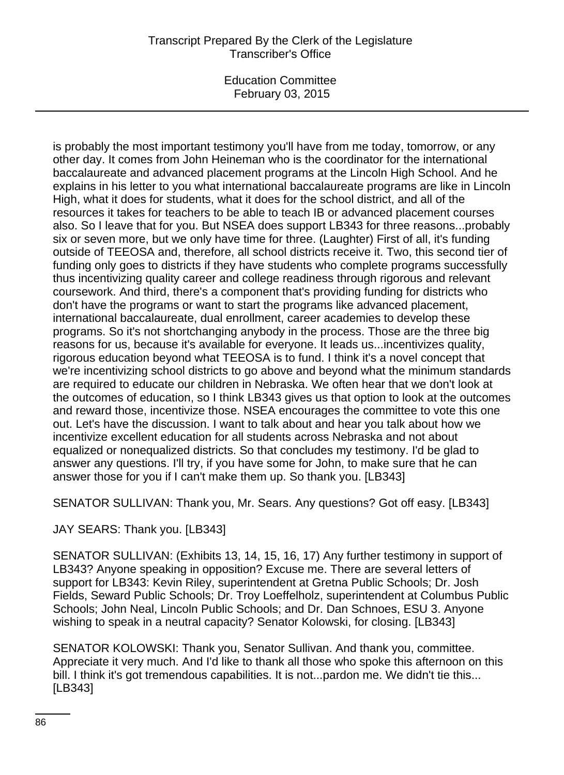Education Committee February 03, 2015

is probably the most important testimony you'll have from me today, tomorrow, or any other day. It comes from John Heineman who is the coordinator for the international baccalaureate and advanced placement programs at the Lincoln High School. And he explains in his letter to you what international baccalaureate programs are like in Lincoln High, what it does for students, what it does for the school district, and all of the resources it takes for teachers to be able to teach IB or advanced placement courses also. So I leave that for you. But NSEA does support LB343 for three reasons...probably six or seven more, but we only have time for three. (Laughter) First of all, it's funding outside of TEEOSA and, therefore, all school districts receive it. Two, this second tier of funding only goes to districts if they have students who complete programs successfully thus incentivizing quality career and college readiness through rigorous and relevant coursework. And third, there's a component that's providing funding for districts who don't have the programs or want to start the programs like advanced placement, international baccalaureate, dual enrollment, career academies to develop these programs. So it's not shortchanging anybody in the process. Those are the three big reasons for us, because it's available for everyone. It leads us...incentivizes quality, rigorous education beyond what TEEOSA is to fund. I think it's a novel concept that we're incentivizing school districts to go above and beyond what the minimum standards are required to educate our children in Nebraska. We often hear that we don't look at the outcomes of education, so I think LB343 gives us that option to look at the outcomes and reward those, incentivize those. NSEA encourages the committee to vote this one out. Let's have the discussion. I want to talk about and hear you talk about how we incentivize excellent education for all students across Nebraska and not about equalized or nonequalized districts. So that concludes my testimony. I'd be glad to answer any questions. I'll try, if you have some for John, to make sure that he can answer those for you if I can't make them up. So thank you. [LB343]

SENATOR SULLIVAN: Thank you, Mr. Sears. Any questions? Got off easy. [LB343]

JAY SEARS: Thank you. [LB343]

SENATOR SULLIVAN: (Exhibits 13, 14, 15, 16, 17) Any further testimony in support of LB343? Anyone speaking in opposition? Excuse me. There are several letters of support for LB343: Kevin Riley, superintendent at Gretna Public Schools; Dr. Josh Fields, Seward Public Schools; Dr. Troy Loeffelholz, superintendent at Columbus Public Schools; John Neal, Lincoln Public Schools; and Dr. Dan Schnoes, ESU 3. Anyone wishing to speak in a neutral capacity? Senator Kolowski, for closing. [LB343]

SENATOR KOLOWSKI: Thank you, Senator Sullivan. And thank you, committee. Appreciate it very much. And I'd like to thank all those who spoke this afternoon on this bill. I think it's got tremendous capabilities. It is not...pardon me. We didn't tie this... [LB343]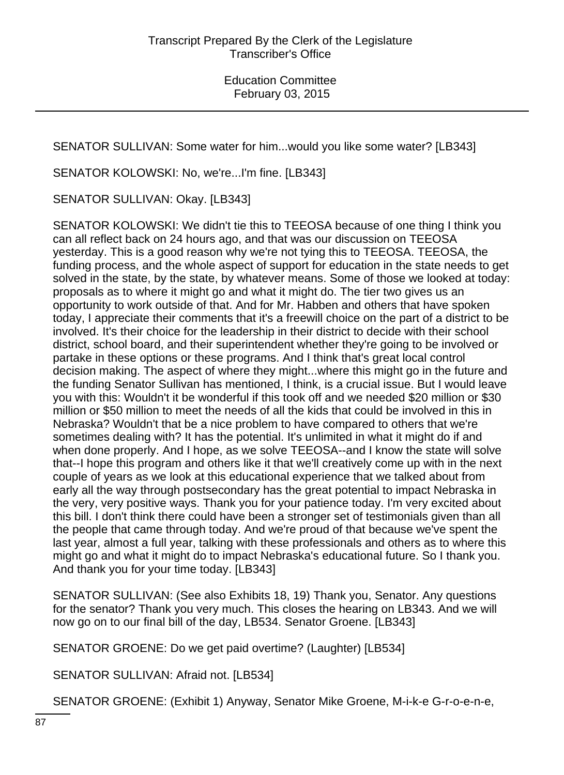SENATOR SULLIVAN: Some water for him...would you like some water? [LB343]

SENATOR KOLOWSKI: No, we're...I'm fine. [LB343]

SENATOR SULLIVAN: Okay. [LB343]

SENATOR KOLOWSKI: We didn't tie this to TEEOSA because of one thing I think you can all reflect back on 24 hours ago, and that was our discussion on TEEOSA yesterday. This is a good reason why we're not tying this to TEEOSA. TEEOSA, the funding process, and the whole aspect of support for education in the state needs to get solved in the state, by the state, by whatever means. Some of those we looked at today: proposals as to where it might go and what it might do. The tier two gives us an opportunity to work outside of that. And for Mr. Habben and others that have spoken today, I appreciate their comments that it's a freewill choice on the part of a district to be involved. It's their choice for the leadership in their district to decide with their school district, school board, and their superintendent whether they're going to be involved or partake in these options or these programs. And I think that's great local control decision making. The aspect of where they might...where this might go in the future and the funding Senator Sullivan has mentioned, I think, is a crucial issue. But I would leave you with this: Wouldn't it be wonderful if this took off and we needed \$20 million or \$30 million or \$50 million to meet the needs of all the kids that could be involved in this in Nebraska? Wouldn't that be a nice problem to have compared to others that we're sometimes dealing with? It has the potential. It's unlimited in what it might do if and when done properly. And I hope, as we solve TEEOSA--and I know the state will solve that--I hope this program and others like it that we'll creatively come up with in the next couple of years as we look at this educational experience that we talked about from early all the way through postsecondary has the great potential to impact Nebraska in the very, very positive ways. Thank you for your patience today. I'm very excited about this bill. I don't think there could have been a stronger set of testimonials given than all the people that came through today. And we're proud of that because we've spent the last year, almost a full year, talking with these professionals and others as to where this might go and what it might do to impact Nebraska's educational future. So I thank you. And thank you for your time today. [LB343]

SENATOR SULLIVAN: (See also Exhibits 18, 19) Thank you, Senator. Any questions for the senator? Thank you very much. This closes the hearing on LB343. And we will now go on to our final bill of the day, LB534. Senator Groene. [LB343]

SENATOR GROENE: Do we get paid overtime? (Laughter) [LB534]

SENATOR SULLIVAN: Afraid not. [LB534]

SENATOR GROENE: (Exhibit 1) Anyway, Senator Mike Groene, M-i-k-e G-r-o-e-n-e,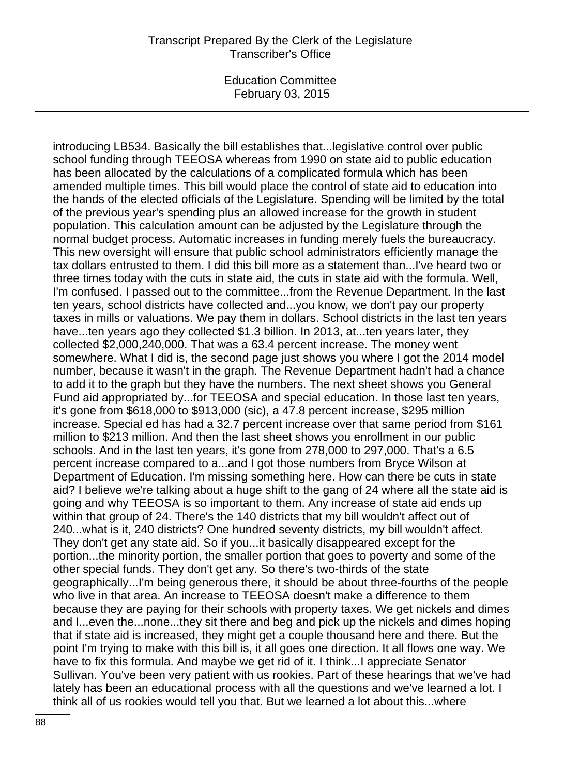introducing LB534. Basically the bill establishes that...legislative control over public school funding through TEEOSA whereas from 1990 on state aid to public education has been allocated by the calculations of a complicated formula which has been amended multiple times. This bill would place the control of state aid to education into the hands of the elected officials of the Legislature. Spending will be limited by the total of the previous year's spending plus an allowed increase for the growth in student population. This calculation amount can be adjusted by the Legislature through the normal budget process. Automatic increases in funding merely fuels the bureaucracy. This new oversight will ensure that public school administrators efficiently manage the tax dollars entrusted to them. I did this bill more as a statement than...I've heard two or three times today with the cuts in state aid, the cuts in state aid with the formula. Well, I'm confused. I passed out to the committee...from the Revenue Department. In the last ten years, school districts have collected and...you know, we don't pay our property taxes in mills or valuations. We pay them in dollars. School districts in the last ten years have...ten years ago they collected \$1.3 billion. In 2013, at...ten years later, they collected \$2,000,240,000. That was a 63.4 percent increase. The money went somewhere. What I did is, the second page just shows you where I got the 2014 model number, because it wasn't in the graph. The Revenue Department hadn't had a chance to add it to the graph but they have the numbers. The next sheet shows you General Fund aid appropriated by...for TEEOSA and special education. In those last ten years, it's gone from \$618,000 to \$913,000 (sic), a 47.8 percent increase, \$295 million increase. Special ed has had a 32.7 percent increase over that same period from \$161 million to \$213 million. And then the last sheet shows you enrollment in our public schools. And in the last ten years, it's gone from 278,000 to 297,000. That's a 6.5 percent increase compared to a...and I got those numbers from Bryce Wilson at Department of Education. I'm missing something here. How can there be cuts in state aid? I believe we're talking about a huge shift to the gang of 24 where all the state aid is going and why TEEOSA is so important to them. Any increase of state aid ends up within that group of 24. There's the 140 districts that my bill wouldn't affect out of 240...what is it, 240 districts? One hundred seventy districts, my bill wouldn't affect. They don't get any state aid. So if you...it basically disappeared except for the portion...the minority portion, the smaller portion that goes to poverty and some of the other special funds. They don't get any. So there's two-thirds of the state geographically...I'm being generous there, it should be about three-fourths of the people who live in that area. An increase to TEEOSA doesn't make a difference to them because they are paying for their schools with property taxes. We get nickels and dimes and I...even the...none...they sit there and beg and pick up the nickels and dimes hoping that if state aid is increased, they might get a couple thousand here and there. But the point I'm trying to make with this bill is, it all goes one direction. It all flows one way. We have to fix this formula. And maybe we get rid of it. I think...I appreciate Senator Sullivan. You've been very patient with us rookies. Part of these hearings that we've had lately has been an educational process with all the questions and we've learned a lot. I think all of us rookies would tell you that. But we learned a lot about this...where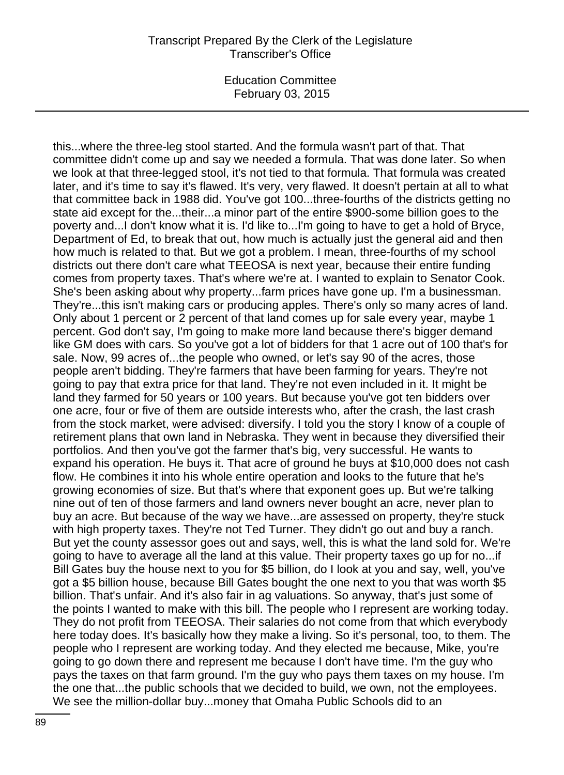Education Committee February 03, 2015

this...where the three-leg stool started. And the formula wasn't part of that. That committee didn't come up and say we needed a formula. That was done later. So when we look at that three-legged stool, it's not tied to that formula. That formula was created later, and it's time to say it's flawed. It's very, very flawed. It doesn't pertain at all to what that committee back in 1988 did. You've got 100...three-fourths of the districts getting no state aid except for the...their...a minor part of the entire \$900-some billion goes to the poverty and...I don't know what it is. I'd like to...I'm going to have to get a hold of Bryce, Department of Ed, to break that out, how much is actually just the general aid and then how much is related to that. But we got a problem. I mean, three-fourths of my school districts out there don't care what TEEOSA is next year, because their entire funding comes from property taxes. That's where we're at. I wanted to explain to Senator Cook. She's been asking about why property...farm prices have gone up. I'm a businessman. They're...this isn't making cars or producing apples. There's only so many acres of land. Only about 1 percent or 2 percent of that land comes up for sale every year, maybe 1 percent. God don't say, I'm going to make more land because there's bigger demand like GM does with cars. So you've got a lot of bidders for that 1 acre out of 100 that's for sale. Now, 99 acres of...the people who owned, or let's say 90 of the acres, those people aren't bidding. They're farmers that have been farming for years. They're not going to pay that extra price for that land. They're not even included in it. It might be land they farmed for 50 years or 100 years. But because you've got ten bidders over one acre, four or five of them are outside interests who, after the crash, the last crash from the stock market, were advised: diversify. I told you the story I know of a couple of retirement plans that own land in Nebraska. They went in because they diversified their portfolios. And then you've got the farmer that's big, very successful. He wants to expand his operation. He buys it. That acre of ground he buys at \$10,000 does not cash flow. He combines it into his whole entire operation and looks to the future that he's growing economies of size. But that's where that exponent goes up. But we're talking nine out of ten of those farmers and land owners never bought an acre, never plan to buy an acre. But because of the way we have...are assessed on property, they're stuck with high property taxes. They're not Ted Turner. They didn't go out and buy a ranch. But yet the county assessor goes out and says, well, this is what the land sold for. We're going to have to average all the land at this value. Their property taxes go up for no...if Bill Gates buy the house next to you for \$5 billion, do I look at you and say, well, you've got a \$5 billion house, because Bill Gates bought the one next to you that was worth \$5 billion. That's unfair. And it's also fair in ag valuations. So anyway, that's just some of the points I wanted to make with this bill. The people who I represent are working today. They do not profit from TEEOSA. Their salaries do not come from that which everybody here today does. It's basically how they make a living. So it's personal, too, to them. The people who I represent are working today. And they elected me because, Mike, you're going to go down there and represent me because I don't have time. I'm the guy who pays the taxes on that farm ground. I'm the guy who pays them taxes on my house. I'm the one that...the public schools that we decided to build, we own, not the employees. We see the million-dollar buy...money that Omaha Public Schools did to an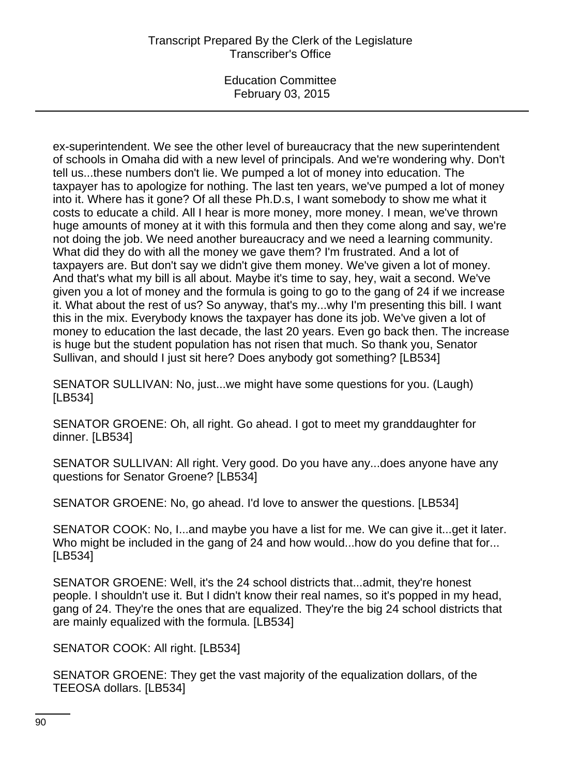ex-superintendent. We see the other level of bureaucracy that the new superintendent of schools in Omaha did with a new level of principals. And we're wondering why. Don't tell us...these numbers don't lie. We pumped a lot of money into education. The taxpayer has to apologize for nothing. The last ten years, we've pumped a lot of money into it. Where has it gone? Of all these Ph.D.s, I want somebody to show me what it costs to educate a child. All I hear is more money, more money. I mean, we've thrown huge amounts of money at it with this formula and then they come along and say, we're not doing the job. We need another bureaucracy and we need a learning community. What did they do with all the money we gave them? I'm frustrated. And a lot of taxpayers are. But don't say we didn't give them money. We've given a lot of money. And that's what my bill is all about. Maybe it's time to say, hey, wait a second. We've given you a lot of money and the formula is going to go to the gang of 24 if we increase it. What about the rest of us? So anyway, that's my...why I'm presenting this bill. I want this in the mix. Everybody knows the taxpayer has done its job. We've given a lot of money to education the last decade, the last 20 years. Even go back then. The increase is huge but the student population has not risen that much. So thank you, Senator Sullivan, and should I just sit here? Does anybody got something? [LB534]

SENATOR SULLIVAN: No, just...we might have some questions for you. (Laugh) [LB534]

SENATOR GROENE: Oh, all right. Go ahead. I got to meet my granddaughter for dinner. [LB534]

SENATOR SULLIVAN: All right. Very good. Do you have any...does anyone have any questions for Senator Groene? [LB534]

SENATOR GROENE: No, go ahead. I'd love to answer the questions. [LB534]

SENATOR COOK: No, I...and maybe you have a list for me. We can give it...get it later. Who might be included in the gang of 24 and how would...how do you define that for... [LB534]

SENATOR GROENE: Well, it's the 24 school districts that...admit, they're honest people. I shouldn't use it. But I didn't know their real names, so it's popped in my head, gang of 24. They're the ones that are equalized. They're the big 24 school districts that are mainly equalized with the formula. [LB534]

SENATOR COOK: All right. [LB534]

SENATOR GROENE: They get the vast majority of the equalization dollars, of the TEEOSA dollars. [LB534]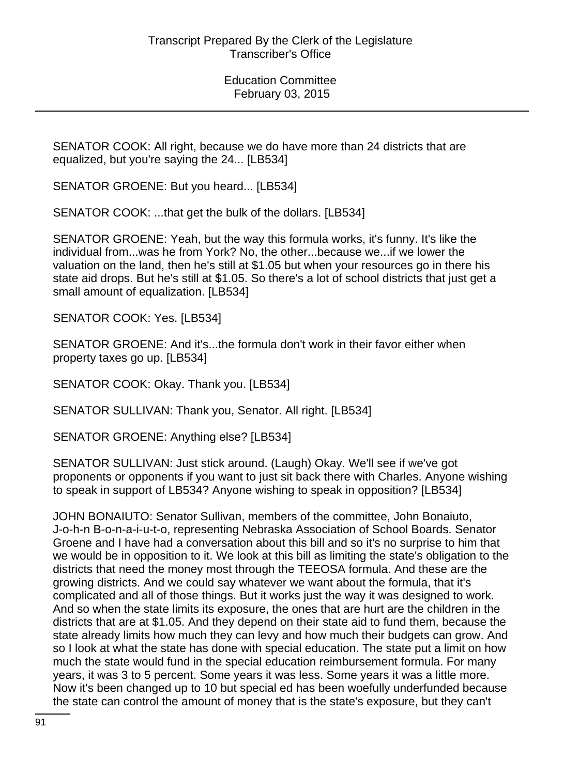SENATOR COOK: All right, because we do have more than 24 districts that are equalized, but you're saying the 24... [LB534]

SENATOR GROENE: But you heard... [LB534]

SENATOR COOK: ...that get the bulk of the dollars. [LB534]

SENATOR GROENE: Yeah, but the way this formula works, it's funny. It's like the individual from...was he from York? No, the other...because we...if we lower the valuation on the land, then he's still at \$1.05 but when your resources go in there his state aid drops. But he's still at \$1.05. So there's a lot of school districts that just get a small amount of equalization. [LB534]

SENATOR COOK: Yes. [LB534]

SENATOR GROENE: And it's...the formula don't work in their favor either when property taxes go up. [LB534]

SENATOR COOK: Okay. Thank you. [LB534]

SENATOR SULLIVAN: Thank you, Senator. All right. [LB534]

SENATOR GROENE: Anything else? [LB534]

SENATOR SULLIVAN: Just stick around. (Laugh) Okay. We'll see if we've got proponents or opponents if you want to just sit back there with Charles. Anyone wishing to speak in support of LB534? Anyone wishing to speak in opposition? [LB534]

JOHN BONAIUTO: Senator Sullivan, members of the committee, John Bonaiuto, J-o-h-n B-o-n-a-i-u-t-o, representing Nebraska Association of School Boards. Senator Groene and I have had a conversation about this bill and so it's no surprise to him that we would be in opposition to it. We look at this bill as limiting the state's obligation to the districts that need the money most through the TEEOSA formula. And these are the growing districts. And we could say whatever we want about the formula, that it's complicated and all of those things. But it works just the way it was designed to work. And so when the state limits its exposure, the ones that are hurt are the children in the districts that are at \$1.05. And they depend on their state aid to fund them, because the state already limits how much they can levy and how much their budgets can grow. And so I look at what the state has done with special education. The state put a limit on how much the state would fund in the special education reimbursement formula. For many years, it was 3 to 5 percent. Some years it was less. Some years it was a little more. Now it's been changed up to 10 but special ed has been woefully underfunded because the state can control the amount of money that is the state's exposure, but they can't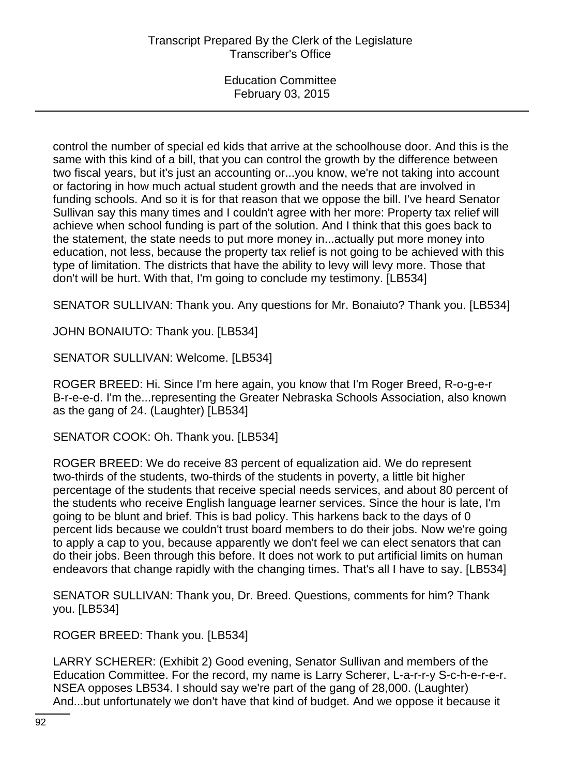control the number of special ed kids that arrive at the schoolhouse door. And this is the same with this kind of a bill, that you can control the growth by the difference between two fiscal years, but it's just an accounting or...you know, we're not taking into account or factoring in how much actual student growth and the needs that are involved in funding schools. And so it is for that reason that we oppose the bill. I've heard Senator Sullivan say this many times and I couldn't agree with her more: Property tax relief will achieve when school funding is part of the solution. And I think that this goes back to the statement, the state needs to put more money in...actually put more money into education, not less, because the property tax relief is not going to be achieved with this type of limitation. The districts that have the ability to levy will levy more. Those that don't will be hurt. With that, I'm going to conclude my testimony. [LB534]

SENATOR SULLIVAN: Thank you. Any questions for Mr. Bonaiuto? Thank you. [LB534]

JOHN BONAIUTO: Thank you. [LB534]

SENATOR SULLIVAN: Welcome. [LB534]

ROGER BREED: Hi. Since I'm here again, you know that I'm Roger Breed, R-o-g-e-r B-r-e-e-d. I'm the...representing the Greater Nebraska Schools Association, also known as the gang of 24. (Laughter) [LB534]

SENATOR COOK: Oh. Thank you. [LB534]

ROGER BREED: We do receive 83 percent of equalization aid. We do represent two-thirds of the students, two-thirds of the students in poverty, a little bit higher percentage of the students that receive special needs services, and about 80 percent of the students who receive English language learner services. Since the hour is late, I'm going to be blunt and brief. This is bad policy. This harkens back to the days of 0 percent lids because we couldn't trust board members to do their jobs. Now we're going to apply a cap to you, because apparently we don't feel we can elect senators that can do their jobs. Been through this before. It does not work to put artificial limits on human endeavors that change rapidly with the changing times. That's all I have to say. [LB534]

SENATOR SULLIVAN: Thank you, Dr. Breed. Questions, comments for him? Thank you. [LB534]

ROGER BREED: Thank you. [LB534]

LARRY SCHERER: (Exhibit 2) Good evening, Senator Sullivan and members of the Education Committee. For the record, my name is Larry Scherer, L-a-r-r-y S-c-h-e-r-e-r. NSEA opposes LB534. I should say we're part of the gang of 28,000. (Laughter) And...but unfortunately we don't have that kind of budget. And we oppose it because it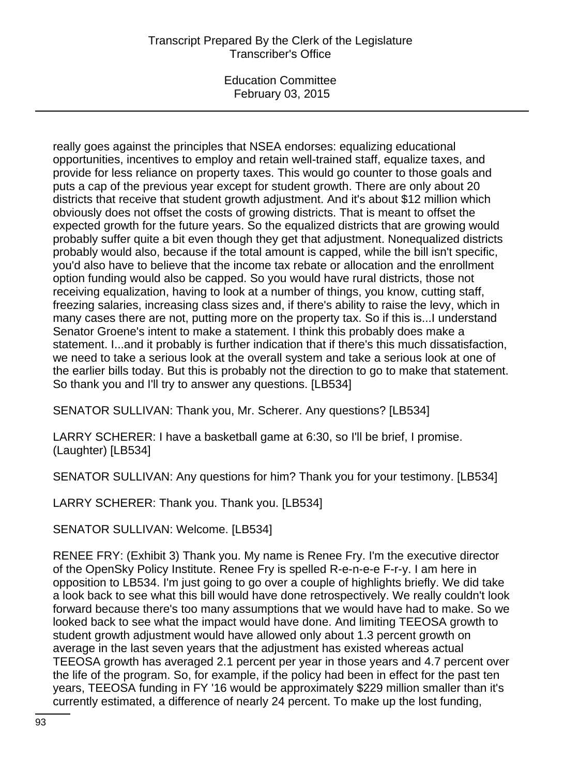Education Committee February 03, 2015

really goes against the principles that NSEA endorses: equalizing educational opportunities, incentives to employ and retain well-trained staff, equalize taxes, and provide for less reliance on property taxes. This would go counter to those goals and puts a cap of the previous year except for student growth. There are only about 20 districts that receive that student growth adjustment. And it's about \$12 million which obviously does not offset the costs of growing districts. That is meant to offset the expected growth for the future years. So the equalized districts that are growing would probably suffer quite a bit even though they get that adjustment. Nonequalized districts probably would also, because if the total amount is capped, while the bill isn't specific, you'd also have to believe that the income tax rebate or allocation and the enrollment option funding would also be capped. So you would have rural districts, those not receiving equalization, having to look at a number of things, you know, cutting staff, freezing salaries, increasing class sizes and, if there's ability to raise the levy, which in many cases there are not, putting more on the property tax. So if this is...I understand Senator Groene's intent to make a statement. I think this probably does make a statement. I...and it probably is further indication that if there's this much dissatisfaction, we need to take a serious look at the overall system and take a serious look at one of the earlier bills today. But this is probably not the direction to go to make that statement. So thank you and I'll try to answer any questions. [LB534]

SENATOR SULLIVAN: Thank you, Mr. Scherer. Any questions? [LB534]

LARRY SCHERER: I have a basketball game at 6:30, so I'll be brief, I promise. (Laughter) [LB534]

SENATOR SULLIVAN: Any questions for him? Thank you for your testimony. [LB534]

LARRY SCHERER: Thank you. Thank you. [LB534]

SENATOR SULLIVAN: Welcome. [LB534]

RENEE FRY: (Exhibit 3) Thank you. My name is Renee Fry. I'm the executive director of the OpenSky Policy Institute. Renee Fry is spelled R-e-n-e-e F-r-y. I am here in opposition to LB534. I'm just going to go over a couple of highlights briefly. We did take a look back to see what this bill would have done retrospectively. We really couldn't look forward because there's too many assumptions that we would have had to make. So we looked back to see what the impact would have done. And limiting TEEOSA growth to student growth adjustment would have allowed only about 1.3 percent growth on average in the last seven years that the adjustment has existed whereas actual TEEOSA growth has averaged 2.1 percent per year in those years and 4.7 percent over the life of the program. So, for example, if the policy had been in effect for the past ten years, TEEOSA funding in FY '16 would be approximately \$229 million smaller than it's currently estimated, a difference of nearly 24 percent. To make up the lost funding,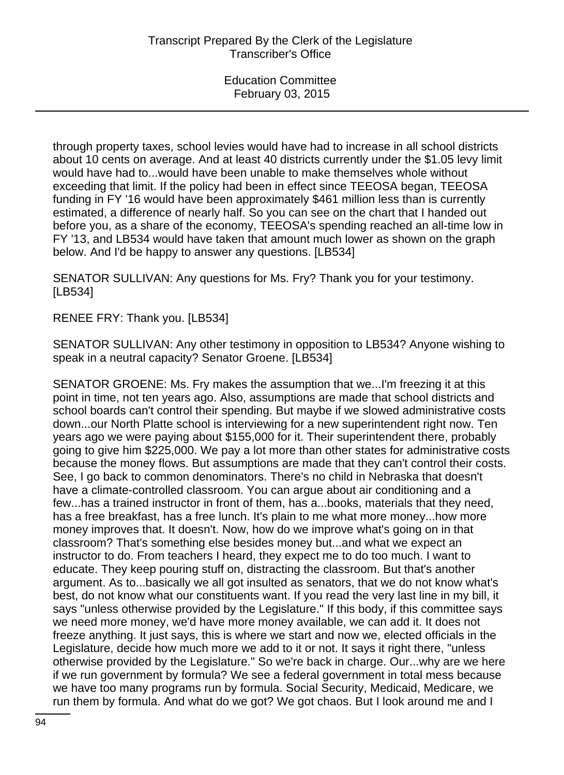through property taxes, school levies would have had to increase in all school districts about 10 cents on average. And at least 40 districts currently under the \$1.05 levy limit would have had to...would have been unable to make themselves whole without exceeding that limit. If the policy had been in effect since TEEOSA began, TEEOSA funding in FY '16 would have been approximately \$461 million less than is currently estimated, a difference of nearly half. So you can see on the chart that I handed out before you, as a share of the economy, TEEOSA's spending reached an all-time low in FY '13, and LB534 would have taken that amount much lower as shown on the graph below. And I'd be happy to answer any questions. [LB534]

SENATOR SULLIVAN: Any questions for Ms. Fry? Thank you for your testimony. [LB534]

RENEE FRY: Thank you. [LB534]

SENATOR SULLIVAN: Any other testimony in opposition to LB534? Anyone wishing to speak in a neutral capacity? Senator Groene. [LB534]

SENATOR GROENE: Ms. Fry makes the assumption that we...I'm freezing it at this point in time, not ten years ago. Also, assumptions are made that school districts and school boards can't control their spending. But maybe if we slowed administrative costs down...our North Platte school is interviewing for a new superintendent right now. Ten years ago we were paying about \$155,000 for it. Their superintendent there, probably going to give him \$225,000. We pay a lot more than other states for administrative costs because the money flows. But assumptions are made that they can't control their costs. See, I go back to common denominators. There's no child in Nebraska that doesn't have a climate-controlled classroom. You can argue about air conditioning and a few...has a trained instructor in front of them, has a...books, materials that they need, has a free breakfast, has a free lunch. It's plain to me what more money...how more money improves that. It doesn't. Now, how do we improve what's going on in that classroom? That's something else besides money but...and what we expect an instructor to do. From teachers I heard, they expect me to do too much. I want to educate. They keep pouring stuff on, distracting the classroom. But that's another argument. As to...basically we all got insulted as senators, that we do not know what's best, do not know what our constituents want. If you read the very last line in my bill, it says "unless otherwise provided by the Legislature." If this body, if this committee says we need more money, we'd have more money available, we can add it. It does not freeze anything. It just says, this is where we start and now we, elected officials in the Legislature, decide how much more we add to it or not. It says it right there, "unless otherwise provided by the Legislature." So we're back in charge. Our...why are we here if we run government by formula? We see a federal government in total mess because we have too many programs run by formula. Social Security, Medicaid, Medicare, we run them by formula. And what do we got? We got chaos. But I look around me and I